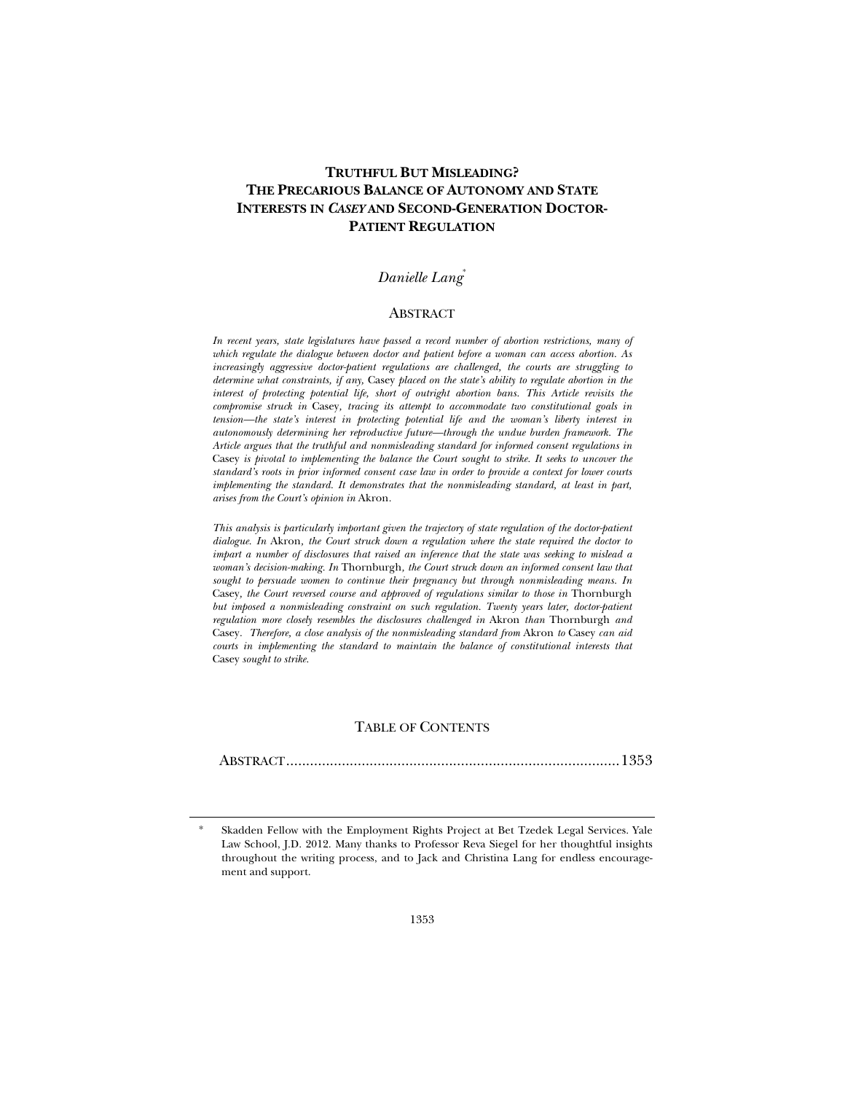# **TRUTHFUL BUT MISLEADING? THE PRECARIOUS BALANCE OF AUTONOMY AND STATE INTERESTS IN** *CASEY* **AND SECOND-GENERATION DOCTOR-PATIENT REGULATION**

# *Danielle Lang*\*

#### ABSTRACT

*In recent years, state legislatures have passed a record number of abortion restrictions, many of which regulate the dialogue between doctor and patient before a woman can access abortion. As increasingly aggressive doctor-patient regulations are challenged, the courts are struggling to determine what constraints, if any,* Casey *placed on the state's ability to regulate abortion in the interest of protecting potential life, short of outright abortion bans. This Article revisits the compromise struck in* Casey*, tracing its attempt to accommodate two constitutional goals in tension—the state's interest in protecting potential life and the woman's liberty interest in autonomously determining her reproductive future—through the undue burden framework. The Article argues that the truthful and nonmisleading standard for informed consent regulations in*  Casey *is pivotal to implementing the balance the Court sought to strike. It seeks to uncover the standard's roots in prior informed consent case law in order to provide a context for lower courts implementing the standard. It demonstrates that the nonmisleading standard, at least in part, arises from the Court's opinion in* Akron*.* 

*This analysis is particularly important given the trajectory of state regulation of the doctor-patient dialogue. In* Akron*, the Court struck down a regulation where the state required the doctor to impart a number of disclosures that raised an inference that the state was seeking to mislead a woman's decision-making. In* Thornburgh*, the Court struck down an informed consent law that sought to persuade women to continue their pregnancy but through nonmisleading means. In*  Casey, the Court reversed course and approved of regulations similar to those in Thornburgh *but imposed a nonmisleading constraint on such regulation. Twenty years later, doctor-patient regulation more closely resembles the disclosures challenged in* Akron *than* Thornburgh *and*  Casey*. Therefore, a close analysis of the nonmisleading standard from* Akron *to* Casey *can aid courts in implementing the standard to maintain the balance of constitutional interests that*  Casey *sought to strike.* 

#### TABLE OF CONTENTS

ABSTRACT .................................................................................... 1353

Skadden Fellow with the Employment Rights Project at Bet Tzedek Legal Services. Yale Law School, J.D. 2012. Many thanks to Professor Reva Siegel for her thoughtful insights throughout the writing process, and to Jack and Christina Lang for endless encouragement and support.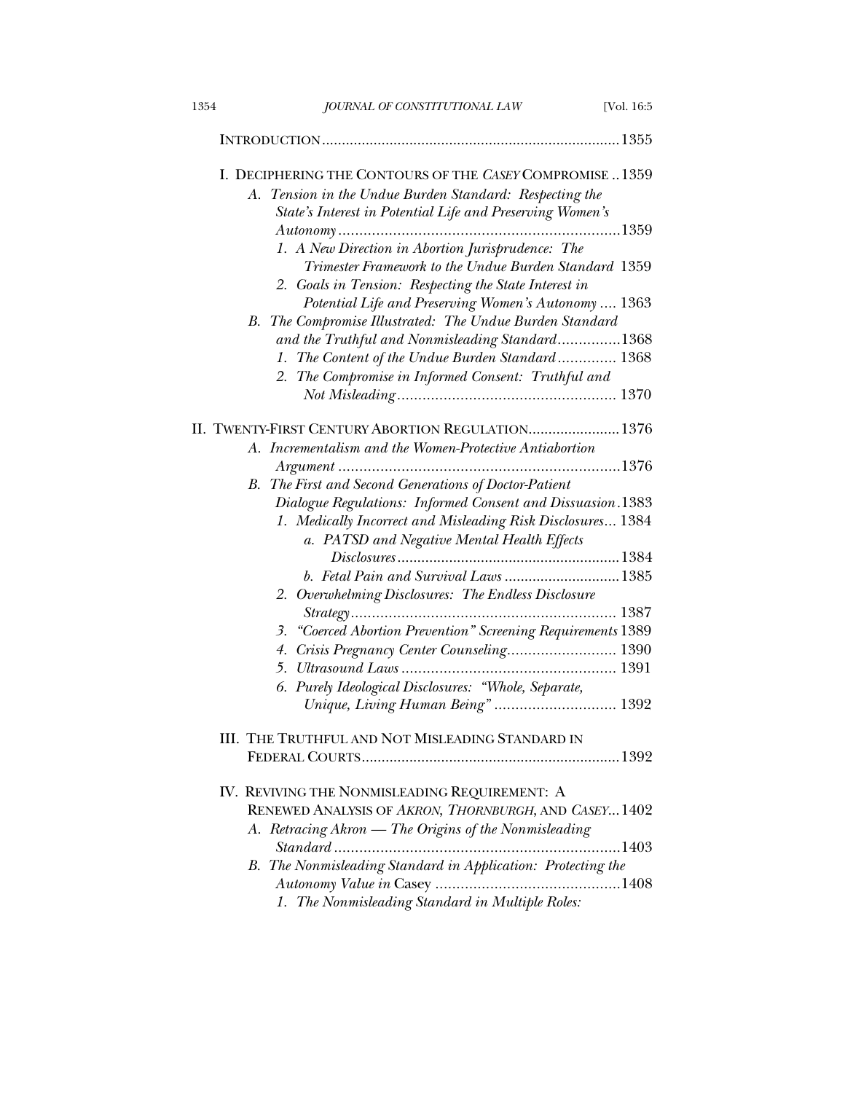| 1354 | JOURNAL OF CONSTITUTIONAL LAW                                                                                                                                                                                               | [Vol. 16:5 |
|------|-----------------------------------------------------------------------------------------------------------------------------------------------------------------------------------------------------------------------------|------------|
|      |                                                                                                                                                                                                                             |            |
| А.   | I. DECIPHERING THE CONTOURS OF THE CASEY COMPROMISE1359<br>Tension in the Undue Burden Standard: Respecting the<br>State's Interest in Potential Life and Preserving Women's                                                |            |
|      |                                                                                                                                                                                                                             |            |
|      | 1. A New Direction in Abortion Jurisprudence: The<br>Trimester Framework to the Undue Burden Standard 1359<br>2. Goals in Tension: Respecting the State Interest in<br>Potential Life and Preserving Women's Autonomy  1363 |            |
| В.   | The Compromise Illustrated: The Undue Burden Standard                                                                                                                                                                       |            |
|      | and the Truthful and Nonmisleading Standard1368                                                                                                                                                                             |            |
|      | 1. The Content of the Undue Burden Standard 1368                                                                                                                                                                            |            |
|      | 2. The Compromise in Informed Consent: Truthful and                                                                                                                                                                         |            |
|      |                                                                                                                                                                                                                             |            |
|      | II. TWENTY-FIRST CENTURY ABORTION REGULATION 1376                                                                                                                                                                           |            |
|      | A. Incrementalism and the Women-Protective Antiabortion                                                                                                                                                                     |            |
|      |                                                                                                                                                                                                                             |            |
| В.   | The First and Second Generations of Doctor-Patient                                                                                                                                                                          |            |
|      | Dialogue Regulations: Informed Consent and Dissuasion.1383                                                                                                                                                                  |            |
|      | 1. Medically Incorrect and Misleading Risk Disclosures 1384                                                                                                                                                                 |            |
|      | a. PATSD and Negative Mental Health Effects                                                                                                                                                                                 |            |
|      |                                                                                                                                                                                                                             |            |
|      | b. Fetal Pain and Survival Laws 1385                                                                                                                                                                                        |            |
|      | 2. Overwhelming Disclosures: The Endless Disclosure                                                                                                                                                                         |            |
|      |                                                                                                                                                                                                                             |            |
|      | 3. "Coerced Abortion Prevention" Screening Requirements 1389                                                                                                                                                                |            |
|      | Crisis Pregnancy Center Counseling 1390<br>4.<br>5.                                                                                                                                                                         |            |
|      | Purely Ideological Disclosures: "Whole, Separate,<br>6.                                                                                                                                                                     |            |
|      | Unique, Living Human Being" 1392                                                                                                                                                                                            |            |
|      | III. THE TRUTHFUL AND NOT MISLEADING STANDARD IN                                                                                                                                                                            |            |
|      |                                                                                                                                                                                                                             |            |
|      | IV. REVIVING THE NONMISLEADING REQUIREMENT: A                                                                                                                                                                               |            |
|      | RENEWED ANALYSIS OF AKRON, THORNBURGH, AND CASEY 1402                                                                                                                                                                       |            |
|      | A. Retracing Akron - The Origins of the Nonmisleading                                                                                                                                                                       |            |
|      | B. The Nonmisleading Standard in Application: Protecting the                                                                                                                                                                |            |
|      | 1. The Nonmisleading Standard in Multiple Roles:                                                                                                                                                                            |            |
|      |                                                                                                                                                                                                                             |            |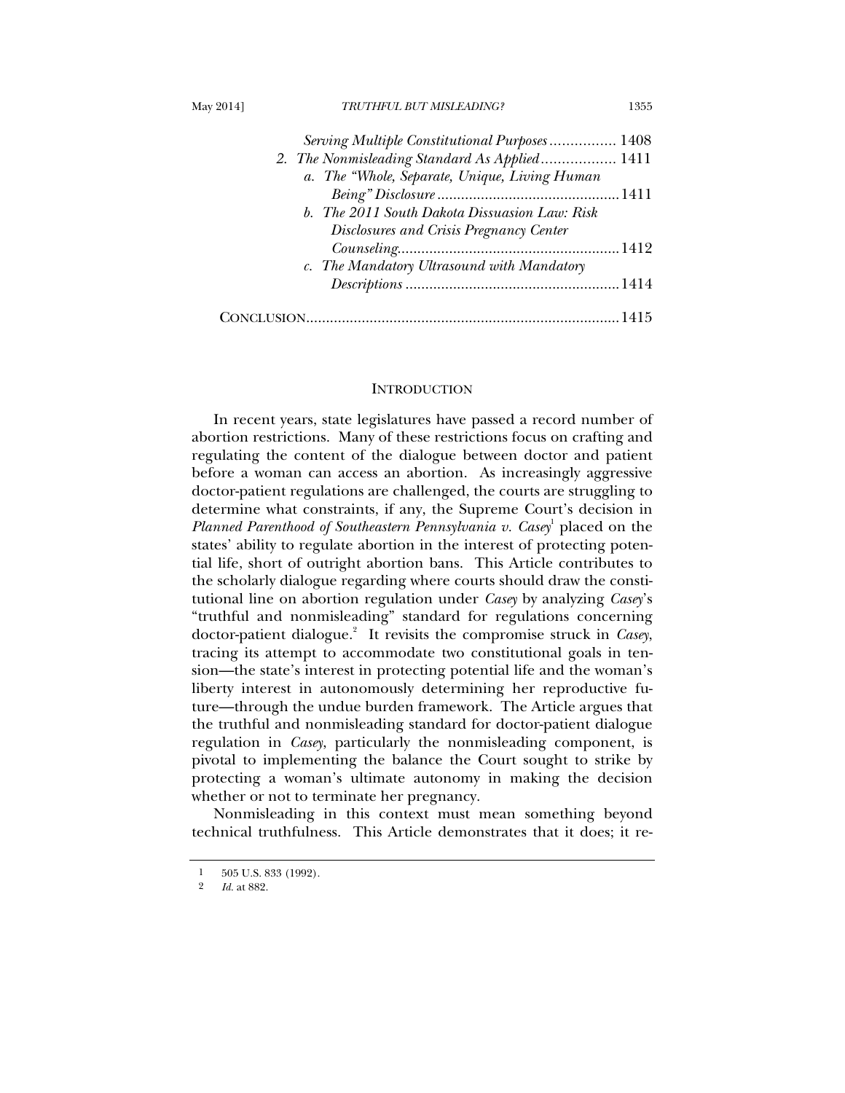|  | Mav 20141 |
|--|-----------|
|--|-----------|

## May 2014] *TRUTHFUL BUT MISLEADING?* 1355

| Serving Multiple Constitutional Purposes 1408 |  |
|-----------------------------------------------|--|
| 2. The Nonmisleading Standard As Applied 1411 |  |
| a. The "Whole, Separate, Unique, Living Human |  |
|                                               |  |
| b. The 2011 South Dakota Dissuasion Law: Risk |  |
| Disclosures and Crisis Pregnancy Center       |  |
|                                               |  |
| c. The Mandatory Ultrasound with Mandatory    |  |
|                                               |  |
|                                               |  |
|                                               |  |

### **INTRODUCTION**

In recent years, state legislatures have passed a record number of abortion restrictions. Many of these restrictions focus on crafting and regulating the content of the dialogue between doctor and patient before a woman can access an abortion. As increasingly aggressive doctor-patient regulations are challenged, the courts are struggling to determine what constraints, if any, the Supreme Court's decision in Planned Parenthood of Southeastern Pennsylvania v. Casey<sup>1</sup> placed on the states' ability to regulate abortion in the interest of protecting potential life, short of outright abortion bans. This Article contributes to the scholarly dialogue regarding where courts should draw the constitutional line on abortion regulation under *Casey* by analyzing *Casey*'s "truthful and nonmisleading" standard for regulations concerning doctor-patient dialogue.<sup>2</sup> It revisits the compromise struck in *Casey*, tracing its attempt to accommodate two constitutional goals in tension—the state's interest in protecting potential life and the woman's liberty interest in autonomously determining her reproductive future—through the undue burden framework. The Article argues that the truthful and nonmisleading standard for doctor-patient dialogue regulation in *Casey*, particularly the nonmisleading component, is pivotal to implementing the balance the Court sought to strike by protecting a woman's ultimate autonomy in making the decision whether or not to terminate her pregnancy.

Nonmisleading in this context must mean something beyond technical truthfulness. This Article demonstrates that it does; it re-

 $\frac{1}{9}$  505 U.S. 833 (1992).

<sup>2</sup> *Id.* at 882.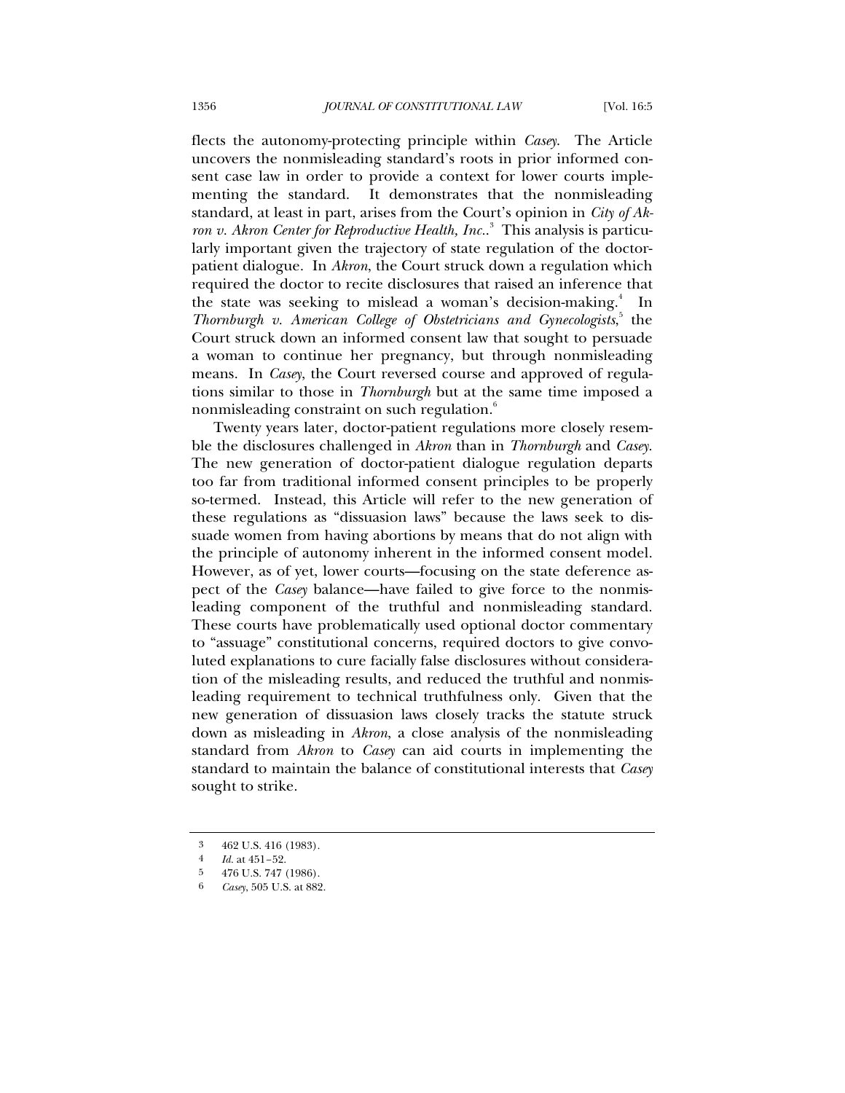flects the autonomy-protecting principle within *Casey*. The Article uncovers the nonmisleading standard's roots in prior informed consent case law in order to provide a context for lower courts implementing the standard. It demonstrates that the nonmisleading standard, at least in part, arises from the Court's opinion in *City of Akron v. Akron Center for Reproductive Health, Inc.*. 3 This analysis is particularly important given the trajectory of state regulation of the doctorpatient dialogue. In *Akron*, the Court struck down a regulation which required the doctor to recite disclosures that raised an inference that the state was seeking to mislead a woman's decision-making.<sup>4</sup> In Thornburgh v. American College of Obstetricians and Gynecologists,<sup>5</sup> the Court struck down an informed consent law that sought to persuade a woman to continue her pregnancy, but through nonmisleading means. In *Casey*, the Court reversed course and approved of regulations similar to those in *Thornburgh* but at the same time imposed a nonmisleading constraint on such regulation.<sup>6</sup>

Twenty years later, doctor-patient regulations more closely resemble the disclosures challenged in *Akron* than in *Thornburgh* and *Casey*. The new generation of doctor-patient dialogue regulation departs too far from traditional informed consent principles to be properly so-termed. Instead, this Article will refer to the new generation of these regulations as "dissuasion laws" because the laws seek to dissuade women from having abortions by means that do not align with the principle of autonomy inherent in the informed consent model. However, as of yet, lower courts—focusing on the state deference aspect of the *Casey* balance—have failed to give force to the nonmisleading component of the truthful and nonmisleading standard. These courts have problematically used optional doctor commentary to "assuage" constitutional concerns, required doctors to give convoluted explanations to cure facially false disclosures without consideration of the misleading results, and reduced the truthful and nonmisleading requirement to technical truthfulness only. Given that the new generation of dissuasion laws closely tracks the statute struck down as misleading in *Akron*, a close analysis of the nonmisleading standard from *Akron* to *Casey* can aid courts in implementing the standard to maintain the balance of constitutional interests that *Casey* sought to strike.

<sup>3 462</sup> U.S. 416 (1983).

<sup>4</sup> *Id.* at 451–52.

<sup>5 476</sup> U.S. 747 (1986).

<sup>6</sup> *Casey*, 505 U.S. at 882.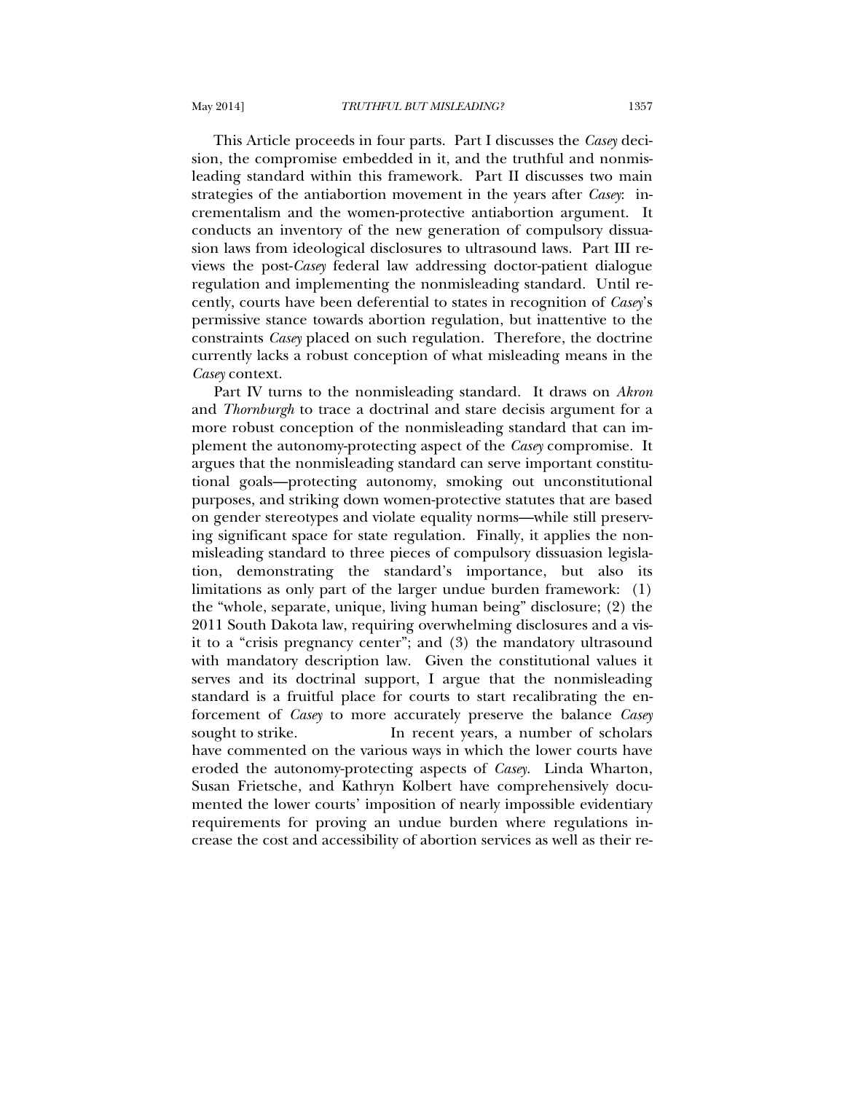This Article proceeds in four parts. Part I discusses the *Casey* decision, the compromise embedded in it, and the truthful and nonmisleading standard within this framework. Part II discusses two main strategies of the antiabortion movement in the years after *Casey*: incrementalism and the women-protective antiabortion argument. It conducts an inventory of the new generation of compulsory dissuasion laws from ideological disclosures to ultrasound laws. Part III reviews the post-*Casey* federal law addressing doctor-patient dialogue regulation and implementing the nonmisleading standard. Until recently, courts have been deferential to states in recognition of *Casey*'s permissive stance towards abortion regulation, but inattentive to the constraints *Casey* placed on such regulation. Therefore, the doctrine currently lacks a robust conception of what misleading means in the *Casey* context.

 Part IV turns to the nonmisleading standard. It draws on *Akron*  and *Thornburgh* to trace a doctrinal and stare decisis argument for a more robust conception of the nonmisleading standard that can implement the autonomy-protecting aspect of the *Casey* compromise. It argues that the nonmisleading standard can serve important constitutional goals—protecting autonomy, smoking out unconstitutional purposes, and striking down women-protective statutes that are based on gender stereotypes and violate equality norms—while still preserving significant space for state regulation. Finally, it applies the nonmisleading standard to three pieces of compulsory dissuasion legislation, demonstrating the standard's importance, but also its limitations as only part of the larger undue burden framework: (1) the "whole, separate, unique, living human being" disclosure; (2) the 2011 South Dakota law, requiring overwhelming disclosures and a visit to a "crisis pregnancy center"; and (3) the mandatory ultrasound with mandatory description law. Given the constitutional values it serves and its doctrinal support, I argue that the nonmisleading standard is a fruitful place for courts to start recalibrating the enforcement of *Casey* to more accurately preserve the balance *Casey* sought to strike. In recent years, a number of scholars have commented on the various ways in which the lower courts have eroded the autonomy-protecting aspects of *Casey*. Linda Wharton, Susan Frietsche, and Kathryn Kolbert have comprehensively documented the lower courts' imposition of nearly impossible evidentiary requirements for proving an undue burden where regulations increase the cost and accessibility of abortion services as well as their re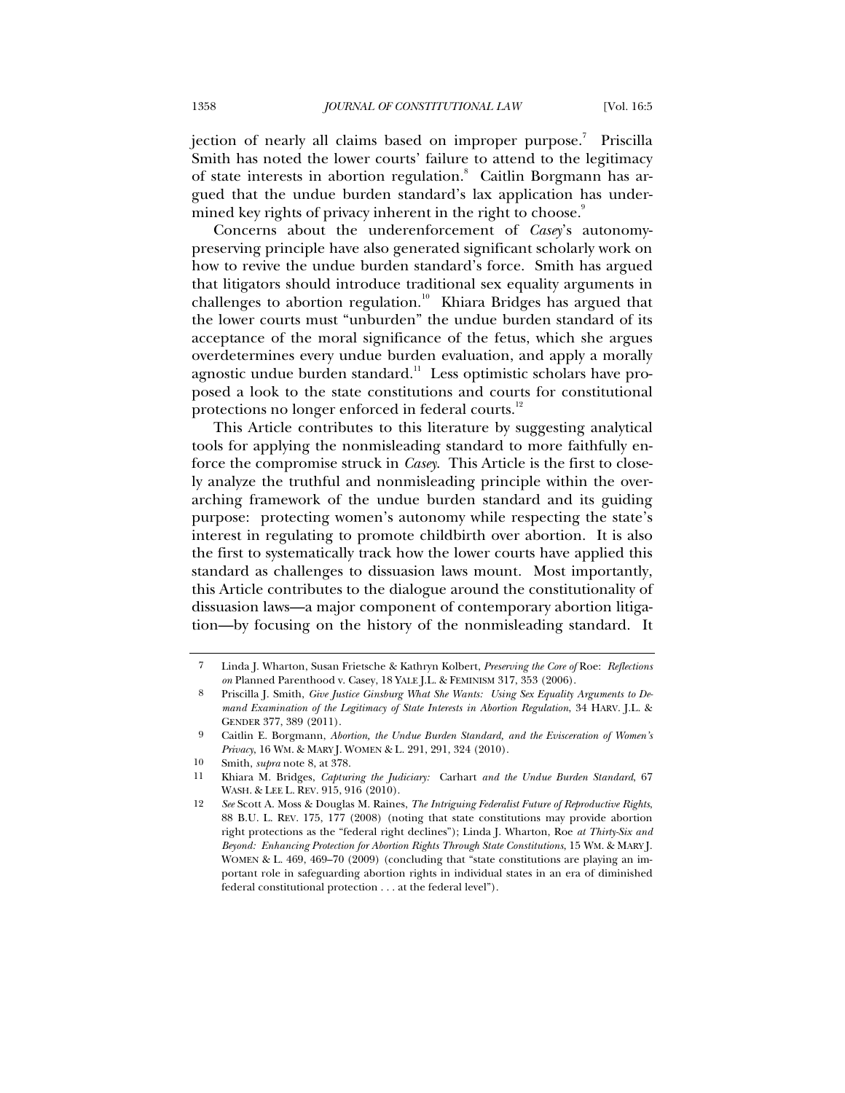jection of nearly all claims based on improper purpose.<sup>7</sup> Priscilla Smith has noted the lower courts' failure to attend to the legitimacy of state interests in abortion regulation.<sup>8</sup> Caitlin Borgmann has argued that the undue burden standard's lax application has undermined key rights of privacy inherent in the right to choose.<sup>9</sup>

Concerns about the underenforcement of *Casey*'s autonomypreserving principle have also generated significant scholarly work on how to revive the undue burden standard's force. Smith has argued that litigators should introduce traditional sex equality arguments in challenges to abortion regulation.<sup>10</sup> Khiara Bridges has argued that the lower courts must "unburden" the undue burden standard of its acceptance of the moral significance of the fetus, which she argues overdetermines every undue burden evaluation, and apply a morally agnostic undue burden standard.<sup>11</sup> Less optimistic scholars have proposed a look to the state constitutions and courts for constitutional protections no longer enforced in federal courts.<sup>12</sup>

This Article contributes to this literature by suggesting analytical tools for applying the nonmisleading standard to more faithfully enforce the compromise struck in *Casey*. This Article is the first to closely analyze the truthful and nonmisleading principle within the overarching framework of the undue burden standard and its guiding purpose: protecting women's autonomy while respecting the state's interest in regulating to promote childbirth over abortion. It is also the first to systematically track how the lower courts have applied this standard as challenges to dissuasion laws mount. Most importantly, this Article contributes to the dialogue around the constitutionality of dissuasion laws—a major component of contemporary abortion litigation—by focusing on the history of the nonmisleading standard. It

<sup>7</sup> Linda J. Wharton, Susan Frietsche & Kathryn Kolbert, *Preserving the Core of* Roe: *Reflections on* Planned Parenthood v. Casey, 18 YALE J.L. & FEMINISM 317, 353 (2006).

<sup>8</sup> Priscilla J. Smith, *Give Justice Ginsburg What She Wants: Using Sex Equality Arguments to Demand Examination of the Legitimacy of State Interests in Abortion Regulation*, 34 HARV. J.L. & GENDER 377, 389 (2011).

<sup>9</sup> Caitlin E. Borgmann, *Abortion, the Undue Burden Standard, and the Evisceration of Women's Privacy*, 16 WM. & MARY J. WOMEN & L. 291, 291, 324 (2010).

<sup>10</sup> Smith, *supra* note 8, at 378.

<sup>11</sup> Khiara M. Bridges, *Capturing the Judiciary:* Carhart *and the Undue Burden Standard*, 67 WASH. & LEE L. REV. 915, 916 (2010).

<sup>12</sup> *See* Scott A. Moss & Douglas M. Raines, *The Intriguing Federalist Future of Reproductive Rights*, 88 B.U. L. REV. 175, 177 (2008) (noting that state constitutions may provide abortion right protections as the "federal right declines"); Linda J. Wharton, Roe *at Thirty-Six and Beyond: Enhancing Protection for Abortion Rights Through State Constitutions*, 15 WM. & MARY J. WOMEN & L. 469, 469–70 (2009) (concluding that "state constitutions are playing an important role in safeguarding abortion rights in individual states in an era of diminished federal constitutional protection . . . at the federal level").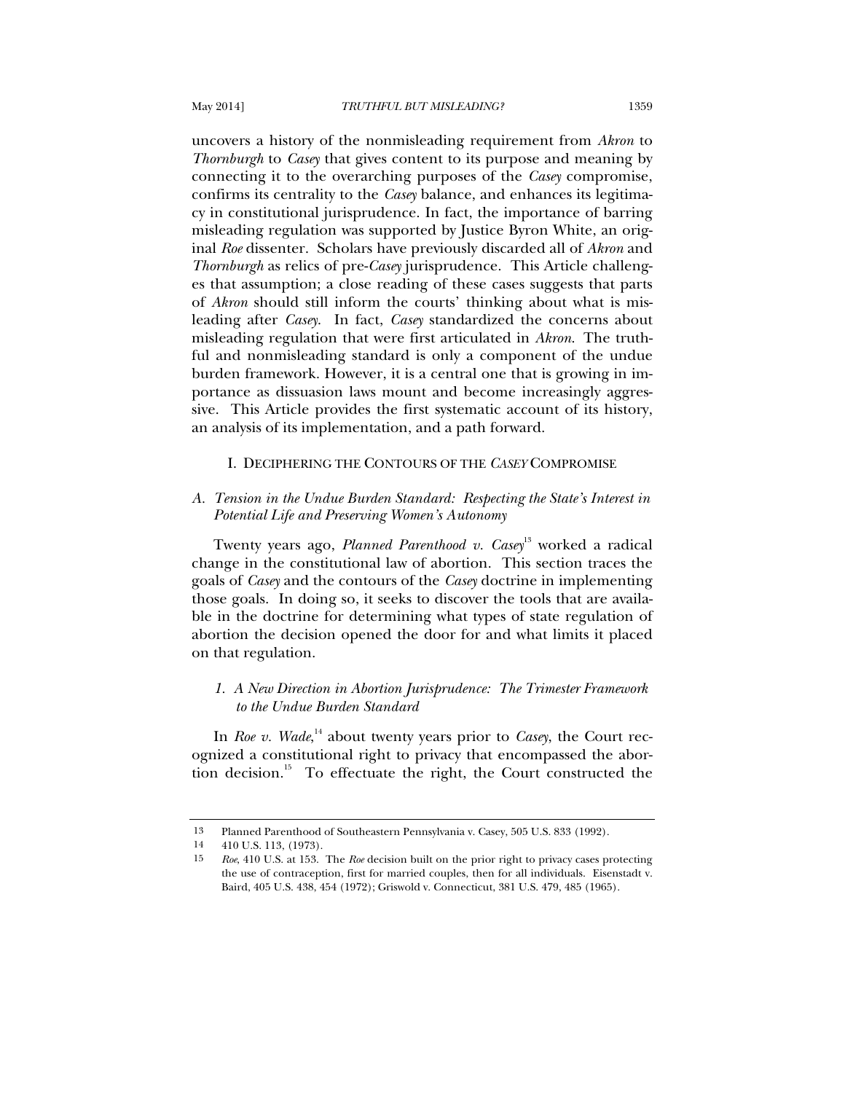uncovers a history of the nonmisleading requirement from *Akron* to *Thornburgh* to *Casey* that gives content to its purpose and meaning by connecting it to the overarching purposes of the *Casey* compromise, confirms its centrality to the *Casey* balance, and enhances its legitimacy in constitutional jurisprudence. In fact, the importance of barring misleading regulation was supported by Justice Byron White, an original *Roe* dissenter. Scholars have previously discarded all of *Akron* and *Thornburgh* as relics of pre-*Casey* jurisprudence. This Article challenges that assumption; a close reading of these cases suggests that parts of *Akron* should still inform the courts' thinking about what is misleading after *Casey*. In fact, *Casey* standardized the concerns about misleading regulation that were first articulated in *Akron*. The truthful and nonmisleading standard is only a component of the undue burden framework. However, it is a central one that is growing in importance as dissuasion laws mount and become increasingly aggressive. This Article provides the first systematic account of its history, an analysis of its implementation, and a path forward.

# I. DECIPHERING THE CONTOURS OF THE *CASEY* COMPROMISE

# *A. Tension in the Undue Burden Standard: Respecting the State's Interest in Potential Life and Preserving Women's Autonomy*

Twenty years ago, *Planned Parenthood v. Casey*13 worked a radical change in the constitutional law of abortion. This section traces the goals of *Casey* and the contours of the *Casey* doctrine in implementing those goals. In doing so, it seeks to discover the tools that are available in the doctrine for determining what types of state regulation of abortion the decision opened the door for and what limits it placed on that regulation.

# *1. A New Direction in Abortion Jurisprudence: The Trimester Framework to the Undue Burden Standard*

In *Roe v. Wade*,<sup>14</sup> about twenty years prior to *Casey*, the Court recognized a constitutional right to privacy that encompassed the abortion decision.<sup>15</sup> To effectuate the right, the Court constructed the

<sup>13</sup> Planned Parenthood of Southeastern Pennsylvania v. Casey, 505 U.S. 833 (1992).

<sup>14 410</sup> U.S. 113, (1973).

 <sup>15</sup> *Roe*, 410 U.S. at 153. The *Roe* decision built on the prior right to privacy cases protecting the use of contraception, first for married couples, then for all individuals. Eisenstadt v. Baird, 405 U.S. 438, 454 (1972); Griswold v. Connecticut, 381 U.S. 479, 485 (1965).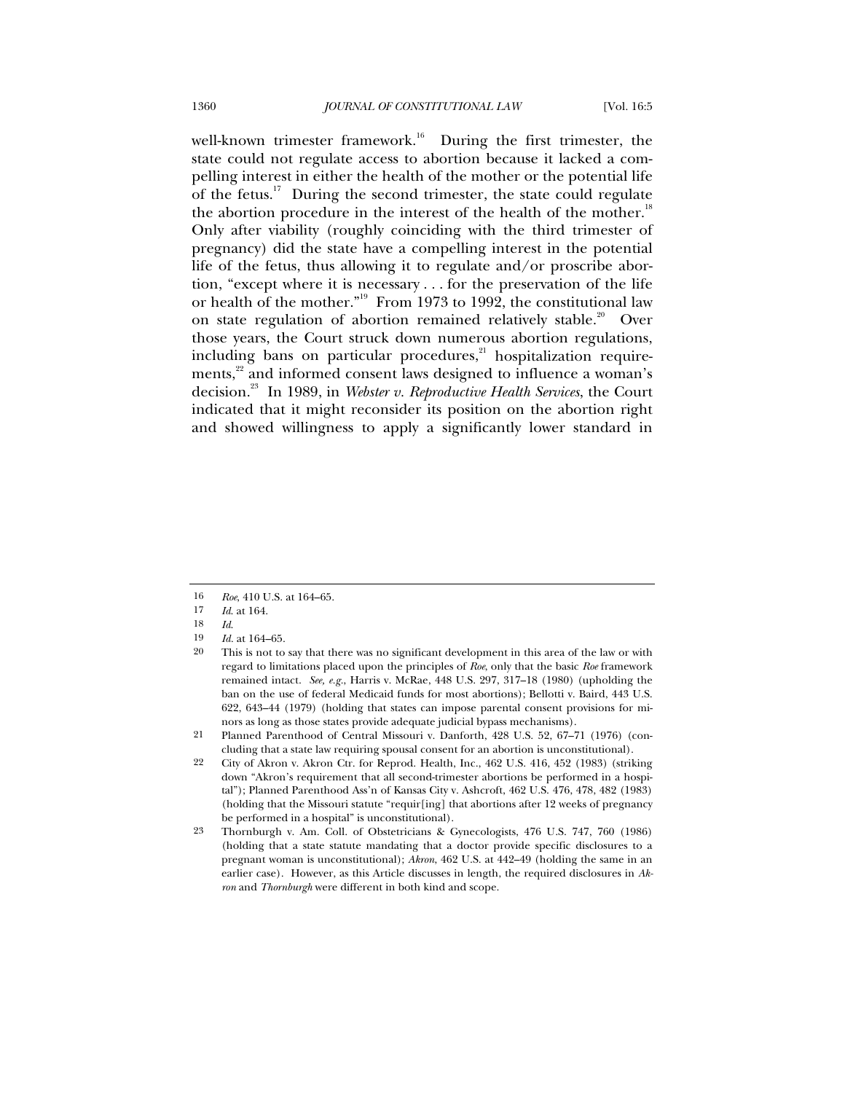well-known trimester framework.<sup>16</sup> During the first trimester, the state could not regulate access to abortion because it lacked a compelling interest in either the health of the mother or the potential life of the fetus.<sup>17</sup> During the second trimester, the state could regulate the abortion procedure in the interest of the health of the mother.<sup>18</sup> Only after viability (roughly coinciding with the third trimester of pregnancy) did the state have a compelling interest in the potential life of the fetus, thus allowing it to regulate and/or proscribe abortion, "except where it is necessary . . . for the preservation of the life or health of the mother."<sup>19</sup> From 1973 to 1992, the constitutional law on state regulation of abortion remained relatively stable.<sup>20</sup> Over those years, the Court struck down numerous abortion regulations, including bans on particular procedures, $^{21}$  hospitalization requirements,<sup>22</sup> and informed consent laws designed to influence a woman's decision.23 In 1989, in *Webster v. Reproductive Health Services*, the Court indicated that it might reconsider its position on the abortion right and showed willingness to apply a significantly lower standard in

<sup>16</sup> *Roe*, 410 U.S. at 164–65.

<sup>17</sup> *Id*. at 164.

<sup>18</sup> *Id*.

*Id.* at 164–65.

<sup>20</sup> This is not to say that there was no significant development in this area of the law or with regard to limitations placed upon the principles of *Roe*, only that the basic *Roe* framework remained intact. *See, e.g.*, Harris v. McRae, 448 U.S. 297, 317–18 (1980) (upholding the ban on the use of federal Medicaid funds for most abortions); Bellotti v. Baird, 443 U.S. 622, 643–44 (1979) (holding that states can impose parental consent provisions for minors as long as those states provide adequate judicial bypass mechanisms).

<sup>21</sup> Planned Parenthood of Central Missouri v. Danforth, 428 U.S. 52, 67–71 (1976) (concluding that a state law requiring spousal consent for an abortion is unconstitutional).

<sup>22</sup> City of Akron v. Akron Ctr. for Reprod. Health, Inc., 462 U.S. 416, 452 (1983) (striking down "Akron's requirement that all second-trimester abortions be performed in a hospital"); Planned Parenthood Ass'n of Kansas City v. Ashcroft, 462 U.S. 476, 478, 482 (1983) (holding that the Missouri statute "requir[ing] that abortions after 12 weeks of pregnancy be performed in a hospital" is unconstitutional).

<sup>23</sup> Thornburgh v. Am. Coll. of Obstetricians & Gynecologists, 476 U.S. 747, 760 (1986) (holding that a state statute mandating that a doctor provide specific disclosures to a pregnant woman is unconstitutional); *Akron*, 462 U.S. at 442–49 (holding the same in an earlier case). However, as this Article discusses in length, the required disclosures in *Akron* and *Thornburgh* were different in both kind and scope.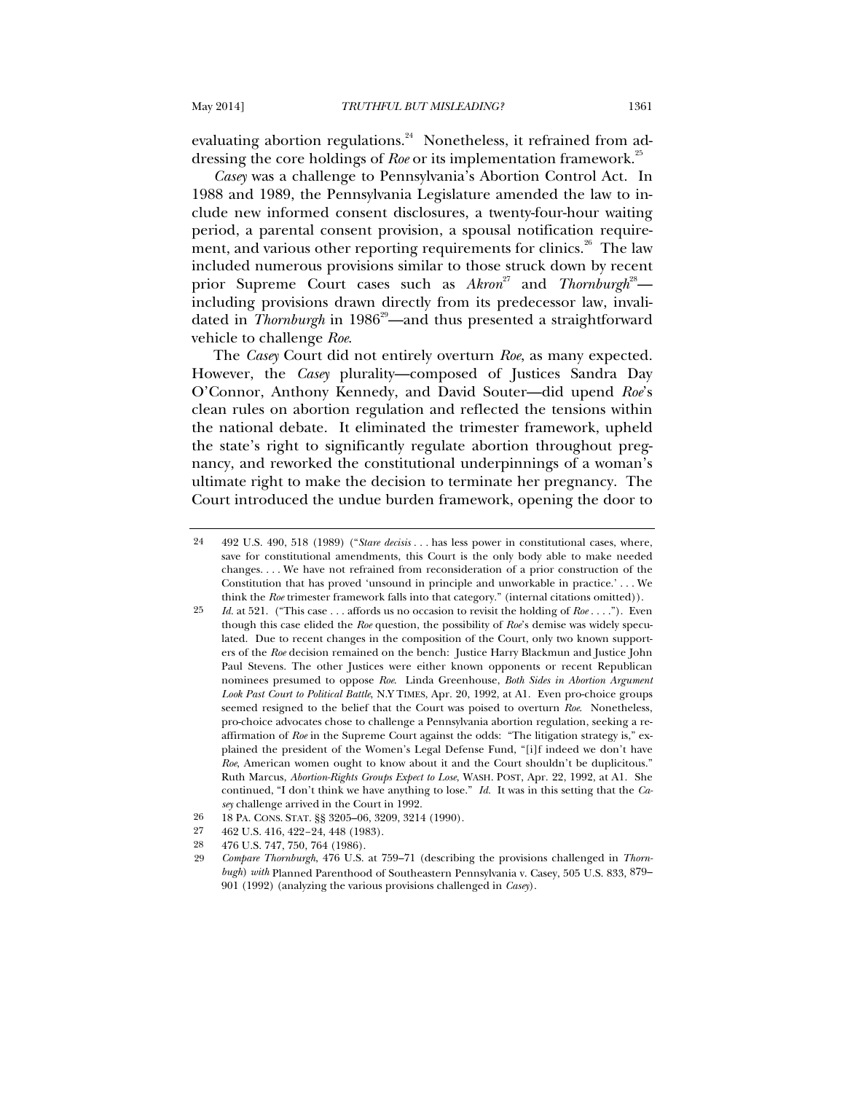evaluating abortion regulations. $24$  Nonetheless, it refrained from addressing the core holdings of *Roe* or its implementation framework.<sup>25</sup>

*Casey* was a challenge to Pennsylvania's Abortion Control Act. In 1988 and 1989, the Pennsylvania Legislature amended the law to include new informed consent disclosures, a twenty-four-hour waiting period, a parental consent provision, a spousal notification requirement, and various other reporting requirements for clinics.<sup>26</sup> The law included numerous provisions similar to those struck down by recent prior Supreme Court cases such as  $Akron^{27}$  and  $Thomburgh^{28}$  including provisions drawn directly from its predecessor law, invalidated in *Thornburgh* in 1986<sup>29</sup>—and thus presented a straightforward vehicle to challenge *Roe*.

The *Casey* Court did not entirely overturn *Roe*, as many expected. However, the *Casey* plurality—composed of Justices Sandra Day O'Connor, Anthony Kennedy, and David Souter—did upend *Roe*'s clean rules on abortion regulation and reflected the tensions within the national debate. It eliminated the trimester framework, upheld the state's right to significantly regulate abortion throughout pregnancy, and reworked the constitutional underpinnings of a woman's ultimate right to make the decision to terminate her pregnancy. The Court introduced the undue burden framework, opening the door to

<sup>24 492</sup> U.S. 490, 518 (1989) ("*Stare decisis . . .* has less power in constitutional cases, where, save for constitutional amendments, this Court is the only body able to make needed changes. . . . We have not refrained from reconsideration of a prior construction of the Constitution that has proved 'unsound in principle and unworkable in practice.' . . . We think the *Roe* trimester framework falls into that category." (internal citations omitted)).

<sup>25</sup> *Id.* at 521. ("This case . . . affords us no occasion to revisit the holding of *Roe* . . . ."). Even though this case elided the *Roe* question, the possibility of *Roe*'s demise was widely speculated. Due to recent changes in the composition of the Court, only two known supporters of the *Roe* decision remained on the bench: Justice Harry Blackmun and Justice John Paul Stevens. The other Justices were either known opponents or recent Republican nominees presumed to oppose *Roe*. Linda Greenhouse, *Both Sides in Abortion Argument Look Past Court to Political Battle*, N.Y TIMES, Apr. 20, 1992, at A1. Even pro-choice groups seemed resigned to the belief that the Court was poised to overturn *Roe*. Nonetheless, pro-choice advocates chose to challenge a Pennsylvania abortion regulation, seeking a reaffirmation of *Roe* in the Supreme Court against the odds: "The litigation strategy is," explained the president of the Women's Legal Defense Fund, "[i]f indeed we don't have *Roe*, American women ought to know about it and the Court shouldn't be duplicitous." Ruth Marcus, *Abortion-Rights Groups Expect to Lose*, WASH. POST, Apr. 22, 1992, at A1. She continued, "I don't think we have anything to lose." *Id.* It was in this setting that the *Casey* challenge arrived in the Court in 1992.

<sup>26 18</sup> PA. CONS. STAT. §§ 3205-06, 3209, 3214 (1990).<br>27 469 U.S. 416, 499-94, 448 (1983)

<sup>27 462</sup> U.S. 416, 422–24, 448 (1983).

<sup>28 476</sup> U.S. 747, 750, 764 (1986).

 <sup>29</sup> *Compare Thornburgh*, 476 U.S. at 759–71 (describing the provisions challenged in *Thornbugh*) *with* Planned Parenthood of Southeastern Pennsylvania v. Casey, 505 U.S. 833, 879– 901 (1992) (analyzing the various provisions challenged in *Casey*).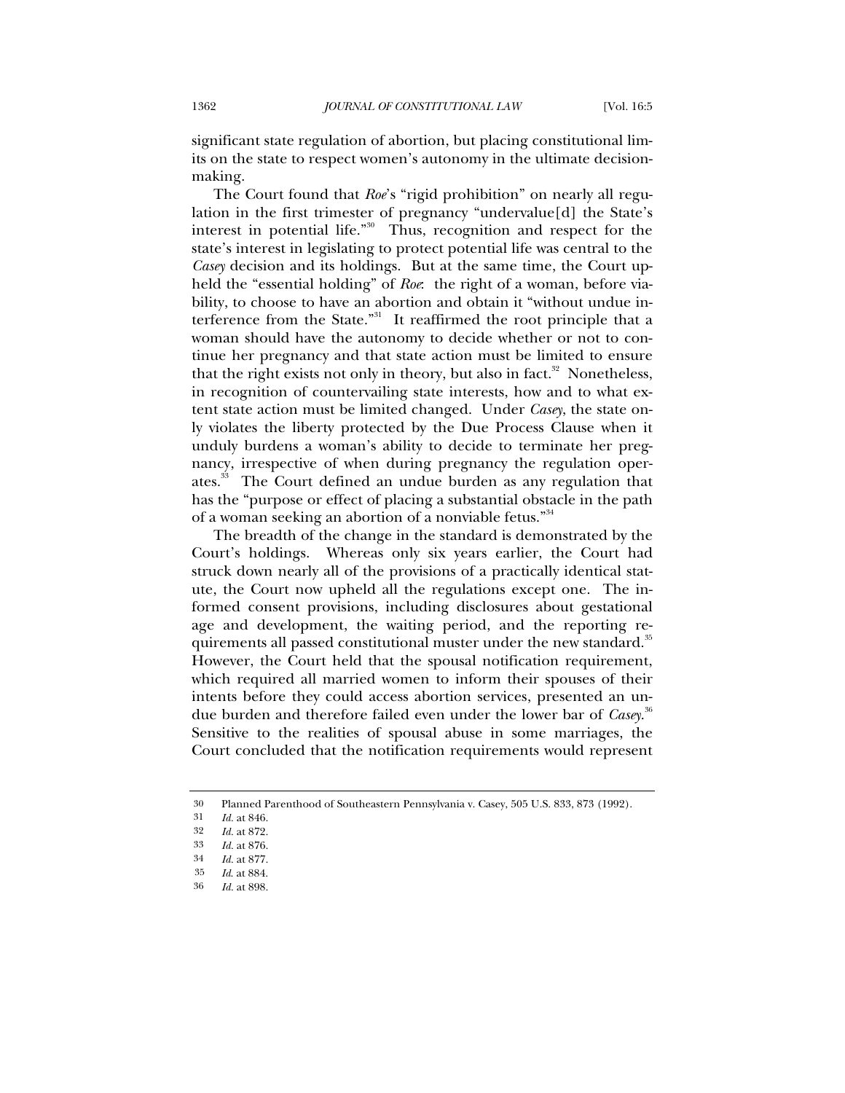significant state regulation of abortion, but placing constitutional limits on the state to respect women's autonomy in the ultimate decisionmaking.

The Court found that *Roe*'s "rigid prohibition" on nearly all regulation in the first trimester of pregnancy "undervalue[d] the State's interest in potential life."30 Thus, recognition and respect for the state's interest in legislating to protect potential life was central to the *Casey* decision and its holdings. But at the same time, the Court upheld the "essential holding" of *Roe*: the right of a woman, before viability, to choose to have an abortion and obtain it "without undue interference from the State."<sup>31</sup> It reaffirmed the root principle that a woman should have the autonomy to decide whether or not to continue her pregnancy and that state action must be limited to ensure that the right exists not only in theory, but also in fact.<sup>32</sup> Nonetheless, in recognition of countervailing state interests, how and to what extent state action must be limited changed. Under *Casey*, the state only violates the liberty protected by the Due Process Clause when it unduly burdens a woman's ability to decide to terminate her pregnancy, irrespective of when during pregnancy the regulation operates.<sup>33</sup> The Court defined an undue burden as any regulation that has the "purpose or effect of placing a substantial obstacle in the path of a woman seeking an abortion of a nonviable fetus."<sup>34</sup>

The breadth of the change in the standard is demonstrated by the Court's holdings. Whereas only six years earlier, the Court had struck down nearly all of the provisions of a practically identical statute, the Court now upheld all the regulations except one. The informed consent provisions, including disclosures about gestational age and development, the waiting period, and the reporting requirements all passed constitutional muster under the new standard.<sup>35</sup> However, the Court held that the spousal notification requirement, which required all married women to inform their spouses of their intents before they could access abortion services, presented an undue burden and therefore failed even under the lower bar of *Casey*. 36 Sensitive to the realities of spousal abuse in some marriages, the Court concluded that the notification requirements would represent

<sup>30</sup> Planned Parenthood of Southeastern Pennsylvania v. Casey, 505 U.S. 833, 873 (1992).<br> $\frac{1}{d}$  at 846

<sup>31</sup> *Id.* at 846.

<sup>32</sup> *Id.* at 872.

<sup>33</sup> *Id.* at 876.

<sup>34</sup> *Id.* at 877.

<sup>35</sup> *Id*. at 884.

<sup>36</sup> *Id.* at 898.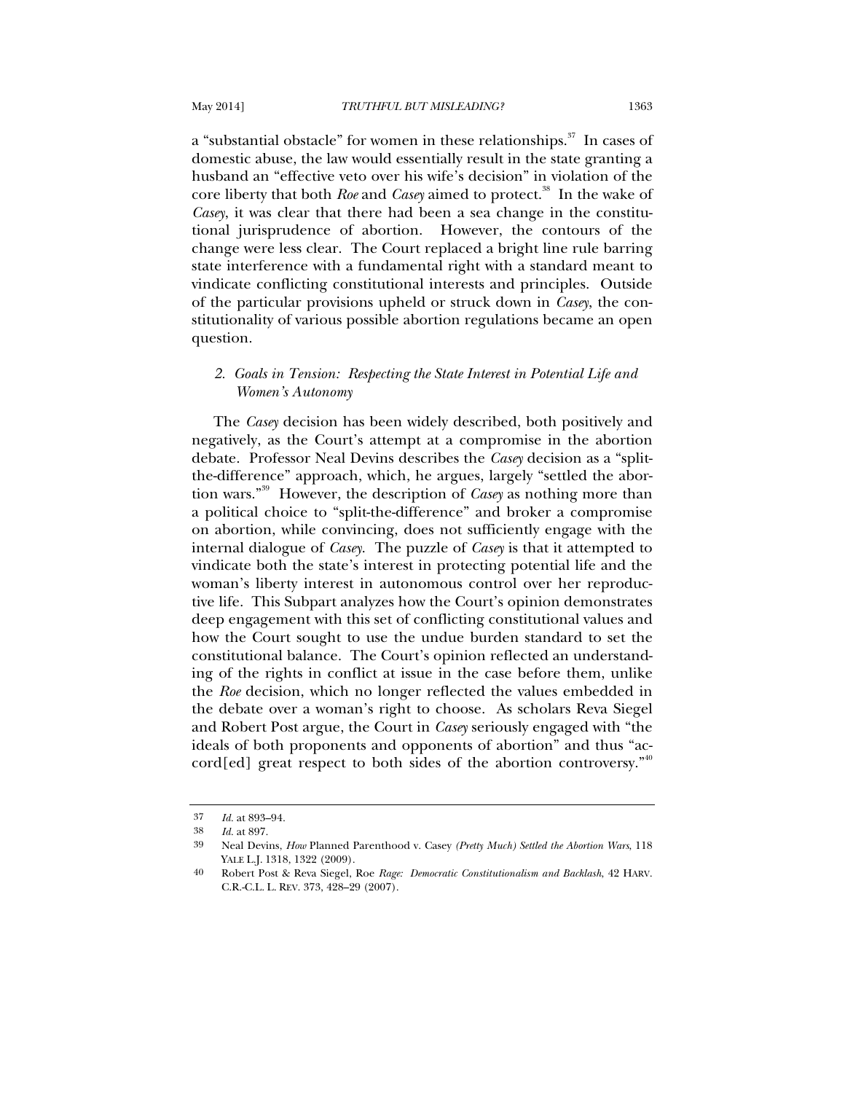a "substantial obstacle" for women in these relationships.<sup>37</sup> In cases of domestic abuse, the law would essentially result in the state granting a husband an "effective veto over his wife's decision" in violation of the core liberty that both *Roe* and *Casey* aimed to protect.<sup>38</sup> In the wake of *Casey*, it was clear that there had been a sea change in the constitutional jurisprudence of abortion. However, the contours of the change were less clear. The Court replaced a bright line rule barring state interference with a fundamental right with a standard meant to vindicate conflicting constitutional interests and principles. Outside of the particular provisions upheld or struck down in *Casey*, the constitutionality of various possible abortion regulations became an open question.

# *2. Goals in Tension: Respecting the State Interest in Potential Life and Women's Autonomy*

The *Casey* decision has been widely described, both positively and negatively, as the Court's attempt at a compromise in the abortion debate. Professor Neal Devins describes the *Casey* decision as a "splitthe-difference" approach, which, he argues, largely "settled the abortion wars."39 However, the description of *Casey* as nothing more than a political choice to "split-the-difference" and broker a compromise on abortion, while convincing, does not sufficiently engage with the internal dialogue of *Casey*. The puzzle of *Casey* is that it attempted to vindicate both the state's interest in protecting potential life and the woman's liberty interest in autonomous control over her reproductive life. This Subpart analyzes how the Court's opinion demonstrates deep engagement with this set of conflicting constitutional values and how the Court sought to use the undue burden standard to set the constitutional balance. The Court's opinion reflected an understanding of the rights in conflict at issue in the case before them, unlike the *Roe* decision, which no longer reflected the values embedded in the debate over a woman's right to choose. As scholars Reva Siegel and Robert Post argue, the Court in *Casey* seriously engaged with "the ideals of both proponents and opponents of abortion" and thus "accord[ed] great respect to both sides of the abortion controversy. $^{\cdot^{40}}$ 

<sup>37</sup> *Id.* at 893–94.

<sup>38</sup> *Id.* at 897.

<sup>39</sup> Neal Devins, *How* Planned Parenthood v. Casey *(Pretty Much) Settled the Abortion Wars*, 118 YALE L.J. 1318, 1322 (2009).

<sup>40</sup> Robert Post & Reva Siegel, Roe *Rage: Democratic Constitutionalism and Backlash*, 42 HARV. C.R.-C.L. L. REV. 373, 428–29 (2007).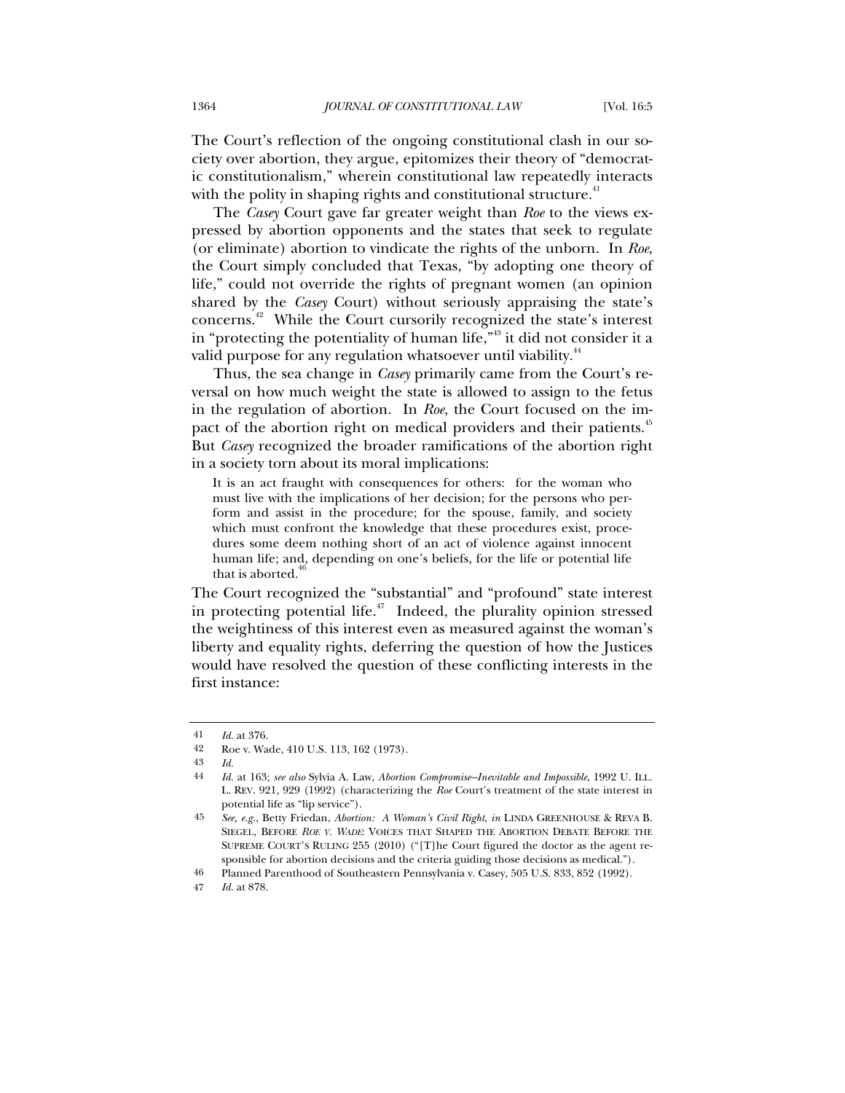The Court's reflection of the ongoing constitutional clash in our society over abortion, they argue, epitomizes their theory of "democratic constitutionalism," wherein constitutional law repeatedly interacts with the polity in shaping rights and constitutional structure.<sup>41</sup>

The *Casey* Court gave far greater weight than *Roe* to the views expressed by abortion opponents and the states that seek to regulate (or eliminate) abortion to vindicate the rights of the unborn. In *Roe*, the Court simply concluded that Texas, "by adopting one theory of life," could not override the rights of pregnant women (an opinion shared by the *Casey* Court) without seriously appraising the state's concerns.42 While the Court cursorily recognized the state's interest in "protecting the potentiality of human life," $43$  it did not consider it a valid purpose for any regulation whatsoever until viability.<sup>44</sup>

Thus, the sea change in *Casey* primarily came from the Court's reversal on how much weight the state is allowed to assign to the fetus in the regulation of abortion. In *Roe*, the Court focused on the impact of the abortion right on medical providers and their patients.<sup>45</sup> But *Casey* recognized the broader ramifications of the abortion right in a society torn about its moral implications:

It is an act fraught with consequences for others: for the woman who must live with the implications of her decision; for the persons who perform and assist in the procedure; for the spouse, family, and society which must confront the knowledge that these procedures exist, procedures some deem nothing short of an act of violence against innocent human life; and, depending on one's beliefs, for the life or potential life that is aborted.

The Court recognized the "substantial" and "profound" state interest in protecting potential life. $47$  Indeed, the plurality opinion stressed the weightiness of this interest even as measured against the woman's liberty and equality rights, deferring the question of how the Justices would have resolved the question of these conflicting interests in the first instance:

<sup>41</sup> *Id.* at 376.

<sup>42</sup> Roe v. Wade, 410 U.S. 113, 162 (1973).

<sup>43</sup> *Id.*

<sup>44</sup> *Id.* at 163; *see also* Sylvia A. Law, *Abortion Compromise—Inevitable and Impossible*, 1992 U. ILL. L. REV. 921, 929 (1992) (characterizing the *Roe* Court's treatment of the state interest in potential life as "lip service").

 <sup>45</sup> *See, e.g.*, Betty Friedan, *Abortion: A Woman's Civil Right*, *in* LINDA GREENHOUSE & REVA B. SIEGEL, BEFORE *ROE V. WADE*: VOICES THAT SHAPED THE ABORTION DEBATE BEFORE THE SUPREME COURT'S RULING 255 (2010) ("[T]he Court figured the doctor as the agent responsible for abortion decisions and the criteria guiding those decisions as medical.").

<sup>46</sup> Planned Parenthood of Southeastern Pennsylvania v. Casey, 505 U.S. 833, 852 (1992).

<sup>47</sup> *Id.* at 878.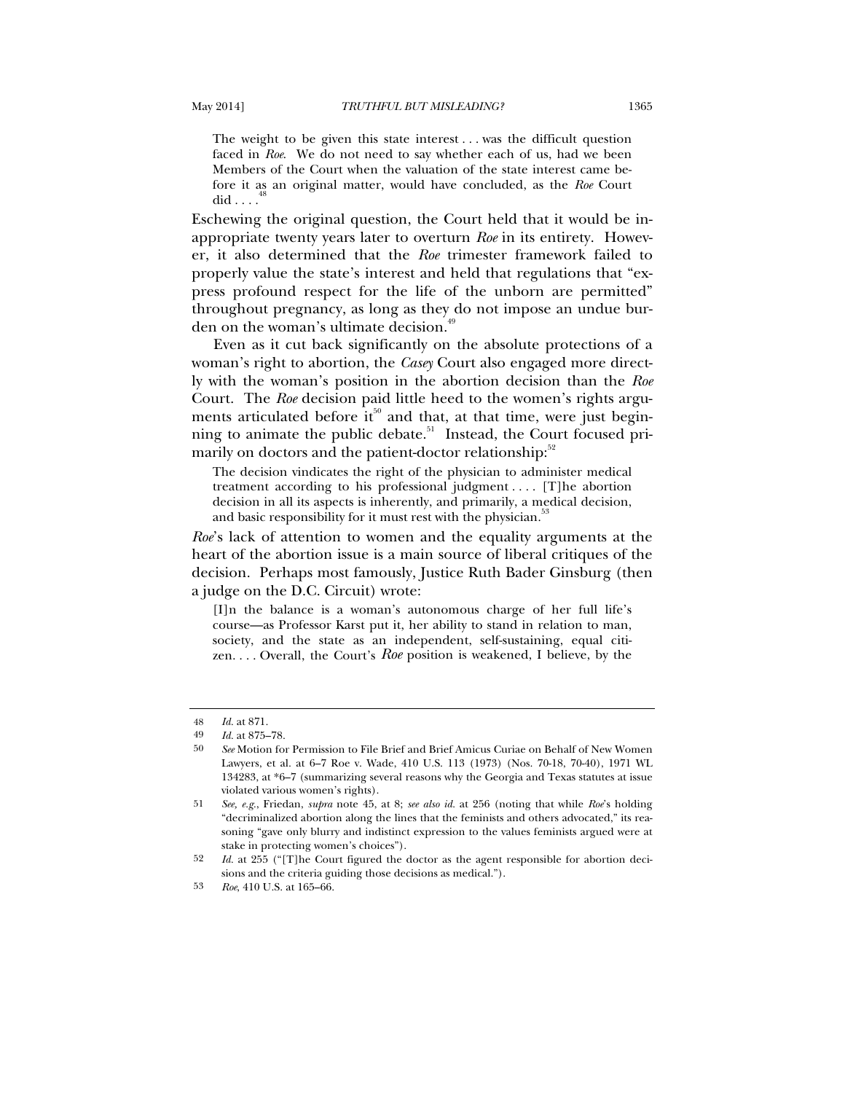The weight to be given this state interest . . . was the difficult question faced in *Roe*. We do not need to say whether each of us, had we been Members of the Court when the valuation of the state interest came before it as an original matter, would have concluded, as the *Roe* Court did  $\ldots$ 

Eschewing the original question, the Court held that it would be inappropriate twenty years later to overturn *Roe* in its entirety. However, it also determined that the *Roe* trimester framework failed to properly value the state's interest and held that regulations that "express profound respect for the life of the unborn are permitted" throughout pregnancy, as long as they do not impose an undue burden on the woman's ultimate decision.<sup>49</sup>

Even as it cut back significantly on the absolute protections of a woman's right to abortion, the *Casey* Court also engaged more directly with the woman's position in the abortion decision than the *Roe* Court. The *Roe* decision paid little heed to the women's rights arguments articulated before it<sup>50</sup> and that, at that time, were just beginning to animate the public debate.<sup>51</sup> Instead, the Court focused primarily on doctors and the patient-doctor relationship:<sup>52</sup>

The decision vindicates the right of the physician to administer medical treatment according to his professional judgment . . . . [T]he abortion decision in all its aspects is inherently, and primarily, a medical decision, and basic responsibility for it must rest with the physician.<sup>5</sup>

*Roe*'s lack of attention to women and the equality arguments at the heart of the abortion issue is a main source of liberal critiques of the decision. Perhaps most famously, Justice Ruth Bader Ginsburg (then a judge on the D.C. Circuit) wrote:

[I]n the balance is a woman's autonomous charge of her full life's course—as Professor Karst put it, her ability to stand in relation to man, society, and the state as an independent, self-sustaining, equal citizen. . . . Overall, the Court's *Roe* position is weakened, I believe, by the

53 *Roe*, 410 U.S. at 165–66.

<sup>48</sup> *Id.* at 871.

<sup>49</sup> *Id.* at 875–78.

<sup>50</sup> *See* Motion for Permission to File Brief and Brief Amicus Curiae on Behalf of New Women Lawyers, et al. at 6–7 Roe v. Wade, 410 U.S. 113 (1973) (Nos. 70-18, 70-40), 1971 WL 134283, at \*6–7 (summarizing several reasons why the Georgia and Texas statutes at issue violated various women's rights).

<sup>51</sup> *See, e.g.*, Friedan, *supra* note 45, at 8; *see also id.* at 256 (noting that while *Roe*'s holding "decriminalized abortion along the lines that the feminists and others advocated," its reasoning "gave only blurry and indistinct expression to the values feminists argued were at stake in protecting women's choices").

<sup>52</sup> *Id.* at 255 ("[T]he Court figured the doctor as the agent responsible for abortion decisions and the criteria guiding those decisions as medical.").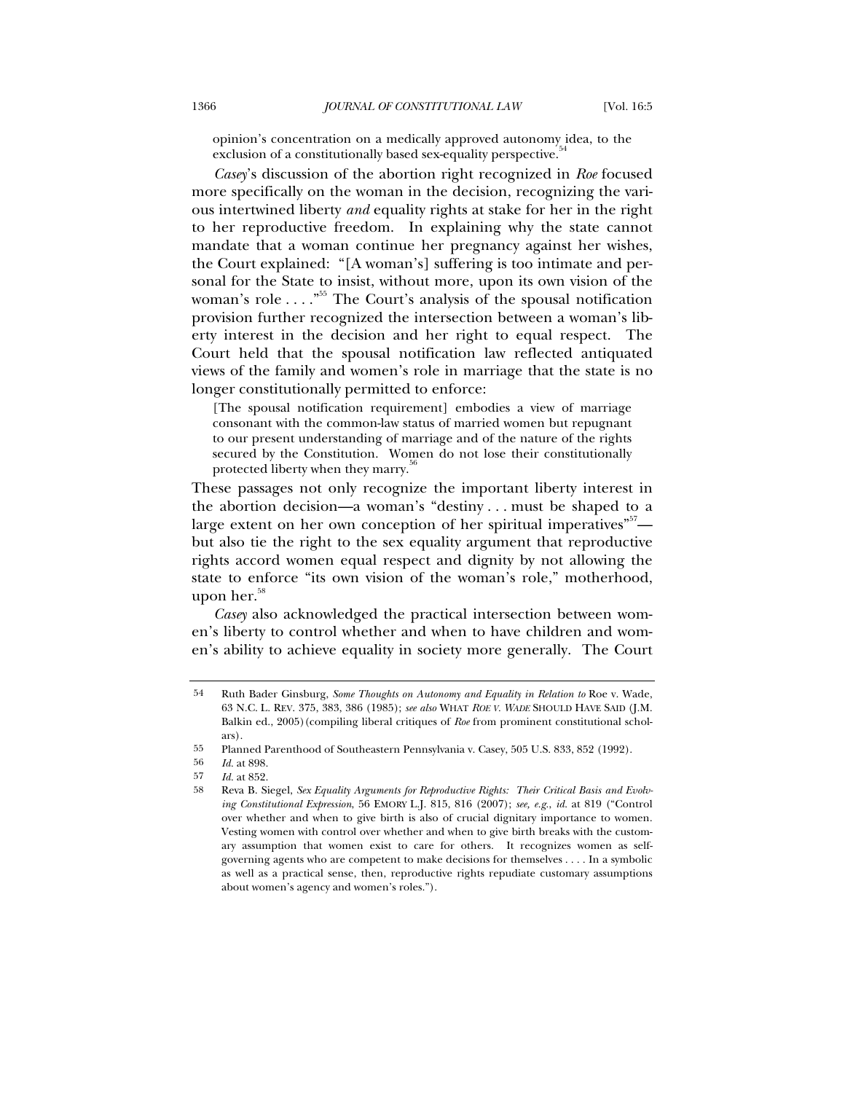opinion's concentration on a medically approved autonomy idea, to the exclusion of a constitutionally based sex-equality perspective.<sup>54</sup>

*Casey*'s discussion of the abortion right recognized in *Roe* focused more specifically on the woman in the decision, recognizing the various intertwined liberty *and* equality rights at stake for her in the right to her reproductive freedom. In explaining why the state cannot mandate that a woman continue her pregnancy against her wishes, the Court explained: "[A woman's] suffering is too intimate and personal for the State to insist, without more, upon its own vision of the woman's role  $\dots$ ."<sup>55</sup> The Court's analysis of the spousal notification provision further recognized the intersection between a woman's liberty interest in the decision and her right to equal respect. The Court held that the spousal notification law reflected antiquated views of the family and women's role in marriage that the state is no longer constitutionally permitted to enforce:

[The spousal notification requirement] embodies a view of marriage consonant with the common-law status of married women but repugnant to our present understanding of marriage and of the nature of the rights secured by the Constitution. Women do not lose their constitutionally protected liberty when they marry.<sup>36</sup>

These passages not only recognize the important liberty interest in the abortion decision—a woman's "destiny . . . must be shaped to a large extent on her own conception of her spiritual imperatives"<sup>57</sup> but also tie the right to the sex equality argument that reproductive rights accord women equal respect and dignity by not allowing the state to enforce "its own vision of the woman's role," motherhood, upon her. $58$ 

*Casey* also acknowledged the practical intersection between women's liberty to control whether and when to have children and women's ability to achieve equality in society more generally. The Court

<sup>54</sup> Ruth Bader Ginsburg, *Some Thoughts on Autonomy and Equality in Relation to* Roe v. Wade, 63 N.C. L. REV. 375, 383, 386 (1985); *see also* WHAT *ROE V. WADE* SHOULD HAVE SAID (J.M. Balkin ed., 2005)(compiling liberal critiques of *Roe* from prominent constitutional scholars).

<sup>55</sup> Planned Parenthood of Southeastern Pennsylvania v. Casey, 505 U.S. 833, 852 (1992).<br> $\frac{1}{d}$  at 898

<sup>56</sup> *Id.* at 898.

<sup>57</sup> *Id.* at 852.

<sup>58</sup> Reva B. Siegel, *Sex Equality Arguments for Reproductive Rights: Their Critical Basis and Evolving Constitutional Expression*, 56 EMORY L.J. 815, 816 (2007); *see, e.g.*, *id.* at 819 ("Control over whether and when to give birth is also of crucial dignitary importance to women. Vesting women with control over whether and when to give birth breaks with the customary assumption that women exist to care for others. It recognizes women as selfgoverning agents who are competent to make decisions for themselves . . . . In a symbolic as well as a practical sense, then, reproductive rights repudiate customary assumptions about women's agency and women's roles.").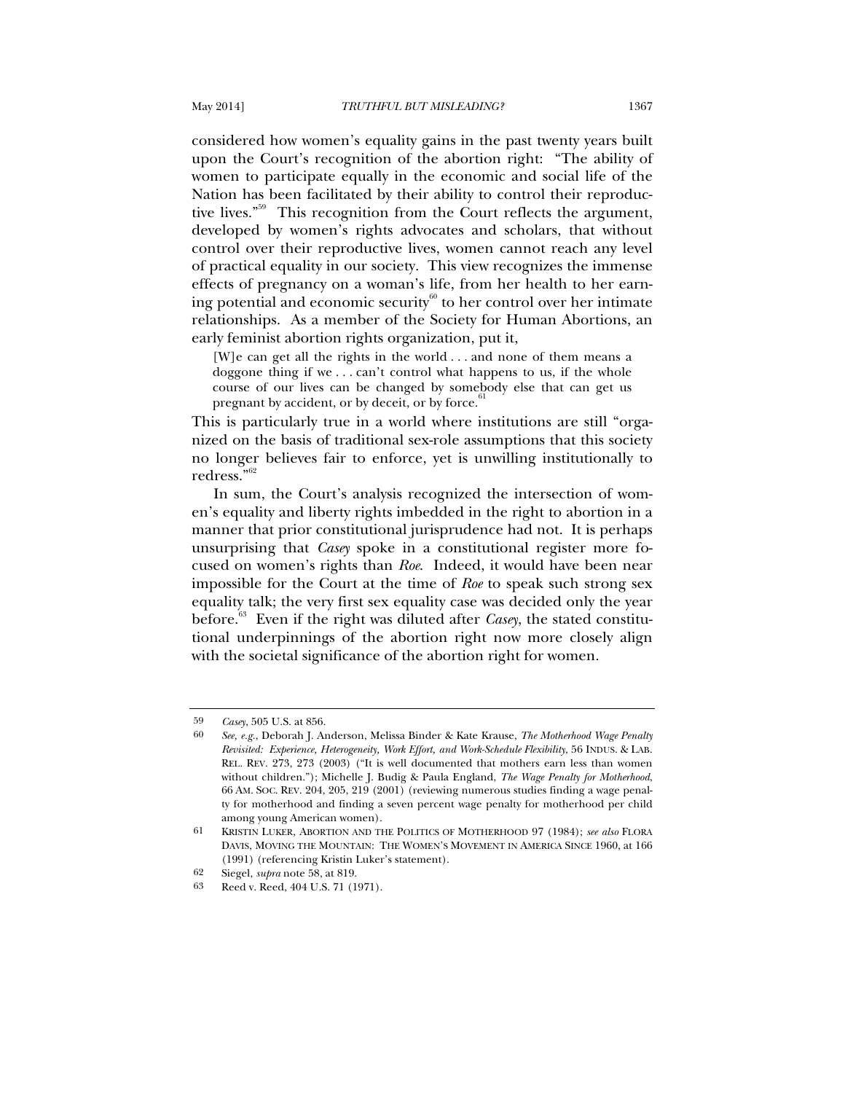considered how women's equality gains in the past twenty years built upon the Court's recognition of the abortion right: "The ability of women to participate equally in the economic and social life of the Nation has been facilitated by their ability to control their reproductive lives."59 This recognition from the Court reflects the argument, developed by women's rights advocates and scholars, that without control over their reproductive lives, women cannot reach any level of practical equality in our society. This view recognizes the immense effects of pregnancy on a woman's life, from her health to her earning potential and economic security $60$  to her control over her intimate relationships. As a member of the Society for Human Abortions, an early feminist abortion rights organization, put it,

[W]e can get all the rights in the world . . . and none of them means a doggone thing if we . . . can't control what happens to us, if the whole course of our lives can be changed by somebody else that can get us pregnant by accident, or by deceit, or by force.<sup>61</sup>

This is particularly true in a world where institutions are still "organized on the basis of traditional sex-role assumptions that this society no longer believes fair to enforce, yet is unwilling institutionally to redress."62

In sum, the Court's analysis recognized the intersection of women's equality and liberty rights imbedded in the right to abortion in a manner that prior constitutional jurisprudence had not. It is perhaps unsurprising that *Casey* spoke in a constitutional register more focused on women's rights than *Roe*. Indeed, it would have been near impossible for the Court at the time of *Roe* to speak such strong sex equality talk; the very first sex equality case was decided only the year before.<sup>63</sup> Even if the right was diluted after *Casey*, the stated constitutional underpinnings of the abortion right now more closely align with the societal significance of the abortion right for women.

<sup>59</sup> *Casey*, 505 U.S. at 856.

<sup>60</sup> *See, e.g.*, Deborah J. Anderson, Melissa Binder & Kate Krause, *The Motherhood Wage Penalty Revisited: Experience, Heterogeneity, Work Effort, and Work-Schedule Flexibility*, 56 INDUS. & LAB. REL. REV. 273, 273 (2003) ("It is well documented that mothers earn less than women without children."); Michelle J. Budig & Paula England, *The Wage Penalty for Motherhood*, 66 AM. SOC. REV. 204, 205, 219 (2001) (reviewing numerous studies finding a wage penalty for motherhood and finding a seven percent wage penalty for motherhood per child among young American women).

<sup>61</sup> KRISTIN LUKER, ABORTION AND THE POLITICS OF MOTHERHOOD 97 (1984); *see also* FLORA DAVIS, MOVING THE MOUNTAIN: THE WOMEN'S MOVEMENT IN AMERICA SINCE 1960, at 166 (1991) (referencing Kristin Luker's statement).

<sup>62</sup> Siegel, *supra* note 58, at 819.

Reed v. Reed, 404 U.S. 71 (1971).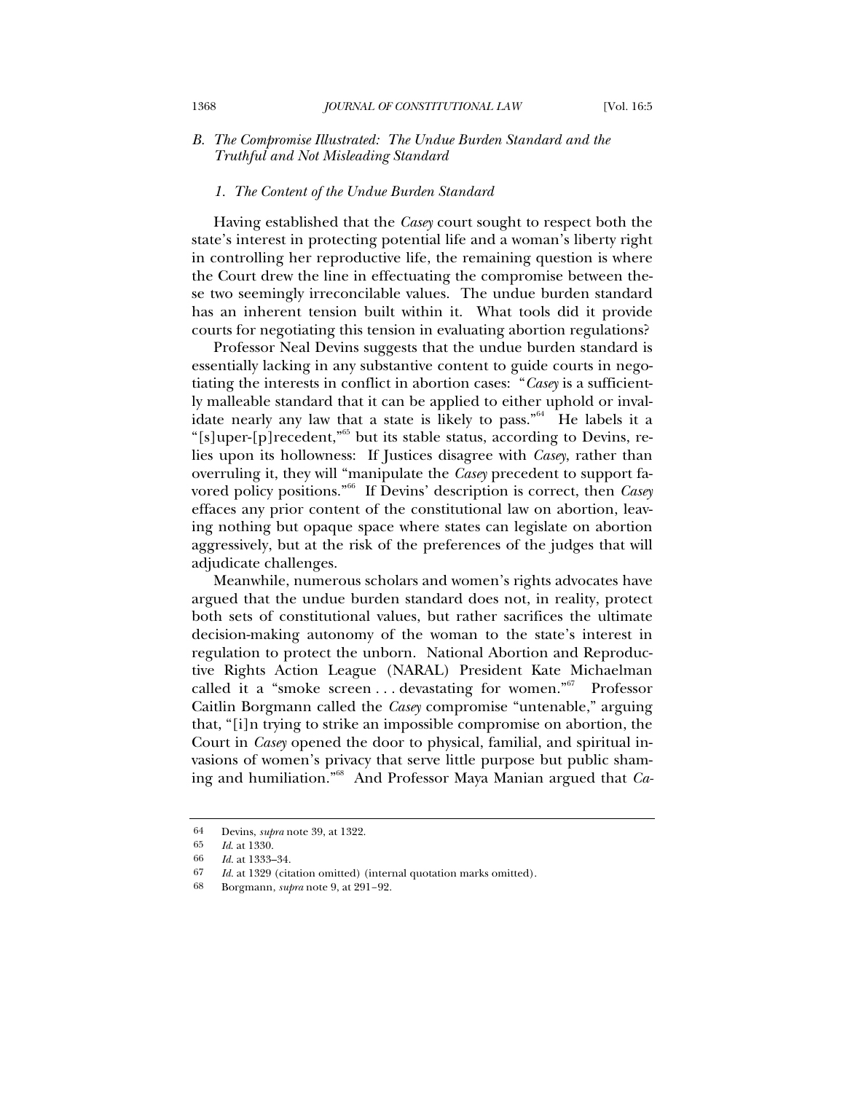# *B. The Compromise Illustrated: The Undue Burden Standard and the Truthful and Not Misleading Standard*

#### *1. The Content of the Undue Burden Standard*

Having established that the *Casey* court sought to respect both the state's interest in protecting potential life and a woman's liberty right in controlling her reproductive life, the remaining question is where the Court drew the line in effectuating the compromise between these two seemingly irreconcilable values. The undue burden standard has an inherent tension built within it. What tools did it provide courts for negotiating this tension in evaluating abortion regulations?

Professor Neal Devins suggests that the undue burden standard is essentially lacking in any substantive content to guide courts in negotiating the interests in conflict in abortion cases: "*Casey* is a sufficiently malleable standard that it can be applied to either uphold or invalidate nearly any law that a state is likely to pass.<sup> $n<sup>64</sup>$ </sup> He labels it a "[s]uper-[p]recedent,"65 but its stable status, according to Devins, relies upon its hollowness: If Justices disagree with *Casey*, rather than overruling it, they will "manipulate the *Casey* precedent to support favored policy positions."66 If Devins' description is correct, then *Casey* effaces any prior content of the constitutional law on abortion, leaving nothing but opaque space where states can legislate on abortion aggressively, but at the risk of the preferences of the judges that will adjudicate challenges.

Meanwhile, numerous scholars and women's rights advocates have argued that the undue burden standard does not, in reality, protect both sets of constitutional values, but rather sacrifices the ultimate decision-making autonomy of the woman to the state's interest in regulation to protect the unborn. National Abortion and Reproductive Rights Action League (NARAL) President Kate Michaelman called it a "smoke screen ... devastating for women."<sup>67</sup> Professor Caitlin Borgmann called the *Casey* compromise "untenable," arguing that, "[i]n trying to strike an impossible compromise on abortion, the Court in *Casey* opened the door to physical, familial, and spiritual invasions of women's privacy that serve little purpose but public shaming and humiliation."68 And Professor Maya Manian argued that *Ca-*

<sup>64</sup> Devins, *supra* note 39, at 1322.

<sup>65</sup> *Id*. at 1330.

<sup>66</sup> *Id.* at 1333–34.

<sup>67</sup> *Id.* at 1329 (citation omitted) (internal quotation marks omitted).

<sup>68</sup> Borgmann, *supra* note 9, at 291–92.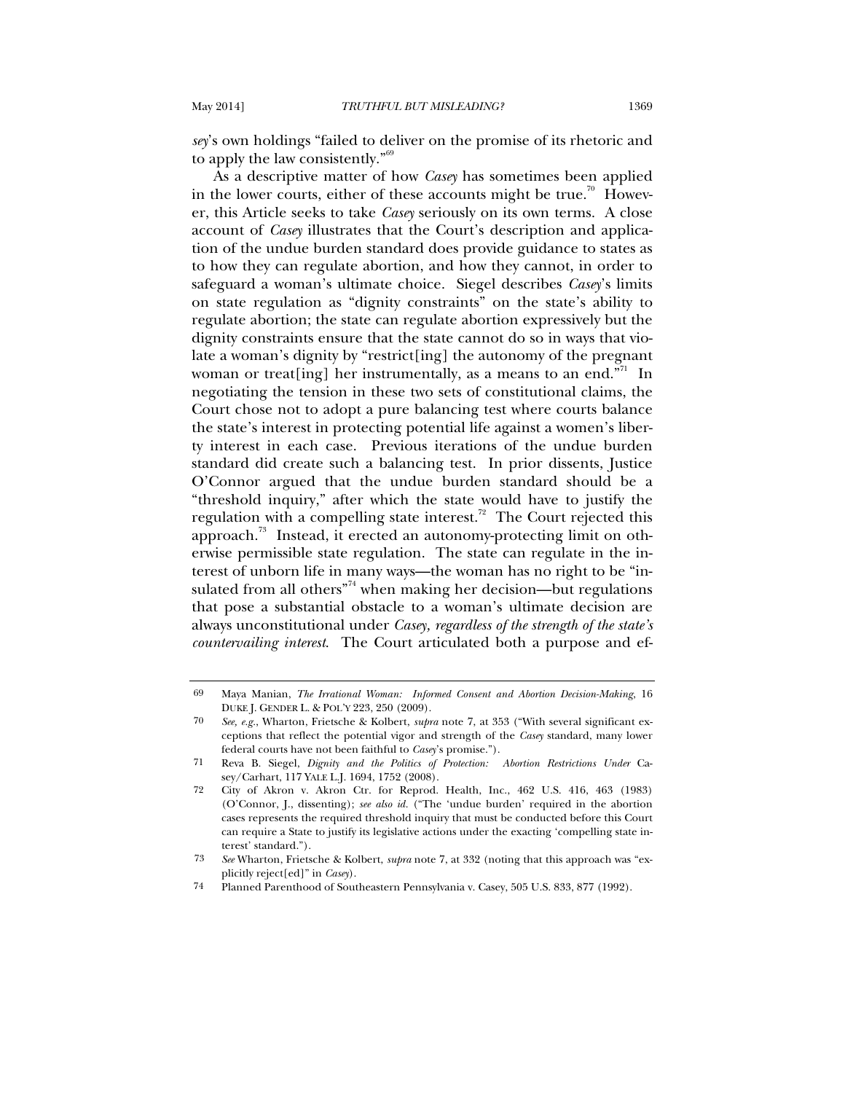*sey*'s own holdings "failed to deliver on the promise of its rhetoric and to apply the law consistently."69

As a descriptive matter of how *Casey* has sometimes been applied in the lower courts, either of these accounts might be true.<sup>70</sup> However, this Article seeks to take *Casey* seriously on its own terms. A close account of *Casey* illustrates that the Court's description and application of the undue burden standard does provide guidance to states as to how they can regulate abortion, and how they cannot, in order to safeguard a woman's ultimate choice. Siegel describes *Casey*'s limits on state regulation as "dignity constraints" on the state's ability to regulate abortion; the state can regulate abortion expressively but the dignity constraints ensure that the state cannot do so in ways that violate a woman's dignity by "restrict[ing] the autonomy of the pregnant woman or treat[ing] her instrumentally, as a means to an end. $\overline{N}$ <sup>1</sup> In negotiating the tension in these two sets of constitutional claims, the Court chose not to adopt a pure balancing test where courts balance the state's interest in protecting potential life against a women's liberty interest in each case. Previous iterations of the undue burden standard did create such a balancing test. In prior dissents, Justice O'Connor argued that the undue burden standard should be a "threshold inquiry," after which the state would have to justify the regulation with a compelling state interest.<sup>72</sup> The Court rejected this approach.73 Instead, it erected an autonomy-protecting limit on otherwise permissible state regulation. The state can regulate in the interest of unborn life in many ways—the woman has no right to be "insulated from all others<sup> $74$ </sup> when making her decision—but regulations that pose a substantial obstacle to a woman's ultimate decision are always unconstitutional under *Casey, regardless of the strength of the state's countervailing interest*. The Court articulated both a purpose and ef-

<sup>69</sup> Maya Manian, *The Irrational Woman: Informed Consent and Abortion Decision-Making*, 16 DUKE J. GENDER L. & POL'Y 223, 250 (2009).

<sup>70</sup> *See, e.g.*, Wharton, Frietsche & Kolbert, *supra* note 7, at 353 ("With several significant exceptions that reflect the potential vigor and strength of the *Casey* standard, many lower federal courts have not been faithful to *Casey*'s promise.").

<sup>71</sup> Reva B. Siegel, *Dignity and the Politics of Protection: Abortion Restrictions Under* Casey/Carhart, 117 YALE L.J. 1694, 1752 (2008).

<sup>72</sup> City of Akron v. Akron Ctr. for Reprod. Health, Inc., 462 U.S. 416, 463 (1983) (O'Connor, J., dissenting); *see also id.* ("The 'undue burden' required in the abortion cases represents the required threshold inquiry that must be conducted before this Court can require a State to justify its legislative actions under the exacting 'compelling state interest' standard.").

 <sup>73</sup> *See* Wharton, Frietsche & Kolbert, *supra* note 7, at 332 (noting that this approach was "explicitly reject[ed]" in *Casey*).

<sup>74</sup> Planned Parenthood of Southeastern Pennsylvania v. Casey, 505 U.S. 833, 877 (1992).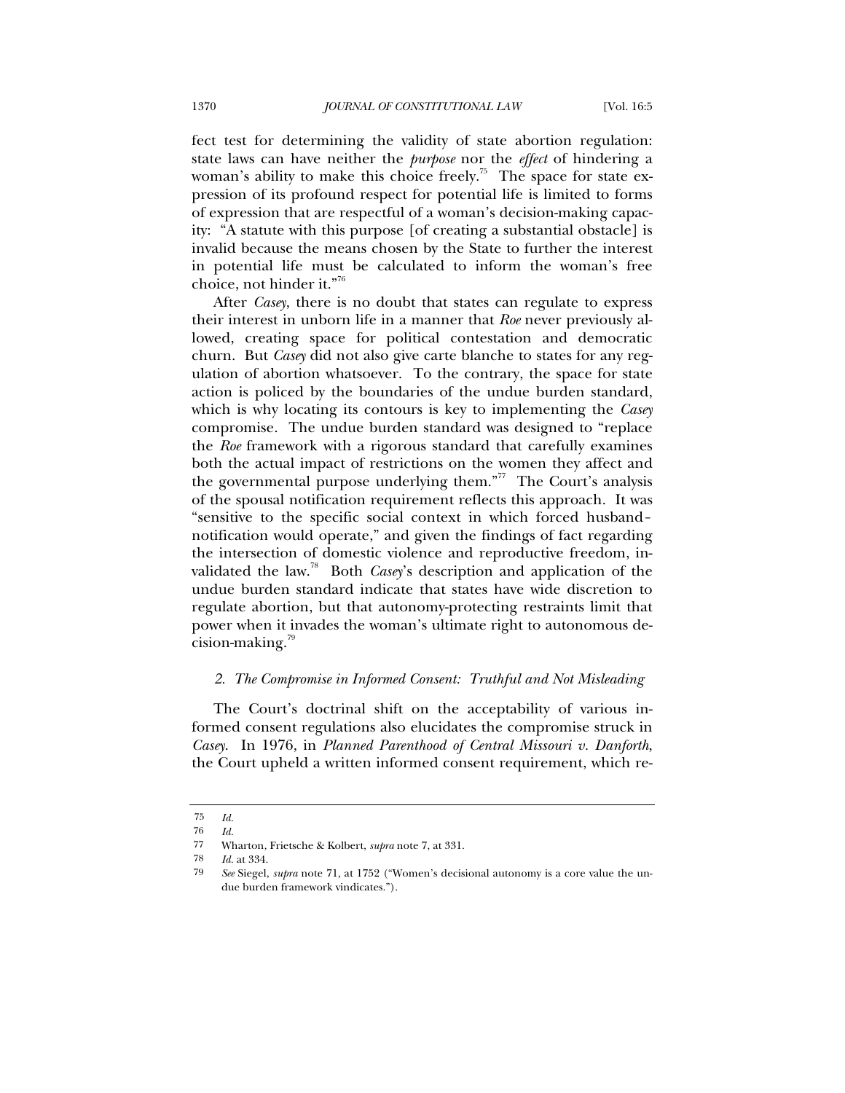fect test for determining the validity of state abortion regulation: state laws can have neither the *purpose* nor the *effect* of hindering a woman's ability to make this choice freely.<sup>75</sup> The space for state expression of its profound respect for potential life is limited to forms of expression that are respectful of a woman's decision-making capacity: "A statute with this purpose [of creating a substantial obstacle] is invalid because the means chosen by the State to further the interest in potential life must be calculated to inform the woman's free choice, not hinder it."76

After *Casey*, there is no doubt that states can regulate to express their interest in unborn life in a manner that *Roe* never previously allowed, creating space for political contestation and democratic churn. But *Casey* did not also give carte blanche to states for any regulation of abortion whatsoever. To the contrary, the space for state action is policed by the boundaries of the undue burden standard, which is why locating its contours is key to implementing the *Casey* compromise. The undue burden standard was designed to "replace the *Roe* framework with a rigorous standard that carefully examines both the actual impact of restrictions on the women they affect and the governmental purpose underlying them."<sup>77</sup> The Court's analysis of the spousal notification requirement reflects this approach. It was "sensitive to the specific social context in which forced husbandnotification would operate," and given the findings of fact regarding the intersection of domestic violence and reproductive freedom, invalidated the law.78 Both *Casey*'s description and application of the undue burden standard indicate that states have wide discretion to regulate abortion, but that autonomy-protecting restraints limit that power when it invades the woman's ultimate right to autonomous decision-making. $79$ 

### *2. The Compromise in Informed Consent: Truthful and Not Misleading*

The Court's doctrinal shift on the acceptability of various informed consent regulations also elucidates the compromise struck in *Casey*. In 1976, in *Planned Parenthood of Central Missouri v. Danforth*, the Court upheld a written informed consent requirement, which re-

 $\frac{75}{76}$  *Id.* 

<sup>76</sup> *Id.*

<sup>77</sup> Wharton, Frietsche & Kolbert, *supra* note 7, at 331.

<sup>78</sup> *Id.* at 334.

<sup>79</sup> *See* Siegel, *supra* note 71, at 1752 ("Women's decisional autonomy is a core value the undue burden framework vindicates.").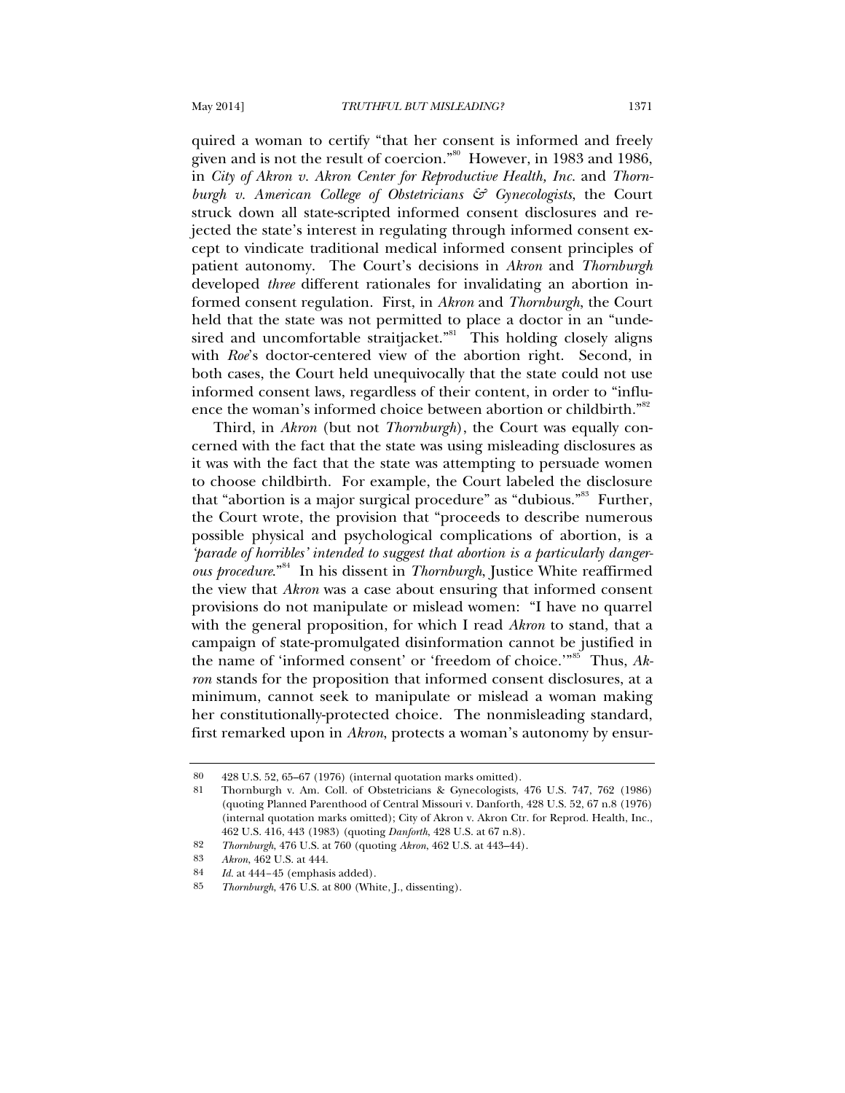quired a woman to certify "that her consent is informed and freely given and is not the result of coercion."80 However, in 1983 and 1986, in *City of Akron v. Akron Center for Reproductive Health, Inc.* and *Thornburgh v. American College of Obstetricians & Gynecologists*, the Court struck down all state-scripted informed consent disclosures and rejected the state's interest in regulating through informed consent except to vindicate traditional medical informed consent principles of patient autonomy. The Court's decisions in *Akron* and *Thornburgh* developed *three* different rationales for invalidating an abortion informed consent regulation. First, in *Akron* and *Thornburgh*, the Court held that the state was not permitted to place a doctor in an "undesired and uncomfortable straitjacket."<sup>81</sup> This holding closely aligns with *Roe*'s doctor-centered view of the abortion right. Second, in both cases, the Court held unequivocally that the state could not use informed consent laws, regardless of their content, in order to "influence the woman's informed choice between abortion or childbirth."<sup>82</sup>

Third, in *Akron* (but not *Thornburgh*), the Court was equally concerned with the fact that the state was using misleading disclosures as it was with the fact that the state was attempting to persuade women to choose childbirth. For example, the Court labeled the disclosure that "abortion is a major surgical procedure" as "dubious."83 Further, the Court wrote, the provision that "proceeds to describe numerous possible physical and psychological complications of abortion, is a *'parade of horribles' intended to suggest that abortion is a particularly dangerous procedure*."84 In his dissent in *Thornburgh*, Justice White reaffirmed the view that *Akron* was a case about ensuring that informed consent provisions do not manipulate or mislead women: "I have no quarrel with the general proposition, for which I read *Akron* to stand, that a campaign of state-promulgated disinformation cannot be justified in the name of 'informed consent' or 'freedom of choice.'"85 Thus, *Akron* stands for the proposition that informed consent disclosures, at a minimum, cannot seek to manipulate or mislead a woman making her constitutionally-protected choice. The nonmisleading standard, first remarked upon in *Akron*, protects a woman's autonomy by ensur-

<sup>80 428</sup> U.S. 52, 65–67 (1976) (internal quotation marks omitted).

<sup>81</sup> Thornburgh v. Am. Coll. of Obstetricians & Gynecologists, 476 U.S. 747, 762 (1986) (quoting Planned Parenthood of Central Missouri v. Danforth, 428 U.S. 52, 67 n.8 (1976) (internal quotation marks omitted); City of Akron v. Akron Ctr. for Reprod. Health, Inc., 462 U.S. 416, 443 (1983) (quoting *Danforth*, 428 U.S. at 67 n.8).

<sup>82</sup> *Thornburgh*, 476 U.S. at 760 (quoting *Akron*, 462 U.S. at 443–44).

<sup>83</sup> *Akron*, 462 U.S. at 444.

<sup>84</sup> *Id.* at 444–45 (emphasis added).

<sup>85</sup> *Thornburgh*, 476 U.S. at 800 (White, J., dissenting).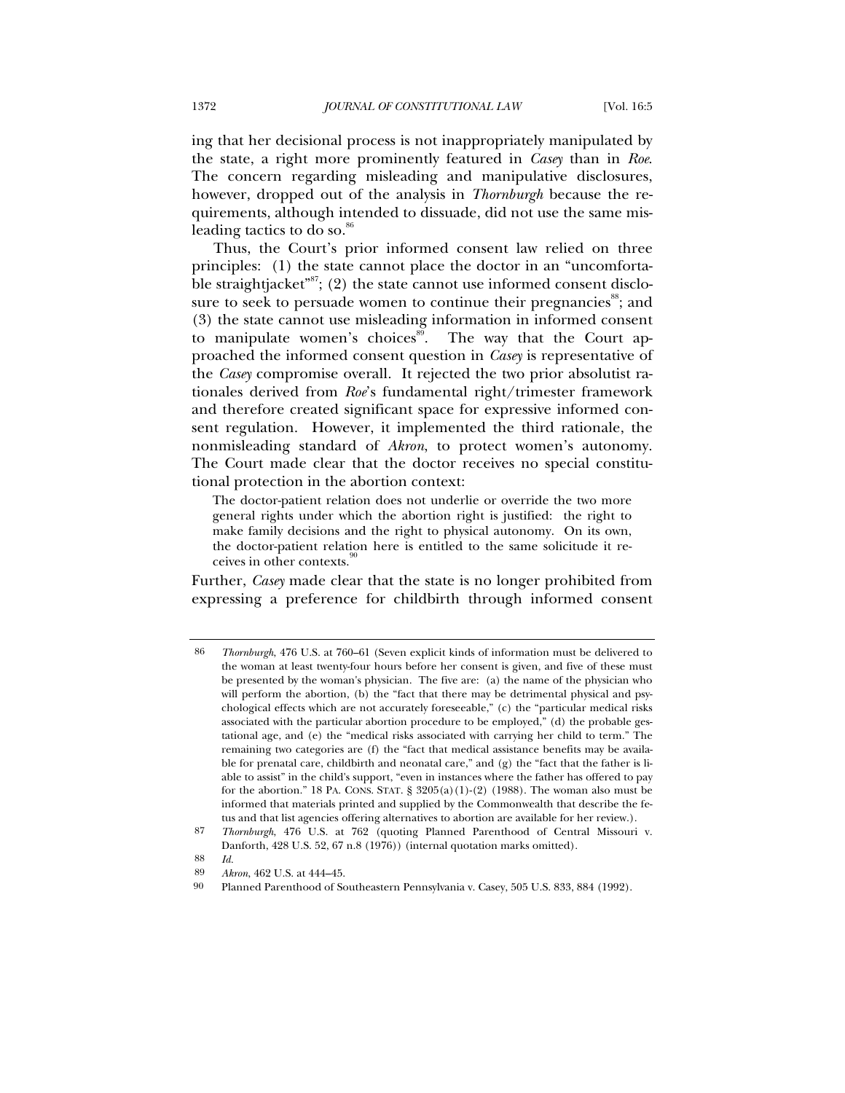ing that her decisional process is not inappropriately manipulated by the state, a right more prominently featured in *Casey* than in *Roe*. The concern regarding misleading and manipulative disclosures, however, dropped out of the analysis in *Thornburgh* because the requirements, although intended to dissuade, did not use the same misleading tactics to do so.<sup>86</sup>

Thus, the Court's prior informed consent law relied on three principles: (1) the state cannot place the doctor in an "uncomfortable straightjacket"<sup>87</sup>; (2) the state cannot use informed consent disclosure to seek to persuade women to continue their pregnancies<sup>88</sup>; and (3) the state cannot use misleading information in informed consent to manipulate women's choices<sup>89</sup>. The way that the Court approached the informed consent question in *Casey* is representative of the *Casey* compromise overall. It rejected the two prior absolutist rationales derived from *Roe*'s fundamental right/trimester framework and therefore created significant space for expressive informed consent regulation. However, it implemented the third rationale, the nonmisleading standard of *Akron*, to protect women's autonomy. The Court made clear that the doctor receives no special constitutional protection in the abortion context:

The doctor-patient relation does not underlie or override the two more general rights under which the abortion right is justified: the right to make family decisions and the right to physical autonomy. On its own, the doctor-patient relation here is entitled to the same solicitude it receives in other contexts.

Further, *Casey* made clear that the state is no longer prohibited from expressing a preference for childbirth through informed consent

88 *Id.*

<sup>86</sup> *Thornburgh*, 476 U.S. at 760–61 (Seven explicit kinds of information must be delivered to the woman at least twenty-four hours before her consent is given, and five of these must be presented by the woman's physician. The five are: (a) the name of the physician who will perform the abortion, (b) the "fact that there may be detrimental physical and psychological effects which are not accurately foreseeable," (c) the "particular medical risks associated with the particular abortion procedure to be employed," (d) the probable gestational age, and (e) the "medical risks associated with carrying her child to term." The remaining two categories are (f) the "fact that medical assistance benefits may be available for prenatal care, childbirth and neonatal care," and (g) the "fact that the father is liable to assist" in the child's support, "even in instances where the father has offered to pay for the abortion." 18 PA. CONS. STAT.  $\S$  3205(a)(1)-(2) (1988). The woman also must be informed that materials printed and supplied by the Commonwealth that describe the fetus and that list agencies offering alternatives to abortion are available for her review.).

<sup>87</sup> *Thornburgh*, 476 U.S. at 762 (quoting Planned Parenthood of Central Missouri v. Danforth, 428 U.S. 52, 67 n.8 (1976)) (internal quotation marks omitted).

<sup>89</sup> *Akron*, 462 U.S. at 444–45.

<sup>90</sup> Planned Parenthood of Southeastern Pennsylvania v. Casey, 505 U.S. 833, 884 (1992).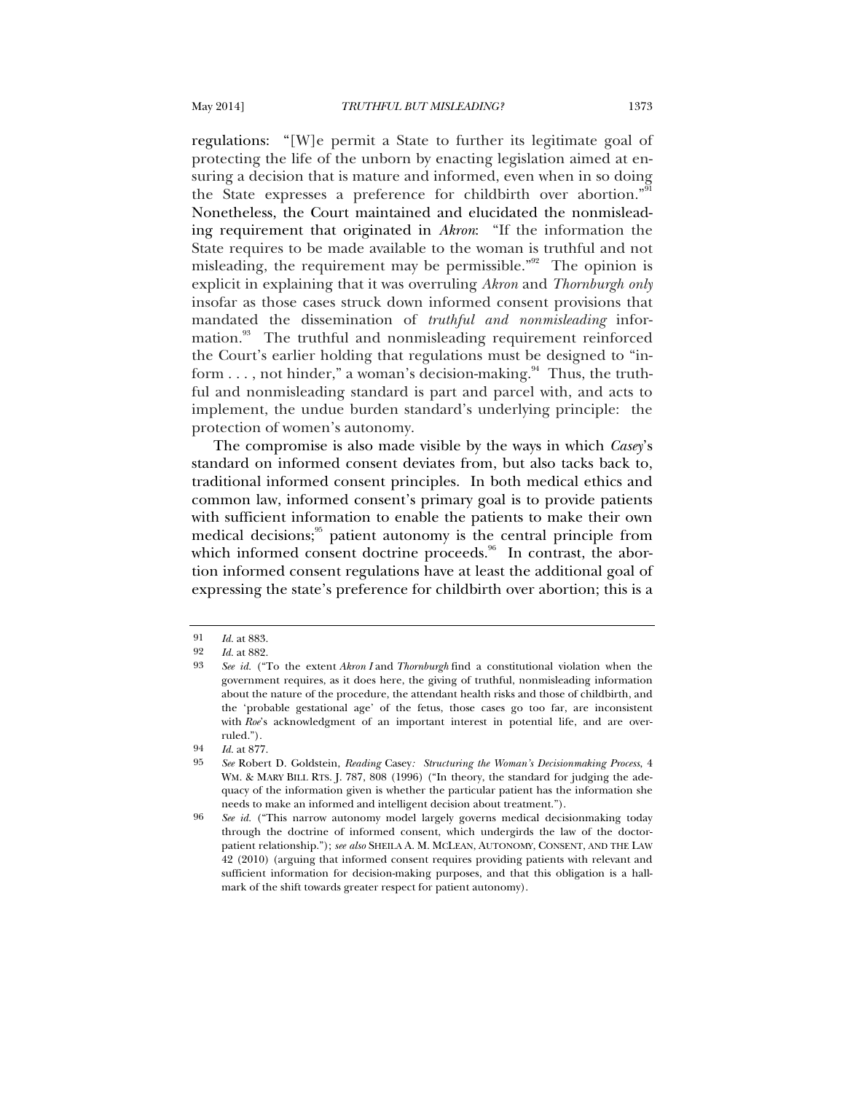regulations: "[W]e permit a State to further its legitimate goal of protecting the life of the unborn by enacting legislation aimed at ensuring a decision that is mature and informed, even when in so doing the State expresses a preference for childbirth over abortion."<sup>91</sup> Nonetheless, the Court maintained and elucidated the nonmisleading requirement that originated in *Akron*: "If the information the State requires to be made available to the woman is truthful and not misleading, the requirement may be permissible."<sup>92</sup> The opinion is explicit in explaining that it was overruling *Akron* and *Thornburgh only*  insofar as those cases struck down informed consent provisions that mandated the dissemination of *truthful and nonmisleading* information.<sup>93</sup> The truthful and nonmisleading requirement reinforced the Court's earlier holding that regulations must be designed to "inform  $\dots$ , not hinder," a woman's decision-making.<sup>94</sup> Thus, the truthful and nonmisleading standard is part and parcel with, and acts to implement, the undue burden standard's underlying principle: the protection of women's autonomy.

The compromise is also made visible by the ways in which *Casey*'s standard on informed consent deviates from, but also tacks back to, traditional informed consent principles. In both medical ethics and common law, informed consent's primary goal is to provide patients with sufficient information to enable the patients to make their own medical decisions; $\frac{95}{2}$  patient autonomy is the central principle from which informed consent doctrine proceeds.<sup>96</sup> In contrast, the abortion informed consent regulations have at least the additional goal of expressing the state's preference for childbirth over abortion; this is a

<sup>91</sup> *Id.* at 883.

<sup>92</sup> *Id.* at 882.

<sup>93</sup> *See id.* ("To the extent *Akron I* and *Thornburgh* find a constitutional violation when the government requires, as it does here, the giving of truthful, nonmisleading information about the nature of the procedure, the attendant health risks and those of childbirth, and the 'probable gestational age' of the fetus, those cases go too far, are inconsistent with *Roe*'s acknowledgment of an important interest in potential life, and are overruled.").

<sup>94</sup> *Id.* at 877.

<sup>95</sup> *See* Robert D. Goldstein, *Reading* Casey*: Structuring the Woman's Decisionmaking Process*, 4 WM. & MARY BILL RTS. J. 787, 808 (1996) ("In theory, the standard for judging the adequacy of the information given is whether the particular patient has the information she needs to make an informed and intelligent decision about treatment.").

<sup>96</sup> *See id.* ("This narrow autonomy model largely governs medical decisionmaking today through the doctrine of informed consent, which undergirds the law of the doctorpatient relationship."); *see also* SHEILA A. M. MCLEAN, AUTONOMY, CONSENT, AND THE LAW 42 (2010) (arguing that informed consent requires providing patients with relevant and sufficient information for decision-making purposes, and that this obligation is a hallmark of the shift towards greater respect for patient autonomy).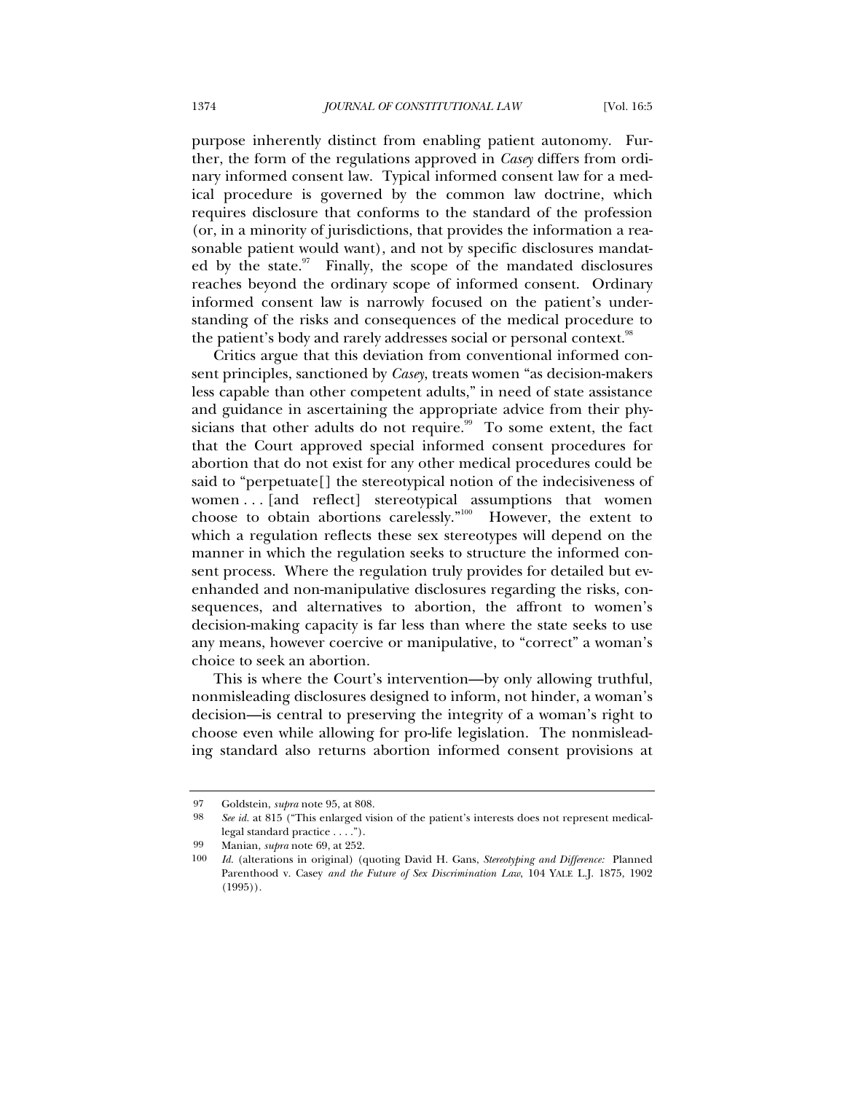purpose inherently distinct from enabling patient autonomy. Further, the form of the regulations approved in *Casey* differs from ordinary informed consent law. Typical informed consent law for a medical procedure is governed by the common law doctrine, which requires disclosure that conforms to the standard of the profession (or, in a minority of jurisdictions, that provides the information a reasonable patient would want), and not by specific disclosures mandated by the state. Finally, the scope of the mandated disclosures reaches beyond the ordinary scope of informed consent. Ordinary informed consent law is narrowly focused on the patient's understanding of the risks and consequences of the medical procedure to the patient's body and rarely addresses social or personal context.<sup>98</sup>

Critics argue that this deviation from conventional informed consent principles, sanctioned by *Casey*, treats women "as decision-makers less capable than other competent adults," in need of state assistance and guidance in ascertaining the appropriate advice from their physicians that other adults do not require.<sup>99</sup> To some extent, the fact that the Court approved special informed consent procedures for abortion that do not exist for any other medical procedures could be said to "perpetuate[] the stereotypical notion of the indecisiveness of women . . . [and reflect] stereotypical assumptions that women choose to obtain abortions carelessly."100 However, the extent to which a regulation reflects these sex stereotypes will depend on the manner in which the regulation seeks to structure the informed consent process. Where the regulation truly provides for detailed but evenhanded and non-manipulative disclosures regarding the risks, consequences, and alternatives to abortion, the affront to women's decision-making capacity is far less than where the state seeks to use any means, however coercive or manipulative, to "correct" a woman's choice to seek an abortion.

This is where the Court's intervention—by only allowing truthful, nonmisleading disclosures designed to inform, not hinder, a woman's decision—is central to preserving the integrity of a woman's right to choose even while allowing for pro-life legislation. The nonmisleading standard also returns abortion informed consent provisions at

<sup>97</sup> Goldstein, *supra* note 95, at 808.

<sup>98</sup> *See id.* at 815 ("This enlarged vision of the patient's interests does not represent medicallegal standard practice . . . .").

<sup>99</sup> Manian, *supra* note 69, at 252.

<sup>100</sup> *Id.* (alterations in original) (quoting David H. Gans, *Stereotyping and Difference:* Planned Parenthood v. Casey *and the Future of Sex Discrimination Law*, 104 YALE L.J. 1875, 1902 (1995)).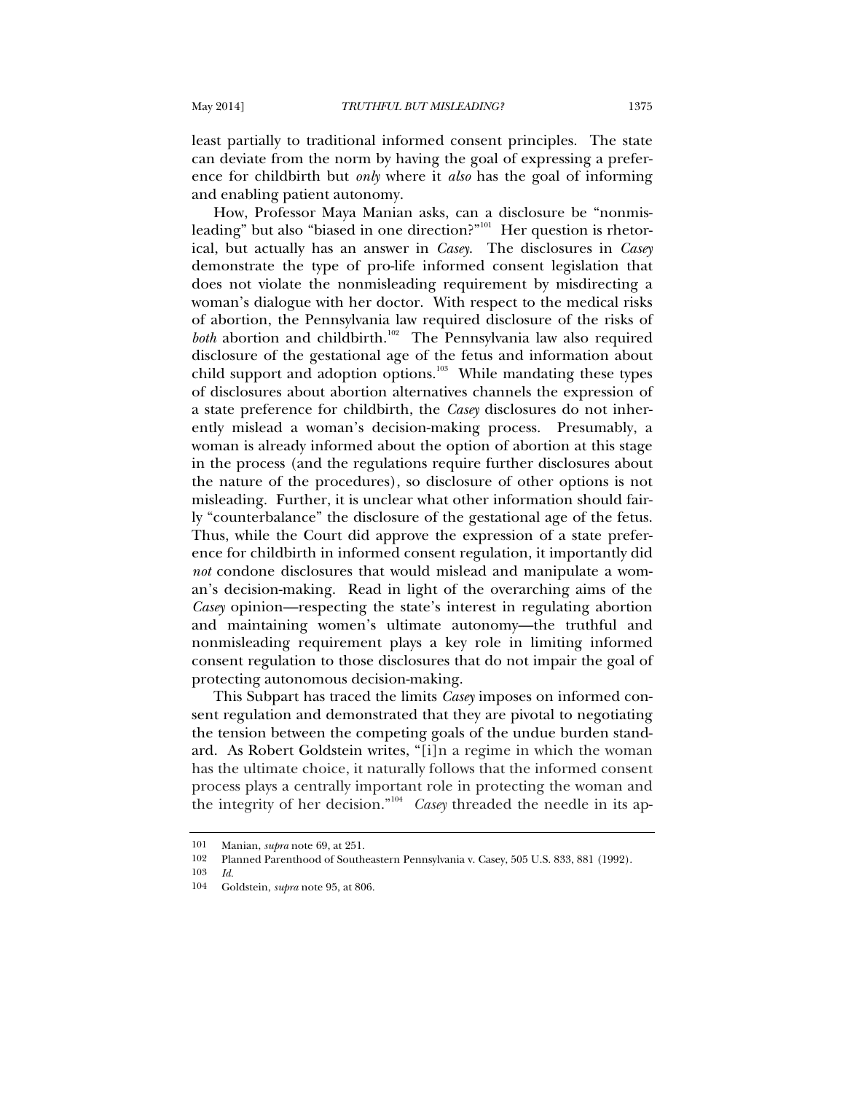least partially to traditional informed consent principles. The state can deviate from the norm by having the goal of expressing a preference for childbirth but *only* where it *also* has the goal of informing and enabling patient autonomy.

How, Professor Maya Manian asks, can a disclosure be "nonmisleading" but also "biased in one direction?"<sup>101</sup> Her question is rhetorical, but actually has an answer in *Casey*.The disclosures in *Casey* demonstrate the type of pro-life informed consent legislation that does not violate the nonmisleading requirement by misdirecting a woman's dialogue with her doctor. With respect to the medical risks of abortion, the Pennsylvania law required disclosure of the risks of *both* abortion and childbirth.<sup>102</sup> The Pennsylvania law also required disclosure of the gestational age of the fetus and information about child support and adoption options.<sup>103</sup> While mandating these types of disclosures about abortion alternatives channels the expression of a state preference for childbirth, the *Casey* disclosures do not inherently mislead a woman's decision-making process. Presumably, a woman is already informed about the option of abortion at this stage in the process (and the regulations require further disclosures about the nature of the procedures), so disclosure of other options is not misleading. Further, it is unclear what other information should fairly "counterbalance" the disclosure of the gestational age of the fetus. Thus, while the Court did approve the expression of a state preference for childbirth in informed consent regulation, it importantly did *not* condone disclosures that would mislead and manipulate a woman's decision-making. Read in light of the overarching aims of the *Casey* opinion—respecting the state's interest in regulating abortion and maintaining women's ultimate autonomy—the truthful and nonmisleading requirement plays a key role in limiting informed consent regulation to those disclosures that do not impair the goal of protecting autonomous decision-making.

This Subpart has traced the limits *Casey* imposes on informed consent regulation and demonstrated that they are pivotal to negotiating the tension between the competing goals of the undue burden standard. As Robert Goldstein writes, "[i]n a regime in which the woman has the ultimate choice, it naturally follows that the informed consent process plays a centrally important role in protecting the woman and the integrity of her decision."104 *Casey* threaded the needle in its ap-

<sup>101</sup> Manian, *supra* note 69, at 251.

<sup>102</sup> Planned Parenthood of Southeastern Pennsylvania v. Casey, 505 U.S. 833, 881 (1992).<br>103  $H$ 

<sup>103</sup> *Id.*

<sup>104</sup> Goldstein, *supra* note 95, at 806.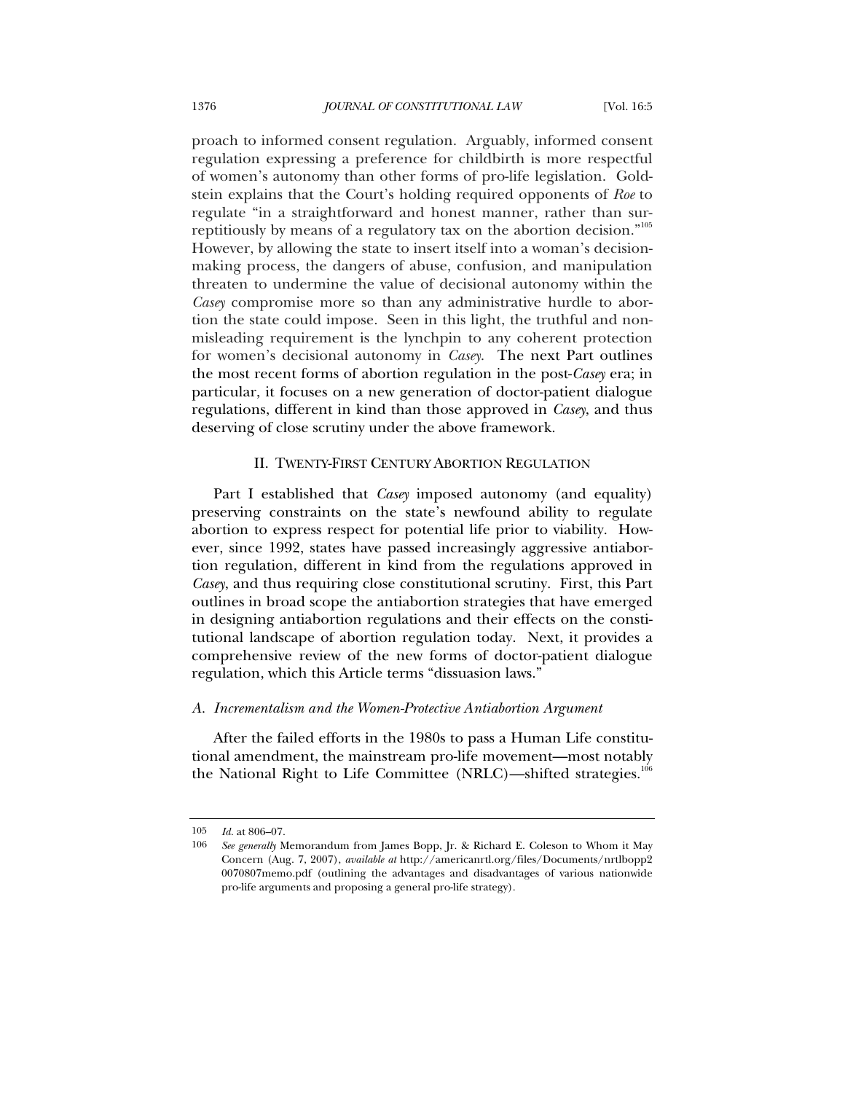proach to informed consent regulation. Arguably, informed consent regulation expressing a preference for childbirth is more respectful of women's autonomy than other forms of pro-life legislation. Goldstein explains that the Court's holding required opponents of *Roe* to regulate "in a straightforward and honest manner, rather than surreptitiously by means of a regulatory tax on the abortion decision."<sup>105</sup> However, by allowing the state to insert itself into a woman's decisionmaking process, the dangers of abuse, confusion, and manipulation threaten to undermine the value of decisional autonomy within the *Casey* compromise more so than any administrative hurdle to abortion the state could impose. Seen in this light, the truthful and nonmisleading requirement is the lynchpin to any coherent protection for women's decisional autonomy in *Casey*. The next Part outlines the most recent forms of abortion regulation in the post-*Casey* era; in particular, it focuses on a new generation of doctor-patient dialogue regulations, different in kind than those approved in *Casey*, and thus deserving of close scrutiny under the above framework.

# II. TWENTY-FIRST CENTURY ABORTION REGULATION

Part I established that *Casey* imposed autonomy (and equality) preserving constraints on the state's newfound ability to regulate abortion to express respect for potential life prior to viability. However, since 1992, states have passed increasingly aggressive antiabortion regulation, different in kind from the regulations approved in *Casey*, and thus requiring close constitutional scrutiny. First, this Part outlines in broad scope the antiabortion strategies that have emerged in designing antiabortion regulations and their effects on the constitutional landscape of abortion regulation today. Next, it provides a comprehensive review of the new forms of doctor-patient dialogue regulation, which this Article terms "dissuasion laws."

### *A. Incrementalism and the Women-Protective Antiabortion Argument*

After the failed efforts in the 1980s to pass a Human Life constitutional amendment, the mainstream pro-life movement—most notably the National Right to Life Committee (NRLC)—shifted strategies.<sup>106</sup>

<sup>105</sup> *Id.* at 806–07.

<sup>106</sup> *See generally* Memorandum from James Bopp, Jr. & Richard E. Coleson to Whom it May Concern (Aug. 7, 2007), *available at* http://americanrtl.org/files/Documents/nrtlbopp2 0070807memo.pdf (outlining the advantages and disadvantages of various nationwide pro-life arguments and proposing a general pro-life strategy).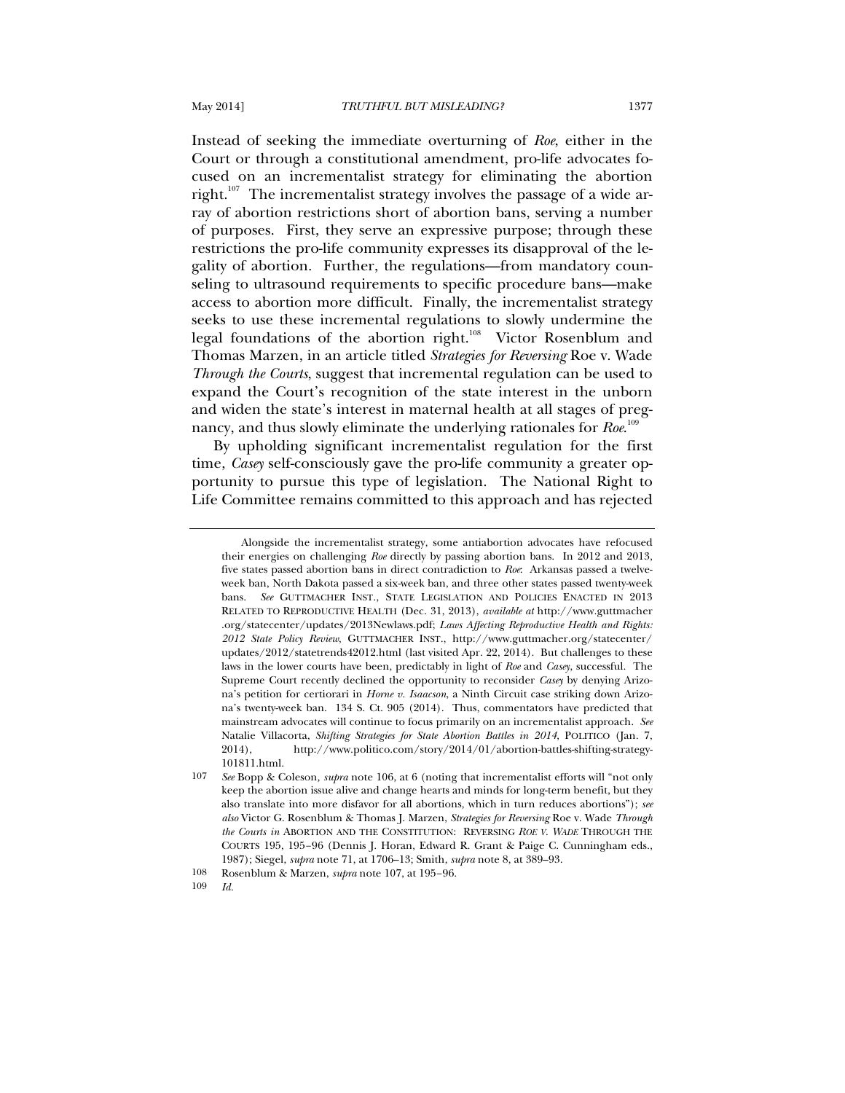Instead of seeking the immediate overturning of *Roe*, either in the Court or through a constitutional amendment, pro-life advocates focused on an incrementalist strategy for eliminating the abortion right.<sup>107</sup> The incrementalist strategy involves the passage of a wide array of abortion restrictions short of abortion bans, serving a number of purposes. First, they serve an expressive purpose; through these restrictions the pro-life community expresses its disapproval of the legality of abortion. Further, the regulations—from mandatory counseling to ultrasound requirements to specific procedure bans—make access to abortion more difficult. Finally, the incrementalist strategy seeks to use these incremental regulations to slowly undermine the

legal foundations of the abortion right.<sup>108</sup> Victor Rosenblum and Thomas Marzen, in an article titled *Strategies for Reversing* Roe v. Wade *Through the Courts*, suggest that incremental regulation can be used to expand the Court's recognition of the state interest in the unborn and widen the state's interest in maternal health at all stages of pregnancy, and thus slowly eliminate the underlying rationales for *Roe*.<sup>109</sup>

By upholding significant incrementalist regulation for the first time, *Casey* self-consciously gave the pro-life community a greater opportunity to pursue this type of legislation. The National Right to Life Committee remains committed to this approach and has rejected

Alongside the incrementalist strategy, some antiabortion advocates have refocused their energies on challenging *Roe* directly by passing abortion bans. In 2012 and 2013, five states passed abortion bans in direct contradiction to *Roe*: Arkansas passed a twelveweek ban, North Dakota passed a six-week ban, and three other states passed twenty-week bans. *See* GUTTMACHER INST., STATE LEGISLATION AND POLICIES ENACTED IN 2013 RELATED TO REPRODUCTIVE HEALTH (Dec. 31, 2013), *available at* http://www.guttmacher .org/statecenter/updates/2013Newlaws.pdf; *Laws Affecting Reproductive Health and Rights: 2012 State Policy Review*, GUTTMACHER INST., http://www.guttmacher.org/statecenter/ updates/2012/statetrends42012.html (last visited Apr. 22, 2014). But challenges to these laws in the lower courts have been, predictably in light of *Roe* and *Casey*, successful. The Supreme Court recently declined the opportunity to reconsider *Casey* by denying Arizona's petition for certiorari in *Horne v. Isaacson*, a Ninth Circuit case striking down Arizona's twenty-week ban. 134 S. Ct. 905 (2014). Thus, commentators have predicted that mainstream advocates will continue to focus primarily on an incrementalist approach. *See* Natalie Villacorta, *Shifting Strategies for State Abortion Battles in 2014*, POLITICO (Jan. 7, 2014), http://www.politico.com/story/2014/01/abortion-battles-shifting-strategy-101811.html.

<sup>107</sup> *See* Bopp & Coleson*, supra* note 106, at 6 (noting that incrementalist efforts will "not only keep the abortion issue alive and change hearts and minds for long-term benefit, but they also translate into more disfavor for all abortions, which in turn reduces abortions"); *see also* Victor G. Rosenblum & Thomas J. Marzen, *Strategies for Reversing* Roe v. Wade *Through the Courts in* ABORTION AND THE CONSTITUTION: REVERSING *ROE V. WADE* THROUGH THE COURTS 195, 195–96 (Dennis J. Horan, Edward R. Grant & Paige C. Cunningham eds., 1987); Siegel, *supra* note 71, at 1706–13; Smith, *supra* note 8, at 389–93.

<sup>108</sup> Rosenblum & Marzen, *supra* note 107, at 195–96.

<sup>109</sup> *Id.*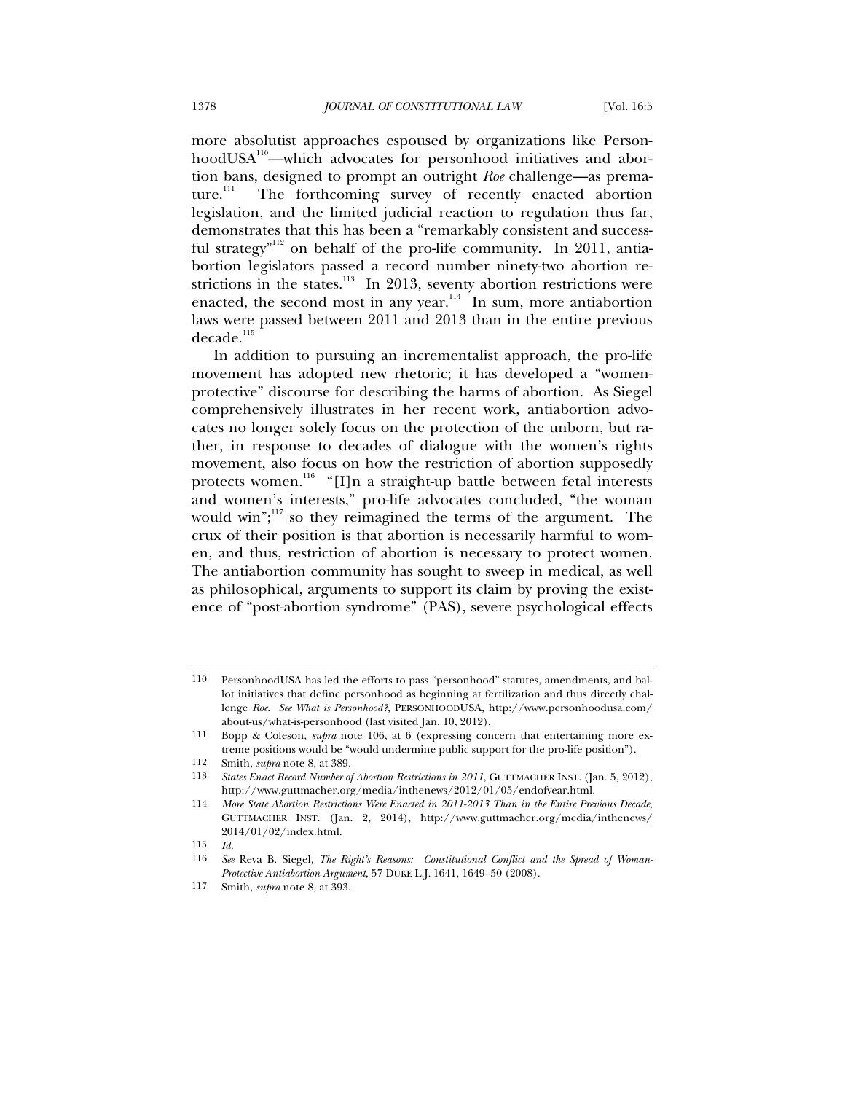more absolutist approaches espoused by organizations like PersonhoodUSA<sup>110</sup>—which advocates for personhood initiatives and abortion bans, designed to prompt an outright *Roe* challenge—as premature. $\frac{1}{11}$  The forthcoming survey of recently enacted abortion legislation, and the limited judicial reaction to regulation thus far, demonstrates that this has been a "remarkably consistent and successful strategy<sup>"112</sup> on behalf of the pro-life community. In 2011, antiabortion legislators passed a record number ninety-two abortion restrictions in the states.<sup>113</sup> In 2013, seventy abortion restrictions were enacted, the second most in any year. $\frac{114}{10}$  In sum, more antiabortion laws were passed between 2011 and 2013 than in the entire previous  $decade.<sup>115</sup>$ 

In addition to pursuing an incrementalist approach, the pro-life movement has adopted new rhetoric; it has developed a "womenprotective" discourse for describing the harms of abortion. As Siegel comprehensively illustrates in her recent work, antiabortion advocates no longer solely focus on the protection of the unborn, but rather, in response to decades of dialogue with the women's rights movement, also focus on how the restriction of abortion supposedly protects women.<sup>116</sup> "[I]n a straight-up battle between fetal interests and women's interests," pro-life advocates concluded, "the woman would win"; $\frac{117}{12}$  so they reimagined the terms of the argument. The crux of their position is that abortion is necessarily harmful to women, and thus, restriction of abortion is necessary to protect women. The antiabortion community has sought to sweep in medical, as well as philosophical, arguments to support its claim by proving the existence of "post-abortion syndrome" (PAS), severe psychological effects

<sup>110</sup> PersonhoodUSA has led the efforts to pass "personhood" statutes, amendments, and ballot initiatives that define personhood as beginning at fertilization and thus directly challenge *Roe*. *See What is Personhood?*, PERSONHOODUSA, http://www.personhoodusa.com/ about-us/what-is-personhood (last visited Jan. 10, 2012).

<sup>111</sup> Bopp & Coleson, *supra* note 106, at 6 (expressing concern that entertaining more extreme positions would be "would undermine public support for the pro-life position").

<sup>112</sup> Smith, *supra* note 8, at 389.

<sup>113</sup> *States Enact Record Number of Abortion Restrictions in 2011*, GUTTMACHER INST. (Jan. 5, 2012), http://www.guttmacher.org/media/inthenews/2012/01/05/endofyear.html.

<sup>114</sup> *More State Abortion Restrictions Were Enacted in 2011-2013 Than in the Entire Previous Decade*, GUTTMACHER INST. (Jan. 2, 2014), http://www.guttmacher.org/media/inthenews/ 2014/01/02/index.html.

<sup>115</sup> *Id.*

<sup>116</sup> *See* Reva B. Siegel, *The Right's Reasons: Constitutional Conflict and the Spread of Woman-Protective Antiabortion Argument*, 57 DUKE L.J. 1641, 1649–50 (2008).

<sup>117</sup> Smith, *supra* note 8, at 393.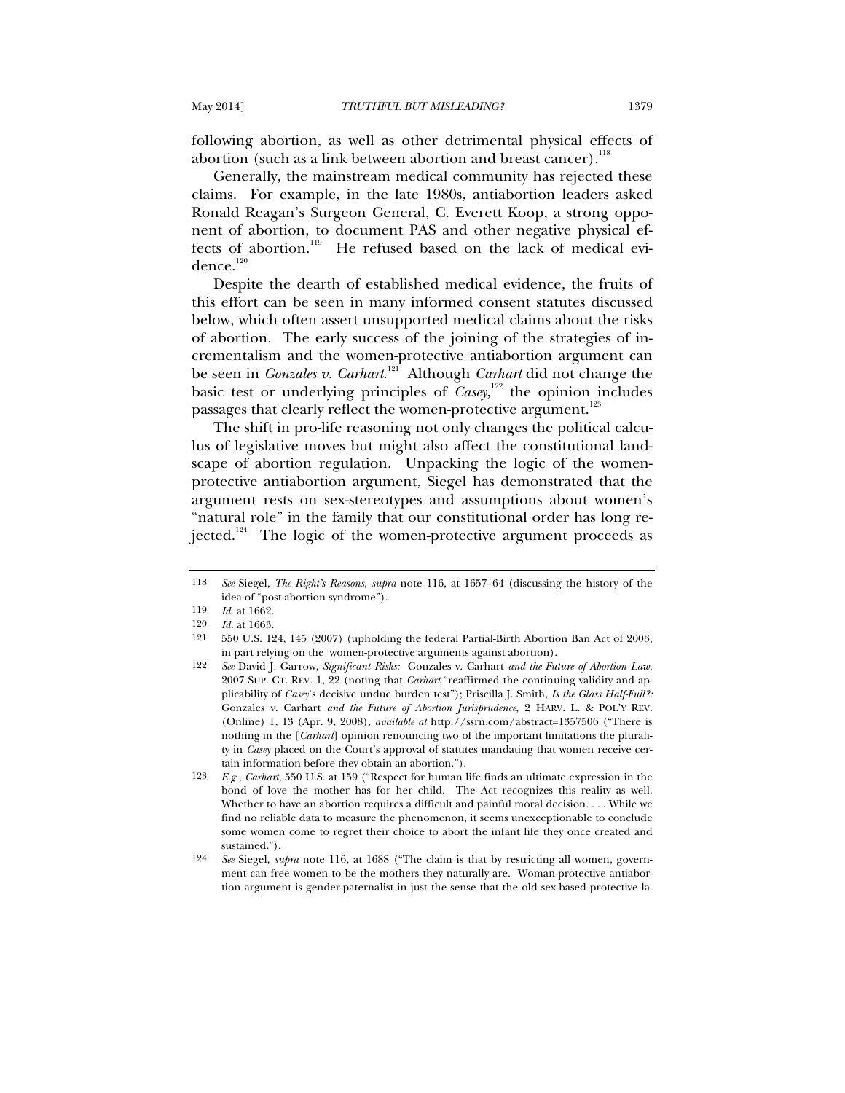following abortion, as well as other detrimental physical effects of abortion (such as a link between abortion and breast cancer).<sup>118</sup>

Generally, the mainstream medical community has rejected these claims. For example, in the late 1980s, antiabortion leaders asked Ronald Reagan's Surgeon General, C. Everett Koop, a strong opponent of abortion, to document PAS and other negative physical effects of abortion.<sup>119</sup> He refused based on the lack of medical evi $dence.<sup>120</sup>$ 

Despite the dearth of established medical evidence, the fruits of this effort can be seen in many informed consent statutes discussed below, which often assert unsupported medical claims about the risks of abortion. The early success of the joining of the strategies of incrementalism and the women-protective antiabortion argument can be seen in *Gonzales v. Carhart*. 121 Although *Carhart* did not change the basic test or underlying principles of *Casey*,<sup>122</sup> the opinion includes passages that clearly reflect the women-protective argument.<sup>123</sup>

The shift in pro-life reasoning not only changes the political calculus of legislative moves but might also affect the constitutional landscape of abortion regulation. Unpacking the logic of the womenprotective antiabortion argument, Siegel has demonstrated that the argument rests on sex-stereotypes and assumptions about women's "natural role" in the family that our constitutional order has long rejected.<sup>124</sup> The logic of the women-protective argument proceeds as

122 *See* David J. Garrow, *Significant Risks:* Gonzales v. Carhart *and the Future of Abortion Law*, 2007 SUP. CT. REV. 1, 22 (noting that *Carhart* "reaffirmed the continuing validity and applicability of *Casey*'s decisive undue burden test"); Priscilla J. Smith, *Is the Glass Half-Full?:*  Gonzales v. Carhart *and the Future of Abortion Jurisprudence*, 2 HARV. L. & POL'Y REV. (Online) 1, 13 (Apr. 9, 2008), *available at* http://ssrn.com/abstract=1357506 ("There is nothing in the [*Carhart*] opinion renouncing two of the important limitations the plurality in *Casey* placed on the Court's approval of statutes mandating that women receive certain information before they obtain an abortion.").

<sup>118</sup> *See* Siegel, *The Right's Reasons*, *supra* note 116, at 1657–64 (discussing the history of the idea of "post-abortion syndrome").

<sup>119</sup> *Id.* at 1662.

<sup>120</sup> *Id.* at 1663.<br>121 550 U.S. 1

<sup>121 550</sup> U.S. 124, 145 (2007) (upholding the federal Partial-Birth Abortion Ban Act of 2003, in part relying on the women-protective arguments against abortion).

<sup>123</sup> *E.g.*, *Carhart*, 550 U.S. at 159 ("Respect for human life finds an ultimate expression in the bond of love the mother has for her child. The Act recognizes this reality as well. Whether to have an abortion requires a difficult and painful moral decision. . . . While we find no reliable data to measure the phenomenon, it seems unexceptionable to conclude some women come to regret their choice to abort the infant life they once created and sustained.").

<sup>124</sup> *See* Siegel, *supra* note 116, at 1688 ("The claim is that by restricting all women, government can free women to be the mothers they naturally are. Woman-protective antiabortion argument is gender-paternalist in just the sense that the old sex-based protective la-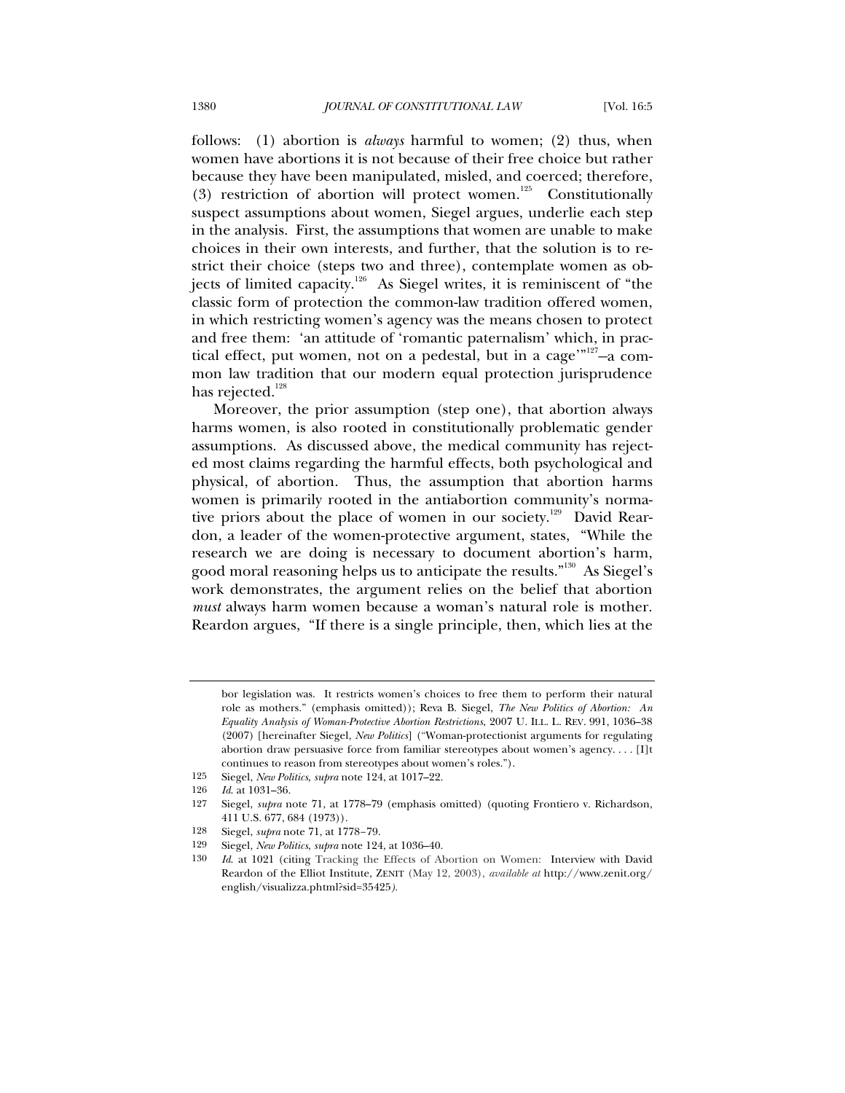follows: (1) abortion is *always* harmful to women; (2) thus, when women have abortions it is not because of their free choice but rather because they have been manipulated, misled, and coerced; therefore, (3) restriction of abortion will protect women.<sup>125</sup> Constitutionally suspect assumptions about women, Siegel argues, underlie each step in the analysis. First, the assumptions that women are unable to make choices in their own interests, and further, that the solution is to restrict their choice (steps two and three), contemplate women as objects of limited capacity.126 As Siegel writes, it is reminiscent of "the classic form of protection the common-law tradition offered women, in which restricting women's agency was the means chosen to protect and free them: 'an attitude of 'romantic paternalism' which, in practical effect, put women, not on a pedestal, but in a cage'"<sup>127</sup>-a common law tradition that our modern equal protection jurisprudence has rejected.<sup>128</sup>

Moreover, the prior assumption (step one), that abortion always harms women, is also rooted in constitutionally problematic gender assumptions. As discussed above, the medical community has rejected most claims regarding the harmful effects, both psychological and physical, of abortion. Thus, the assumption that abortion harms women is primarily rooted in the antiabortion community's normative priors about the place of women in our society.<sup>129</sup> David Reardon, a leader of the women-protective argument, states, "While the research we are doing is necessary to document abortion's harm, good moral reasoning helps us to anticipate the results."<sup>130</sup> As Siegel's work demonstrates, the argument relies on the belief that abortion *must* always harm women because a woman's natural role is mother. Reardon argues, "If there is a single principle, then, which lies at the

- 125 Siegel, *New Politics*, *supra* note 124, at 1017–22.
- 126 *Id.* at 1031–36.<br>127 Siegel *subra* n

- 128 Siegel, *supra* note 71, at 1778–79.
- 129 Siegel, *New Politics*, *supra* note 124, at 1036–40.

bor legislation was. It restricts women's choices to free them to perform their natural role as mothers." (emphasis omitted)); Reva B. Siegel, *The New Politics of Abortion: An Equality Analysis of Woman-Protective Abortion Restrictions*, 2007 U. ILL. L. REV. 991, 1036–38 (2007) [hereinafter Siegel, *New Politics*] ("Woman-protectionist arguments for regulating abortion draw persuasive force from familiar stereotypes about women's agency. . . . [I]t continues to reason from stereotypes about women's roles.").

Siegel, *supra* note 71, at 1778–79 (emphasis omitted) (quoting Frontiero v. Richardson, 411 U.S. 677, 684 (1973)).

<sup>130</sup> *Id*. at 1021 (citing Tracking the Effects of Abortion on Women: Interview with David Reardon of the Elliot Institute, ZENIT (May 12, 2003), *available at* http://www.zenit.org/ english/visualizza.phtml?sid=35425*).*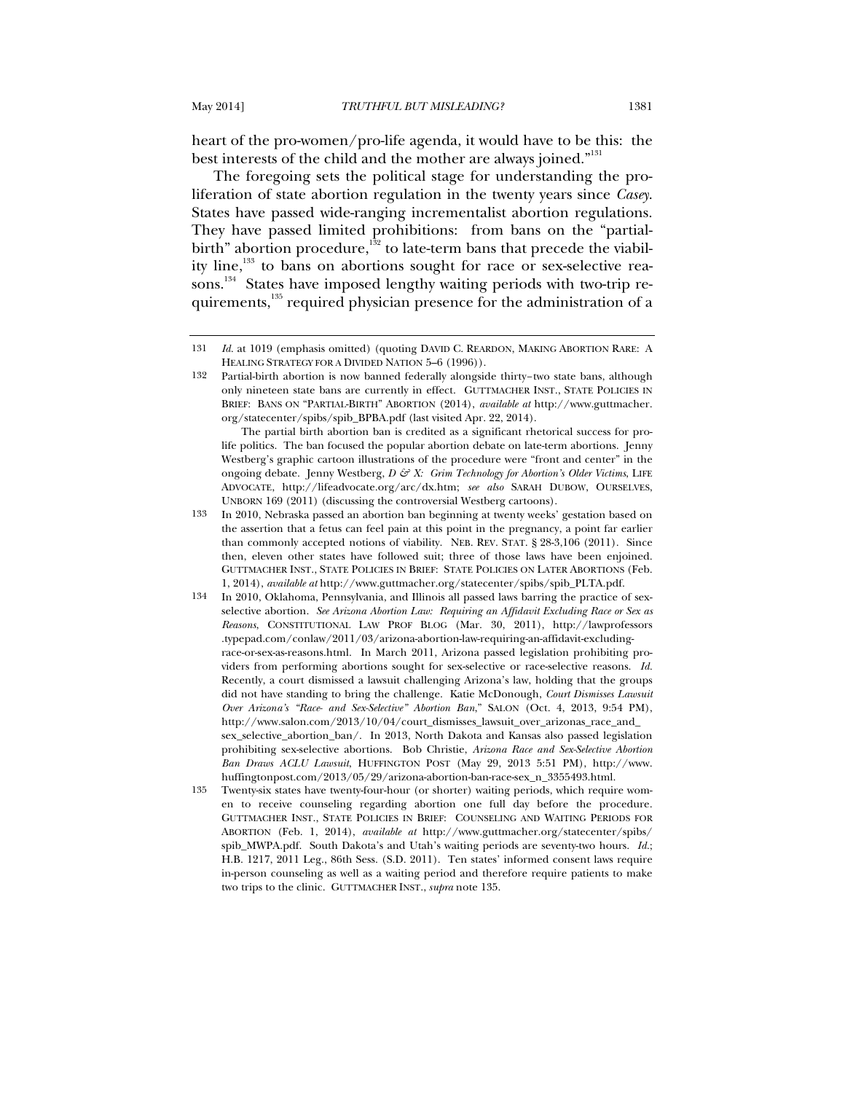heart of the pro-women/pro-life agenda, it would have to be this: the best interests of the child and the mother are always joined."<sup>131</sup>

The foregoing sets the political stage for understanding the proliferation of state abortion regulation in the twenty years since *Casey*. States have passed wide-ranging incrementalist abortion regulations. They have passed limited prohibitions: from bans on the "partialbirth" abortion procedure, $\frac{1}{32}$  to late-term bans that precede the viability line, $133$  to bans on abortions sought for race or sex-selective reasons.<sup>134</sup> States have imposed lengthy waiting periods with two-trip requirements,<sup>135</sup> required physician presence for the administration of a

<sup>131</sup> *Id.* at 1019 (emphasis omitted) (quoting DAVID C. REARDON, MAKING ABORTION RARE: A HEALING STRATEGY FOR A DIVIDED NATION 5–6 (1996)).

<sup>132</sup> Partial-birth abortion is now banned federally alongside thirty–two state bans, although only nineteen state bans are currently in effect. GUTTMACHER INST., STATE POLICIES IN BRIEF: BANS ON "PARTIAL-BIRTH" ABORTION (2014), *available at* http://www.guttmacher. org/statecenter/spibs/spib\_BPBA.pdf (last visited Apr. 22, 2014).

The partial birth abortion ban is credited as a significant rhetorical success for prolife politics. The ban focused the popular abortion debate on late-term abortions. Jenny Westberg's graphic cartoon illustrations of the procedure were "front and center" in the ongoing debate. Jenny Westberg, *D & X: Grim Technology for Abortion's Older Victims*, LIFE ADVOCATE, http://lifeadvocate.org/arc/dx.htm; *see also* SARAH DUBOW, OURSELVES, UNBORN 169 (2011) (discussing the controversial Westberg cartoons).

<sup>133</sup> In 2010, Nebraska passed an abortion ban beginning at twenty weeks' gestation based on the assertion that a fetus can feel pain at this point in the pregnancy, a point far earlier than commonly accepted notions of viability. NEB. REV. STAT. § 28-3,106 (2011). Since then, eleven other states have followed suit; three of those laws have been enjoined. GUTTMACHER INST., STATE POLICIES IN BRIEF: STATE POLICIES ON LATER ABORTIONS (Feb. 1, 2014), *available at* http://www.guttmacher.org/statecenter/spibs/spib\_PLTA.pdf.

<sup>134</sup> In 2010, Oklahoma, Pennsylvania, and Illinois all passed laws barring the practice of sexselective abortion. *See Arizona Abortion Law: Requiring an Affidavit Excluding Race or Sex as Reasons*, CONSTITUTIONAL LAW PROF BLOG (Mar. 30, 2011), http://lawprofessors .typepad.com/conlaw/2011/03/arizona-abortion-law-requiring-an-affidavit-excludingrace-or-sex-as-reasons.html. In March 2011, Arizona passed legislation prohibiting providers from performing abortions sought for sex-selective or race-selective reasons. *Id.* Recently, a court dismissed a lawsuit challenging Arizona's law, holding that the groups did not have standing to bring the challenge. Katie McDonough, *Court Dismisses Lawsuit Over Arizona's "Race- and Sex-Selective" Abortion Ban*," SALON (Oct. 4, 2013, 9:54 PM), http://www.salon.com/2013/10/04/court\_dismisses\_lawsuit\_over\_arizonas\_race\_and\_ sex\_selective\_abortion\_ban/. In 2013, North Dakota and Kansas also passed legislation prohibiting sex-selective abortions. Bob Christie, *Arizona Race and Sex-Selective Abortion Ban Draws ACLU Lawsuit*, HUFFINGTON POST (May 29, 2013 5:51 PM), http://www. huffingtonpost.com/2013/05/29/arizona-abortion-ban-race-sex\_n\_3355493.html.

<sup>135</sup> Twenty-six states have twenty-four-hour (or shorter) waiting periods, which require women to receive counseling regarding abortion one full day before the procedure. GUTTMACHER INST., STATE POLICIES IN BRIEF: COUNSELING AND WAITING PERIODS FOR ABORTION (Feb. 1, 2014), *available at* http://www.guttmacher.org/statecenter/spibs/ spib\_MWPA.pdf. South Dakota's and Utah's waiting periods are seventy-two hours. *Id.*; H.B. 1217, 2011 Leg., 86th Sess. (S.D. 2011). Ten states' informed consent laws require in-person counseling as well as a waiting period and therefore require patients to make two trips to the clinic. GUTTMACHER INST., *supra* note 135.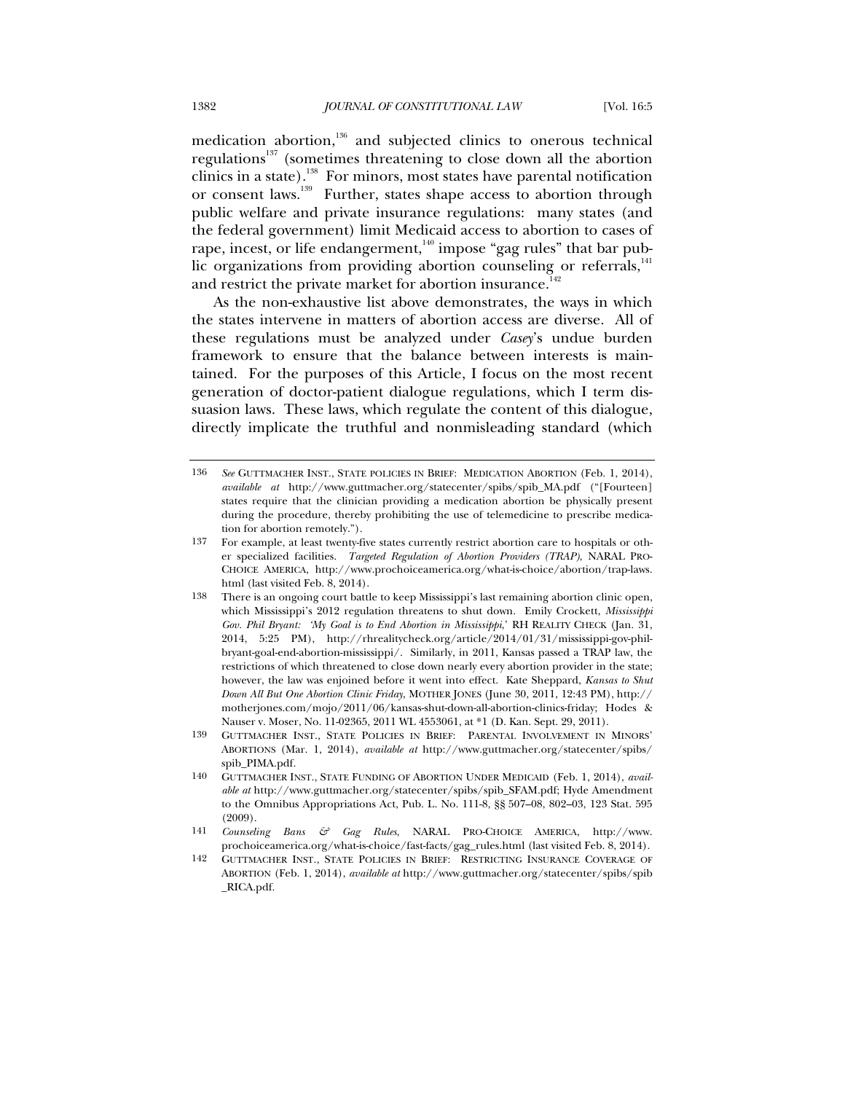medication abortion, $136$  and subjected clinics to onerous technical regulations<sup>137</sup> (sometimes threatening to close down all the abortion clinics in a state).138 For minors, most states have parental notification or consent laws.<sup>139</sup> Further, states shape access to abortion through public welfare and private insurance regulations: many states (and the federal government) limit Medicaid access to abortion to cases of rape, incest, or life endangerment,<sup>140</sup> impose "gag rules" that bar public organizations from providing abortion counseling or referrals, $141$ and restrict the private market for abortion insurance.<sup>142</sup>

As the non-exhaustive list above demonstrates, the ways in which the states intervene in matters of abortion access are diverse. All of these regulations must be analyzed under *Casey*'s undue burden framework to ensure that the balance between interests is maintained. For the purposes of this Article, I focus on the most recent generation of doctor-patient dialogue regulations, which I term dissuasion laws. These laws, which regulate the content of this dialogue, directly implicate the truthful and nonmisleading standard (which

141 *Counseling Bans & Gag Rules*, NARAL PRO-CHOICE AMERICA, http://www. prochoiceamerica.org/what-is-choice/fast-facts/gag\_rules.html (last visited Feb. 8, 2014).

<sup>136</sup> *See* GUTTMACHER INST., STATE POLICIES IN BRIEF: MEDICATION ABORTION (Feb. 1, 2014), *available at* http://www.guttmacher.org/statecenter/spibs/spib\_MA.pdf ("[Fourteen] states require that the clinician providing a medication abortion be physically present during the procedure, thereby prohibiting the use of telemedicine to prescribe medication for abortion remotely.").

<sup>137</sup> For example, at least twenty-five states currently restrict abortion care to hospitals or other specialized facilities. *Targeted Regulation of Abortion Providers (TRAP)*, NARAL PRO-CHOICE AMERICA, http://www.prochoiceamerica.org/what-is-choice/abortion/trap-laws. html (last visited Feb. 8, 2014).

<sup>138</sup> There is an ongoing court battle to keep Mississippi's last remaining abortion clinic open, which Mississippi's 2012 regulation threatens to shut down. Emily Crockett, *Mississippi Gov. Phil Bryant: 'My Goal is to End Abortion in Mississippi*,' RH REALITY CHECK (Jan. 31, 2014, 5:25 PM), http://rhrealitycheck.org/article/2014/01/31/mississippi-gov-philbryant-goal-end-abortion-mississippi/. Similarly, in 2011, Kansas passed a TRAP law, the restrictions of which threatened to close down nearly every abortion provider in the state; however, the law was enjoined before it went into effect. Kate Sheppard, *Kansas to Shut Down All But One Abortion Clinic Friday*, MOTHER JONES (June 30, 2011, 12:43 PM), http:// motherjones.com/mojo/2011/06/kansas-shut-down-all-abortion-clinics-friday; Hodes & Nauser v. Moser, No. 11-02365, 2011 WL 4553061, at \*1 (D. Kan. Sept. 29, 2011).

<sup>139</sup> GUTTMACHER INST., STATE POLICIES IN BRIEF: PARENTAL INVOLVEMENT IN MINORS' ABORTIONS (Mar. 1, 2014), *available at* http://www.guttmacher.org/statecenter/spibs/ spib\_PIMA.pdf.

<sup>140</sup> GUTTMACHER INST., STATE FUNDING OF ABORTION UNDER MEDICAID (Feb. 1, 2014), *available at* http://www.guttmacher.org/statecenter/spibs/spib\_SFAM.pdf; Hyde Amendment to the Omnibus Appropriations Act, Pub. L. No. 111-8, §§ 507–08, 802–03, 123 Stat. 595 (2009).

<sup>142</sup> GUTTMACHER INST., STATE POLICIES IN BRIEF: RESTRICTING INSURANCE COVERAGE OF ABORTION (Feb. 1, 2014), *available at* http://www.guttmacher.org/statecenter/spibs/spib \_RICA.pdf.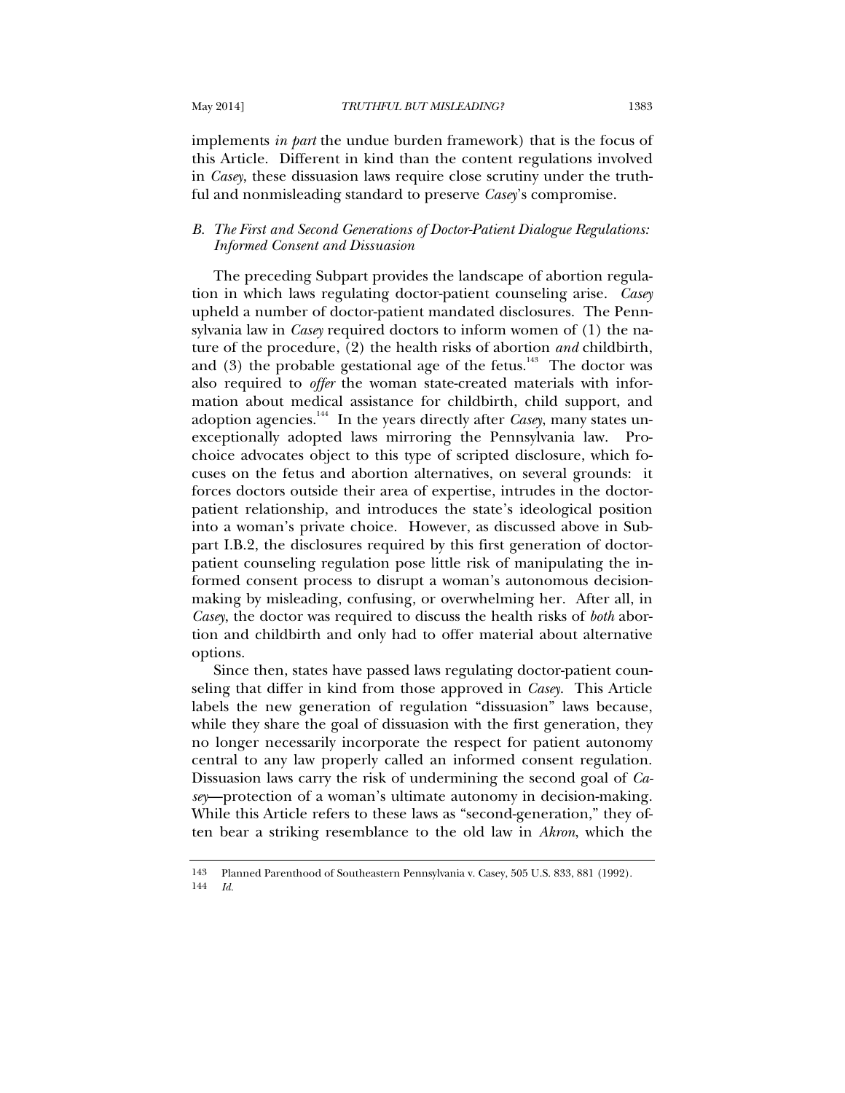implements *in part* the undue burden framework) that is the focus of this Article. Different in kind than the content regulations involved in *Casey*, these dissuasion laws require close scrutiny under the truthful and nonmisleading standard to preserve *Casey*'s compromise.

# *B. The First and Second Generations of Doctor-Patient Dialogue Regulations: Informed Consent and Dissuasion*

The preceding Subpart provides the landscape of abortion regulation in which laws regulating doctor-patient counseling arise. *Casey* upheld a number of doctor-patient mandated disclosures. The Pennsylvania law in *Casey* required doctors to inform women of (1) the nature of the procedure, (2) the health risks of abortion *and* childbirth, and  $(3)$  the probable gestational age of the fetus.<sup>143</sup> The doctor was also required to *offer* the woman state-created materials with information about medical assistance for childbirth, child support, and adoption agencies.<sup>144</sup> In the years directly after *Casey*, many states unexceptionally adopted laws mirroring the Pennsylvania law. Prochoice advocates object to this type of scripted disclosure, which focuses on the fetus and abortion alternatives, on several grounds: it forces doctors outside their area of expertise, intrudes in the doctorpatient relationship, and introduces the state's ideological position into a woman's private choice. However, as discussed above in Subpart I.B.2, the disclosures required by this first generation of doctorpatient counseling regulation pose little risk of manipulating the informed consent process to disrupt a woman's autonomous decisionmaking by misleading, confusing, or overwhelming her. After all, in *Casey*, the doctor was required to discuss the health risks of *both* abortion and childbirth and only had to offer material about alternative options.

Since then, states have passed laws regulating doctor-patient counseling that differ in kind from those approved in *Casey*. This Article labels the new generation of regulation "dissuasion" laws because, while they share the goal of dissuasion with the first generation, they no longer necessarily incorporate the respect for patient autonomy central to any law properly called an informed consent regulation. Dissuasion laws carry the risk of undermining the second goal of *Casey*—protection of a woman's ultimate autonomy in decision-making. While this Article refers to these laws as "second-generation," they often bear a striking resemblance to the old law in *Akron*, which the

<sup>143</sup> Planned Parenthood of Southeastern Pennsylvania v. Casey, 505 U.S. 833, 881 (1992).<br>144  $Id$ 144 *Id.*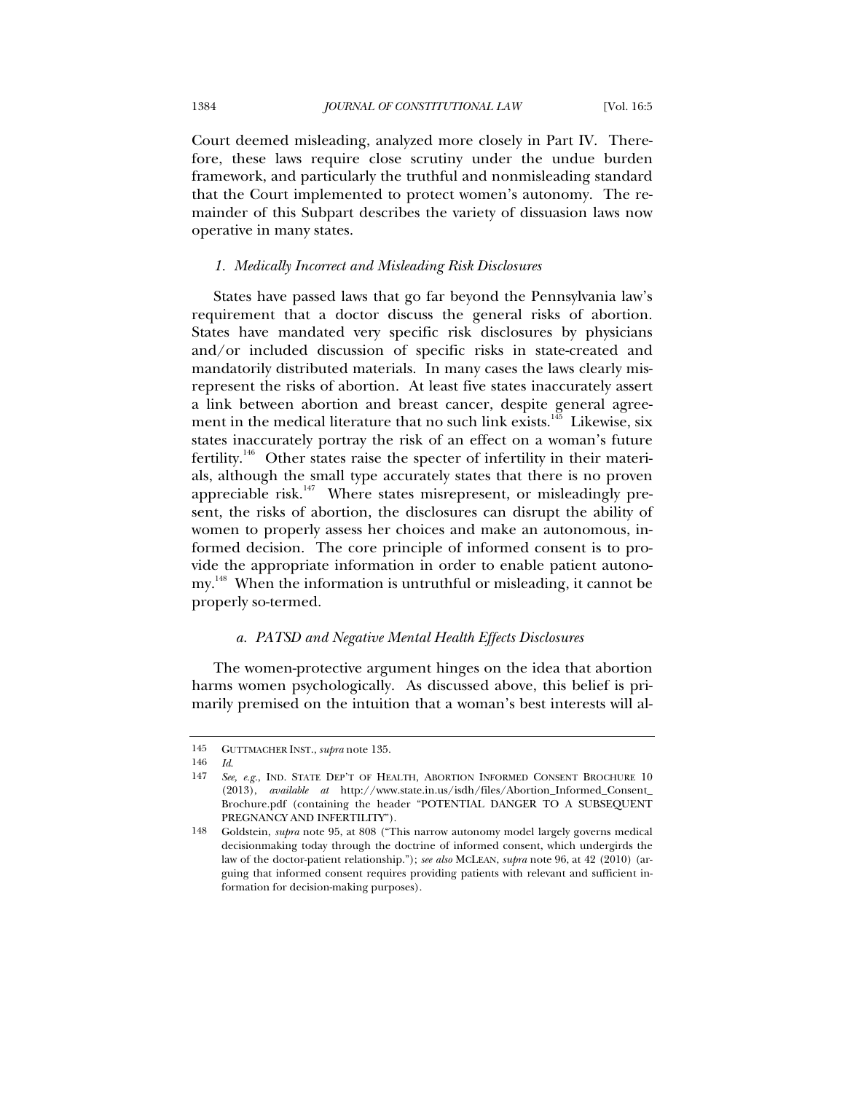Court deemed misleading, analyzed more closely in Part IV. Therefore, these laws require close scrutiny under the undue burden framework, and particularly the truthful and nonmisleading standard that the Court implemented to protect women's autonomy. The remainder of this Subpart describes the variety of dissuasion laws now operative in many states.

# *1. Medically Incorrect and Misleading Risk Disclosures*

States have passed laws that go far beyond the Pennsylvania law's requirement that a doctor discuss the general risks of abortion. States have mandated very specific risk disclosures by physicians and/or included discussion of specific risks in state-created and mandatorily distributed materials. In many cases the laws clearly misrepresent the risks of abortion. At least five states inaccurately assert a link between abortion and breast cancer, despite general agreement in the medical literature that no such link exists.<sup>145</sup> Likewise, six states inaccurately portray the risk of an effect on a woman's future fertility.<sup>146</sup> Other states raise the specter of infertility in their materials, although the small type accurately states that there is no proven appreciable risk. $147$  Where states misrepresent, or misleadingly present, the risks of abortion, the disclosures can disrupt the ability of women to properly assess her choices and make an autonomous, informed decision. The core principle of informed consent is to provide the appropriate information in order to enable patient autonomy.<sup>148</sup> When the information is untruthful or misleading, it cannot be properly so-termed.

# *a. PATSD and Negative Mental Health Effects Disclosures*

The women-protective argument hinges on the idea that abortion harms women psychologically. As discussed above, this belief is primarily premised on the intuition that a woman's best interests will al-

<sup>145</sup> GUTTMACHER INST., *supra* note 135.

<sup>146</sup> *Id*.

<sup>147</sup> *See, e.g.*, IND. STATE DEP'T OF HEALTH, ABORTION INFORMED CONSENT BROCHURE 10 (2013), *available at* http://www.state.in.us/isdh/files/Abortion\_Informed\_Consent\_ Brochure.pdf (containing the header "POTENTIAL DANGER TO A SUBSEQUENT PREGNANCY AND INFERTILITY").

<sup>148</sup> Goldstein, *supra* note 95, at 808 ("This narrow autonomy model largely governs medical decisionmaking today through the doctrine of informed consent, which undergirds the law of the doctor-patient relationship."); *see also* MCLEAN, *supra* note 96, at 42 (2010) (arguing that informed consent requires providing patients with relevant and sufficient information for decision-making purposes).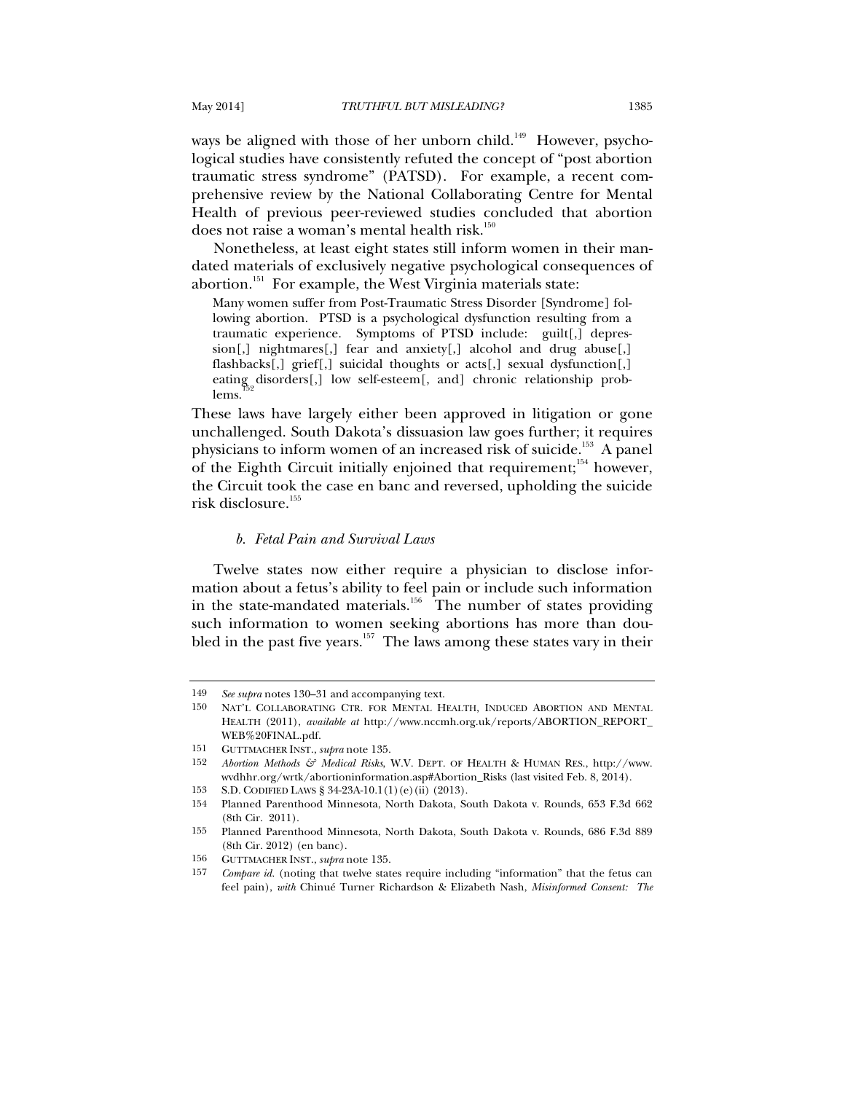ways be aligned with those of her unborn child.<sup>149</sup> However, psychological studies have consistently refuted the concept of "post abortion traumatic stress syndrome" (PATSD). For example, a recent comprehensive review by the National Collaborating Centre for Mental Health of previous peer-reviewed studies concluded that abortion does not raise a woman's mental health risk.<sup>150</sup>

Nonetheless, at least eight states still inform women in their mandated materials of exclusively negative psychological consequences of abortion.<sup>151</sup> For example, the West Virginia materials state:

Many women suffer from Post-Traumatic Stress Disorder [Syndrome] following abortion. PTSD is a psychological dysfunction resulting from a traumatic experience. Symptoms of PTSD include: guilt[,] depression[,] nightmares[,] fear and anxiety[,] alcohol and drug abuse[,] flashbacks[,] grief[,] suicidal thoughts or acts[,] sexual dysfunction[,] eating disorders[,] low self-esteem[, and] chronic relationship problems.

These laws have largely either been approved in litigation or gone unchallenged. South Dakota's dissuasion law goes further; it requires physicians to inform women of an increased risk of suicide.153 A panel of the Eighth Circuit initially enjoined that requirement;<sup>154</sup> however, the Circuit took the case en banc and reversed, upholding the suicide risk disclosure.<sup>155</sup>

### *b. Fetal Pain and Survival Laws*

Twelve states now either require a physician to disclose information about a fetus's ability to feel pain or include such information in the state-mandated materials.<sup>156</sup> The number of states providing such information to women seeking abortions has more than doubled in the past five years.<sup>157</sup> The laws among these states vary in their

<sup>149</sup> *See supra* notes 130–31 and accompanying text.

NAT'L COLLABORATING CTR. FOR MENTAL HEALTH, INDUCED ABORTION AND MENTAL HEALTH (2011), *available at* http://www.nccmh.org.uk/reports/ABORTION\_REPORT\_ WEB%20FINAL.pdf.

<sup>151</sup> GUTTMACHER INST., *supra* note 135.

<sup>152</sup> *Abortion Methods & Medical Risks*, W.V. DEPT. OF HEALTH & HUMAN RES., http://www. wvdhhr.org/wrtk/abortioninformation.asp#Abortion\_Risks (last visited Feb. 8, 2014).

<sup>153</sup> S.D. CODIFIED LAWS § 34-23A-10.1(1)(e)(ii) (2013).

<sup>154</sup> Planned Parenthood Minnesota, North Dakota, South Dakota v. Rounds, 653 F.3d 662 (8th Cir. 2011).

<sup>155</sup> Planned Parenthood Minnesota, North Dakota, South Dakota v. Rounds, 686 F.3d 889 (8th Cir. 2012) (en banc).

<sup>156</sup> GUTTMACHER INST., *supra* note 135.

<sup>157</sup> *Compare id.* (noting that twelve states require including "information" that the fetus can feel pain), *with* Chinué Turner Richardson & Elizabeth Nash, *Misinformed Consent: The*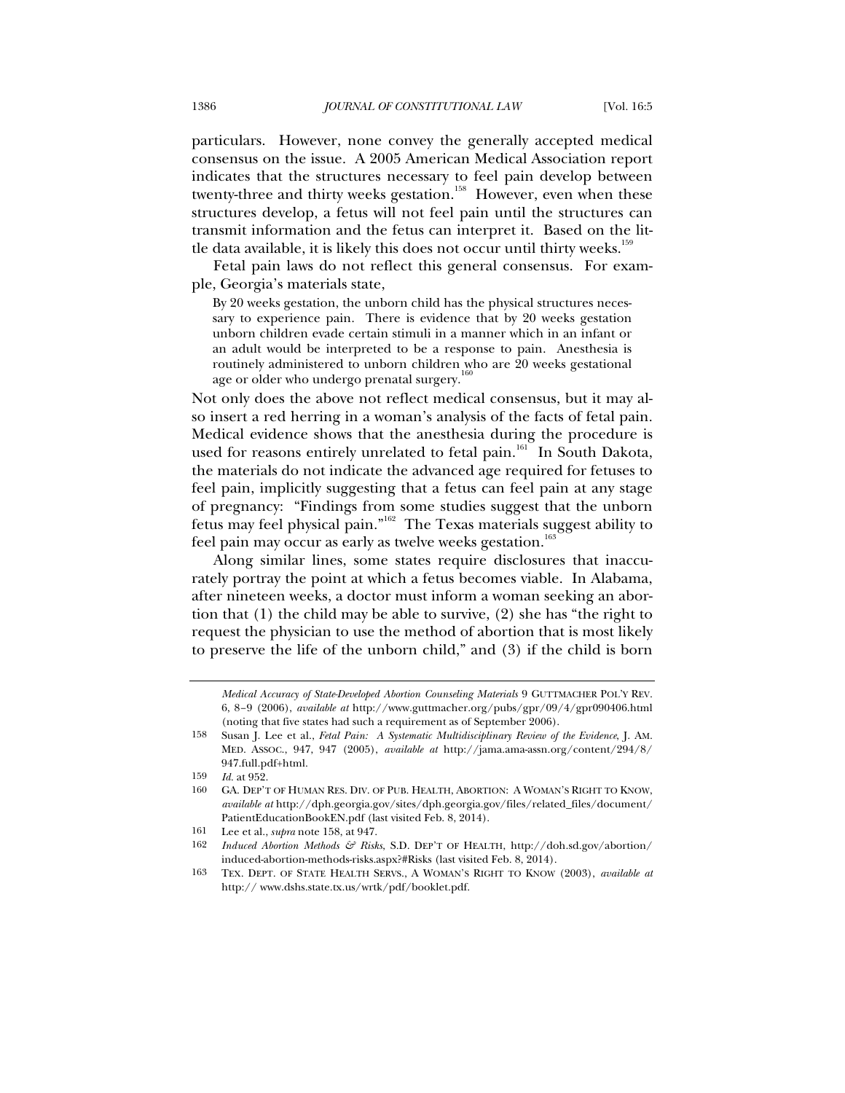particulars. However, none convey the generally accepted medical consensus on the issue. A 2005 American Medical Association report indicates that the structures necessary to feel pain develop between twenty-three and thirty weeks gestation.<sup>158</sup> However, even when these structures develop, a fetus will not feel pain until the structures can transmit information and the fetus can interpret it. Based on the little data available, it is likely this does not occur until thirty weeks.<sup>159</sup>

Fetal pain laws do not reflect this general consensus. For example, Georgia's materials state,

By 20 weeks gestation, the unborn child has the physical structures necessary to experience pain. There is evidence that by 20 weeks gestation unborn children evade certain stimuli in a manner which in an infant or an adult would be interpreted to be a response to pain. Anesthesia is routinely administered to unborn children who are 20 weeks gestational age or older who undergo prenatal surgery.<sup>1</sup>

Not only does the above not reflect medical consensus, but it may also insert a red herring in a woman's analysis of the facts of fetal pain. Medical evidence shows that the anesthesia during the procedure is used for reasons entirely unrelated to fetal pain.<sup>161</sup> In South Dakota, the materials do not indicate the advanced age required for fetuses to feel pain, implicitly suggesting that a fetus can feel pain at any stage of pregnancy: "Findings from some studies suggest that the unborn fetus may feel physical pain."162 The Texas materials suggest ability to feel pain may occur as early as twelve weeks gestation.<sup>163</sup>

Along similar lines, some states require disclosures that inaccurately portray the point at which a fetus becomes viable. In Alabama, after nineteen weeks, a doctor must inform a woman seeking an abortion that (1) the child may be able to survive, (2) she has "the right to request the physician to use the method of abortion that is most likely to preserve the life of the unborn child," and (3) if the child is born

*Medical Accuracy of State-Developed Abortion Counseling Materials* 9 GUTTMACHER POL'Y REV. 6, 8–9 (2006), *available at* http://www.guttmacher.org/pubs/gpr/09/4/gpr090406.html (noting that five states had such a requirement as of September 2006).

<sup>158</sup> Susan J. Lee et al., *Fetal Pain: A Systematic Multidisciplinary Review of the Evidence*, J. AM. MED. ASSOC., 947, 947 (2005), *available at* http://jama.ama-assn.org/content/294/8/ 947.full.pdf+html.

<sup>159</sup> *Id.* at 952.

<sup>160</sup> GA. DEP'T OF HUMAN RES. DIV. OF PUB. HEALTH, ABORTION: A WOMAN'S RIGHT TO KNOW, *available at* http://dph.georgia.gov/sites/dph.georgia.gov/files/related\_files/document/ PatientEducationBookEN.pdf (last visited Feb. 8, 2014).

<sup>161</sup> Lee et al., *supra* note 158, at 947.

<sup>162</sup> *Induced Abortion Methods & Risks*, S.D. DEP'T OF HEALTH, http://doh.sd.gov/abortion/ induced-abortion-methods-risks.aspx?#Risks (last visited Feb. 8, 2014).

<sup>163</sup> TEX. DEPT. OF STATE HEALTH SERVS., A WOMAN'S RIGHT TO KNOW (2003), *available at* http:// www.dshs.state.tx.us/wrtk/pdf/booklet.pdf.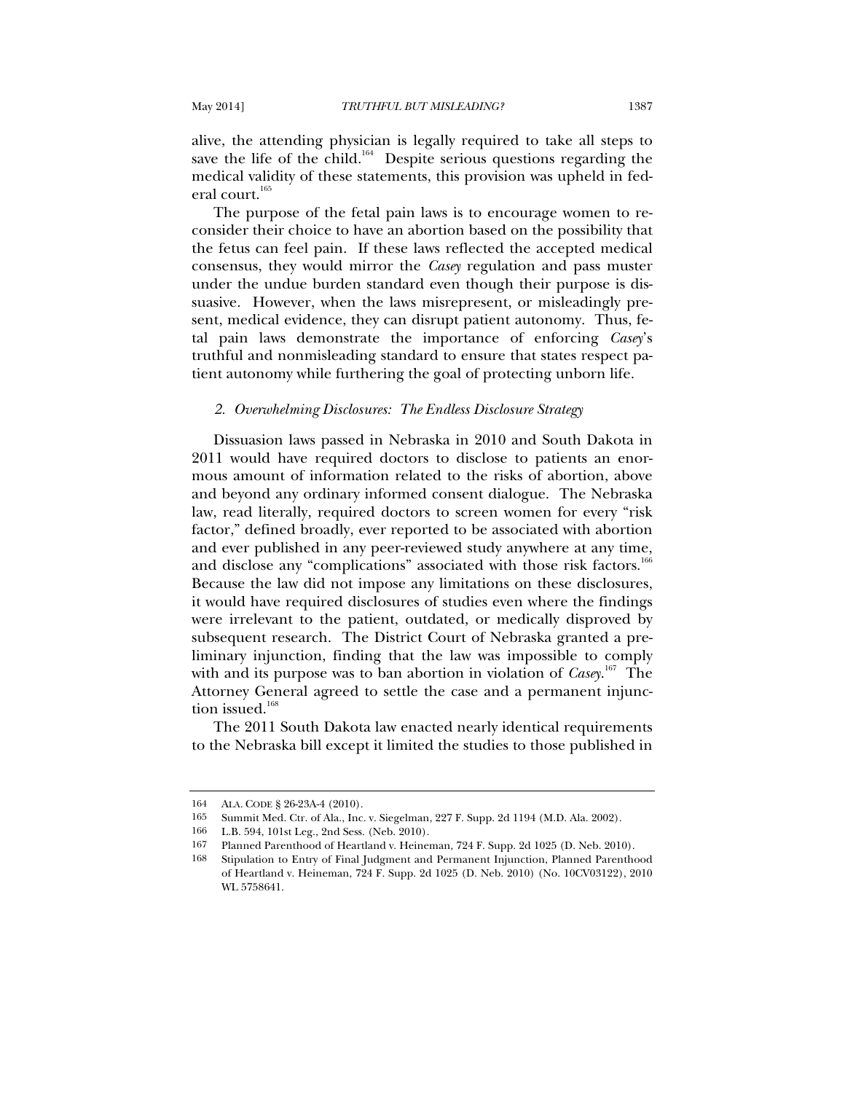alive, the attending physician is legally required to take all steps to save the life of the child.<sup>164</sup> Despite serious questions regarding the medical validity of these statements, this provision was upheld in federal court.<sup>165</sup>

The purpose of the fetal pain laws is to encourage women to reconsider their choice to have an abortion based on the possibility that the fetus can feel pain. If these laws reflected the accepted medical consensus, they would mirror the *Casey* regulation and pass muster under the undue burden standard even though their purpose is dissuasive. However, when the laws misrepresent, or misleadingly present, medical evidence, they can disrupt patient autonomy. Thus, fetal pain laws demonstrate the importance of enforcing *Casey*'s truthful and nonmisleading standard to ensure that states respect patient autonomy while furthering the goal of protecting unborn life.

#### *2. Overwhelming Disclosures: The Endless Disclosure Strategy*

Dissuasion laws passed in Nebraska in 2010 and South Dakota in 2011 would have required doctors to disclose to patients an enormous amount of information related to the risks of abortion, above and beyond any ordinary informed consent dialogue. The Nebraska law, read literally, required doctors to screen women for every "risk factor," defined broadly, ever reported to be associated with abortion and ever published in any peer-reviewed study anywhere at any time, and disclose any "complications" associated with those risk factors.<sup>166</sup> Because the law did not impose any limitations on these disclosures, it would have required disclosures of studies even where the findings were irrelevant to the patient, outdated, or medically disproved by subsequent research. The District Court of Nebraska granted a preliminary injunction, finding that the law was impossible to comply with and its purpose was to ban abortion in violation of *Casey*. 167 The Attorney General agreed to settle the case and a permanent injunction issued. $168$ 

The 2011 South Dakota law enacted nearly identical requirements to the Nebraska bill except it limited the studies to those published in

<sup>164</sup> ALA. CODE § 26-23A-4 (2010).<br>165 Summit Med. Ctr. of Ala., Inc.

Summit Med. Ctr. of Ala., Inc. v. Siegelman, 227 F. Supp. 2d 1194 (M.D. Ala. 2002).

<sup>166</sup> L.B. 594, 101st Leg., 2nd Sess. (Neb. 2010).

<sup>167</sup> Planned Parenthood of Heartland v. Heineman, 724 F. Supp. 2d 1025 (D. Neb. 2010).

<sup>168</sup> Stipulation to Entry of Final Judgment and Permanent Injunction, Planned Parenthood of Heartland v. Heineman, 724 F. Supp. 2d 1025 (D. Neb. 2010) (No. 10CV03122), 2010 WL 5758641.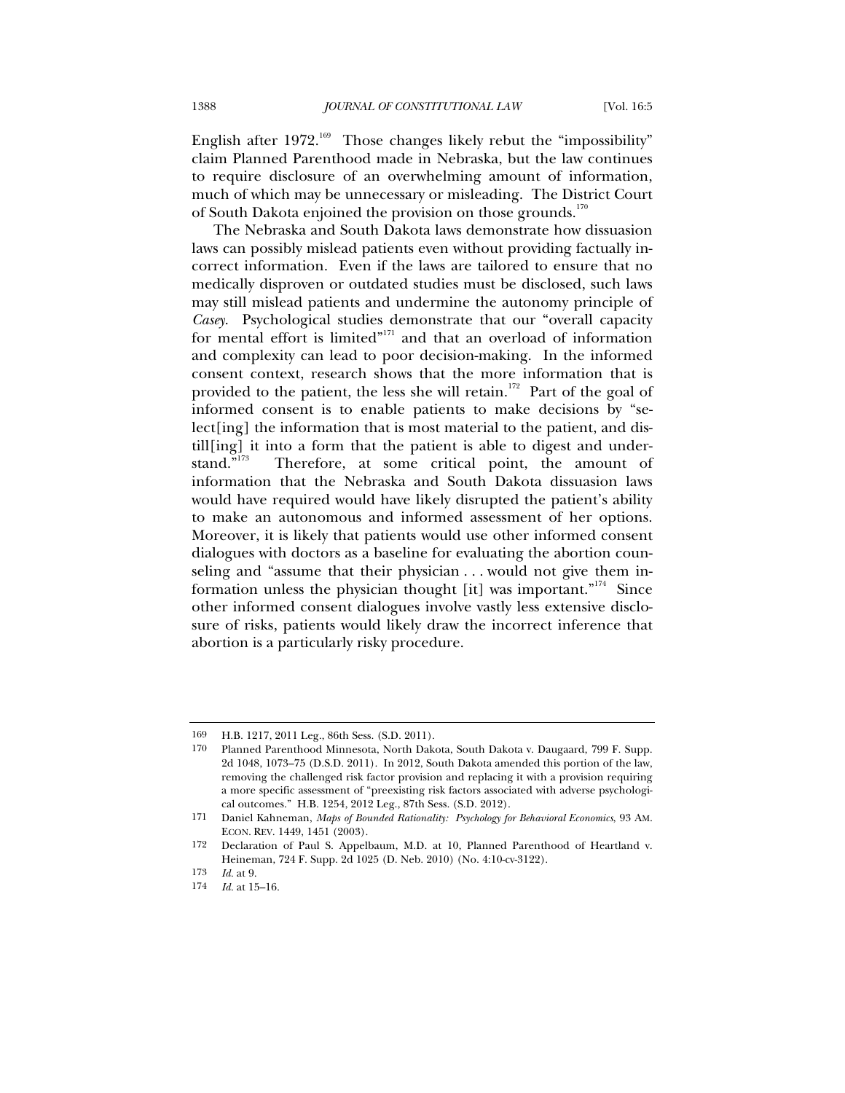English after  $1972$ <sup>169</sup> Those changes likely rebut the "impossibility" claim Planned Parenthood made in Nebraska, but the law continues to require disclosure of an overwhelming amount of information, much of which may be unnecessary or misleading. The District Court of South Dakota enjoined the provision on those grounds.<sup>170</sup>

The Nebraska and South Dakota laws demonstrate how dissuasion laws can possibly mislead patients even without providing factually incorrect information. Even if the laws are tailored to ensure that no medically disproven or outdated studies must be disclosed, such laws may still mislead patients and undermine the autonomy principle of *Casey*. Psychological studies demonstrate that our "overall capacity for mental effort is limited"<sup>171</sup> and that an overload of information and complexity can lead to poor decision-making. In the informed consent context, research shows that the more information that is provided to the patient, the less she will retain.<sup>172</sup> Part of the goal of informed consent is to enable patients to make decisions by "select[ing] the information that is most material to the patient, and distill[ing] it into a form that the patient is able to digest and under-<br>stand."<sup>173</sup> Therefore, at some critical point, the amount of Therefore, at some critical point, the amount of information that the Nebraska and South Dakota dissuasion laws would have required would have likely disrupted the patient's ability to make an autonomous and informed assessment of her options. Moreover, it is likely that patients would use other informed consent dialogues with doctors as a baseline for evaluating the abortion counseling and "assume that their physician . . . would not give them information unless the physician thought [it] was important."<sup>174</sup> Since other informed consent dialogues involve vastly less extensive disclosure of risks, patients would likely draw the incorrect inference that abortion is a particularly risky procedure.

<sup>169</sup> H.B. 1217, 2011 Leg., 86th Sess. (S.D. 2011).

Planned Parenthood Minnesota, North Dakota, South Dakota v. Daugaard, 799 F. Supp. 2d 1048, 1073–75 (D.S.D. 2011). In 2012, South Dakota amended this portion of the law, removing the challenged risk factor provision and replacing it with a provision requiring a more specific assessment of "preexisting risk factors associated with adverse psychological outcomes." H.B. 1254, 2012 Leg., 87th Sess. (S.D. 2012).

<sup>171</sup> Daniel Kahneman, *Maps of Bounded Rationality: Psychology for Behavioral Economics*, 93 AM. ECON. REV. 1449, 1451 (2003).

<sup>172</sup> Declaration of Paul S. Appelbaum, M.D. at 10, Planned Parenthood of Heartland v. Heineman, 724 F. Supp. 2d 1025 (D. Neb. 2010) (No. 4:10-cv-3122).

<sup>173</sup> *Id.* at 9.

*Id.* at 15–16.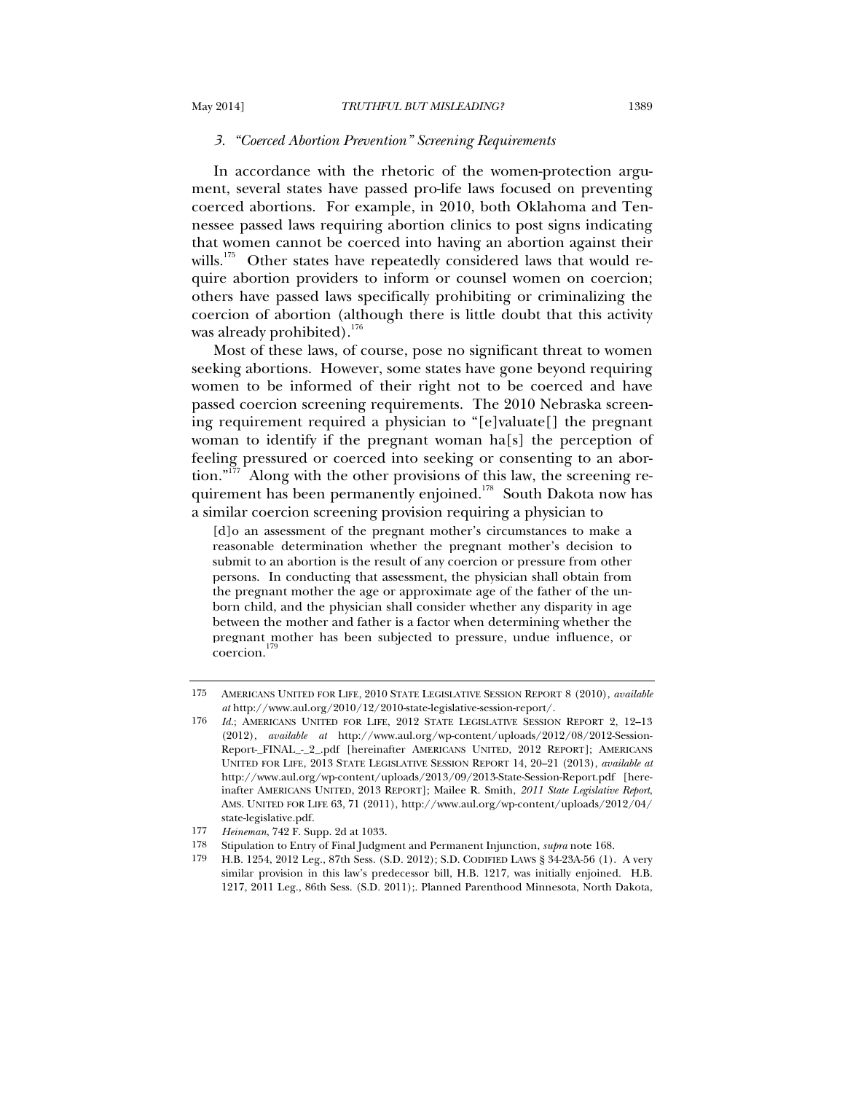#### *3. "Coerced Abortion Prevention" Screening Requirements*

In accordance with the rhetoric of the women-protection argument, several states have passed pro-life laws focused on preventing coerced abortions. For example, in 2010, both Oklahoma and Tennessee passed laws requiring abortion clinics to post signs indicating that women cannot be coerced into having an abortion against their wills.<sup>175</sup> Other states have repeatedly considered laws that would require abortion providers to inform or counsel women on coercion; others have passed laws specifically prohibiting or criminalizing the coercion of abortion (although there is little doubt that this activity was already prohibited). $176$ 

Most of these laws, of course, pose no significant threat to women seeking abortions. However, some states have gone beyond requiring women to be informed of their right not to be coerced and have passed coercion screening requirements. The 2010 Nebraska screening requirement required a physician to "[e]valuate[] the pregnant woman to identify if the pregnant woman ha[s] the perception of feeling pressured or coerced into seeking or consenting to an abor- $\mu$ <sub>1177</sub>. Along with the other provisions of this law, the screening requirement has been permanently enjoined.<sup>178</sup> South Dakota now has a similar coercion screening provision requiring a physician to

[d]o an assessment of the pregnant mother's circumstances to make a reasonable determination whether the pregnant mother's decision to submit to an abortion is the result of any coercion or pressure from other persons. In conducting that assessment, the physician shall obtain from the pregnant mother the age or approximate age of the father of the unborn child, and the physician shall consider whether any disparity in age between the mother and father is a factor when determining whether the pregnant mother has been subjected to pressure, undue influence, or coercion.

<sup>175</sup> AMERICANS UNITED FOR LIFE, 2010 STATE LEGISLATIVE SESSION REPORT 8 (2010), *available at* http://www.aul.org/2010/12/2010-state-legislative-session-report/.

<sup>176</sup> *Id.*; AMERICANS UNITED FOR LIFE, 2012 STATE LEGISLATIVE SESSION REPORT 2, 12-13 (2012), *available at* http://www.aul.org/wp-content/uploads/2012/08/2012-Session-Report-\_FINAL\_-\_2\_.pdf [hereinafter AMERICANS UNITED, 2012 REPORT]; AMERICANS UNITED FOR LIFE, 2013 STATE LEGISLATIVE SESSION REPORT 14, 20–21 (2013), *available at*  http://www.aul.org/wp-content/uploads/2013/09/2013-State-Session-Report.pdf [hereinafter AMERICANS UNITED, 2013 REPORT]; Mailee R. Smith, *2011 State Legislative Report*, AMS. UNITED FOR LIFE 63, 71 (2011), http://www.aul.org/wp-content/uploads/2012/04/ state-legislative.pdf.

<sup>177</sup> *Heineman*, 742 F. Supp. 2d at 1033.

<sup>178</sup> Stipulation to Entry of Final Judgment and Permanent Injunction, *supra* note 168.

<sup>179</sup> H.B. 1254, 2012 Leg., 87th Sess. (S.D. 2012); S.D. CODIFIED LAWS § 34-23A-56 (1). A very similar provision in this law's predecessor bill, H.B. 1217, was initially enjoined. H.B. 1217, 2011 Leg., 86th Sess. (S.D. 2011);. Planned Parenthood Minnesota, North Dakota,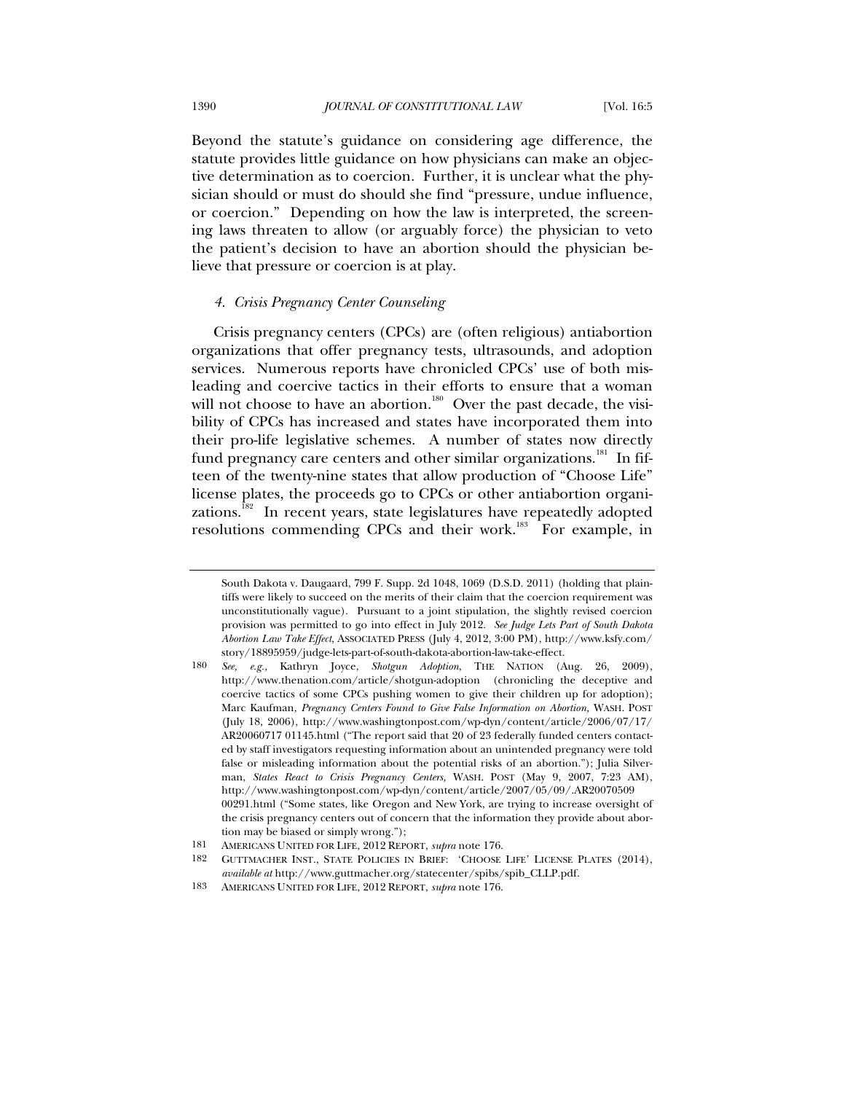Beyond the statute's guidance on considering age difference, the statute provides little guidance on how physicians can make an objective determination as to coercion. Further, it is unclear what the physician should or must do should she find "pressure, undue influence, or coercion." Depending on how the law is interpreted, the screening laws threaten to allow (or arguably force) the physician to veto the patient's decision to have an abortion should the physician believe that pressure or coercion is at play.

# *4. Crisis Pregnancy Center Counseling*

Crisis pregnancy centers (CPCs) are (often religious) antiabortion organizations that offer pregnancy tests, ultrasounds, and adoption services. Numerous reports have chronicled CPCs' use of both misleading and coercive tactics in their efforts to ensure that a woman will not choose to have an abortion.<sup>180</sup> Over the past decade, the visibility of CPCs has increased and states have incorporated them into their pro-life legislative schemes. A number of states now directly fund pregnancy care centers and other similar organizations. $^{\text{181}}$  In fifteen of the twenty-nine states that allow production of "Choose Life" license plates, the proceeds go to CPCs or other antiabortion organizations.<sup>182</sup> In recent years, state legislatures have repeatedly adopted resolutions commending CPCs and their work.<sup>183</sup> For example, in

South Dakota v. Daugaard, 799 F. Supp. 2d 1048, 1069 (D.S.D. 2011) (holding that plaintiffs were likely to succeed on the merits of their claim that the coercion requirement was unconstitutionally vague). Pursuant to a joint stipulation, the slightly revised coercion provision was permitted to go into effect in July 2012. *See Judge Lets Part of South Dakota Abortion Law Take Effect*, ASSOCIATED PRESS (July 4, 2012, 3:00 PM), http://www.ksfy.com/ story/18895959/judge-lets-part-of-south-dakota-abortion-law-take-effect.

<sup>180</sup> *See, e.g.,* Kathryn Joyce, *Shotgun Adoption*, THE NATION (Aug. 26, 2009), http://www.thenation.com/article/shotgun-adoption (chronicling the deceptive and coercive tactics of some CPCs pushing women to give their children up for adoption); Marc Kaufman, *Pregnancy Centers Found to Give False Information on Abortion,* WASH. POST (July 18, 2006), http://www.washingtonpost.com/wp-dyn/content/article/2006/07/17/ AR20060717 01145.html ("The report said that 20 of 23 federally funded centers contacted by staff investigators requesting information about an unintended pregnancy were told false or misleading information about the potential risks of an abortion."); Julia Silverman, *States React to Crisis Pregnancy Centers,* WASH. POST (May 9, 2007, 7:23 AM), http://www.washingtonpost.com/wp-dyn/content/article/2007/05/09/.AR20070509 00291.html ("Some states, like Oregon and New York, are trying to increase oversight of the crisis pregnancy centers out of concern that the information they provide about abortion may be biased or simply wrong.");

<sup>181</sup> AMERICANS UNITED FOR LIFE, 2012 REPORT, *supra* note 176.

<sup>182</sup> GUTTMACHER INST., STATE POLICIES IN BRIEF: 'CHOOSE LIFE' LICENSE PLATES (2014), *available at* http://www.guttmacher.org/statecenter/spibs/spib\_CLLP.pdf.

<sup>183</sup> AMERICANS UNITED FOR LIFE, 2012 REPORT, *supra* note 176.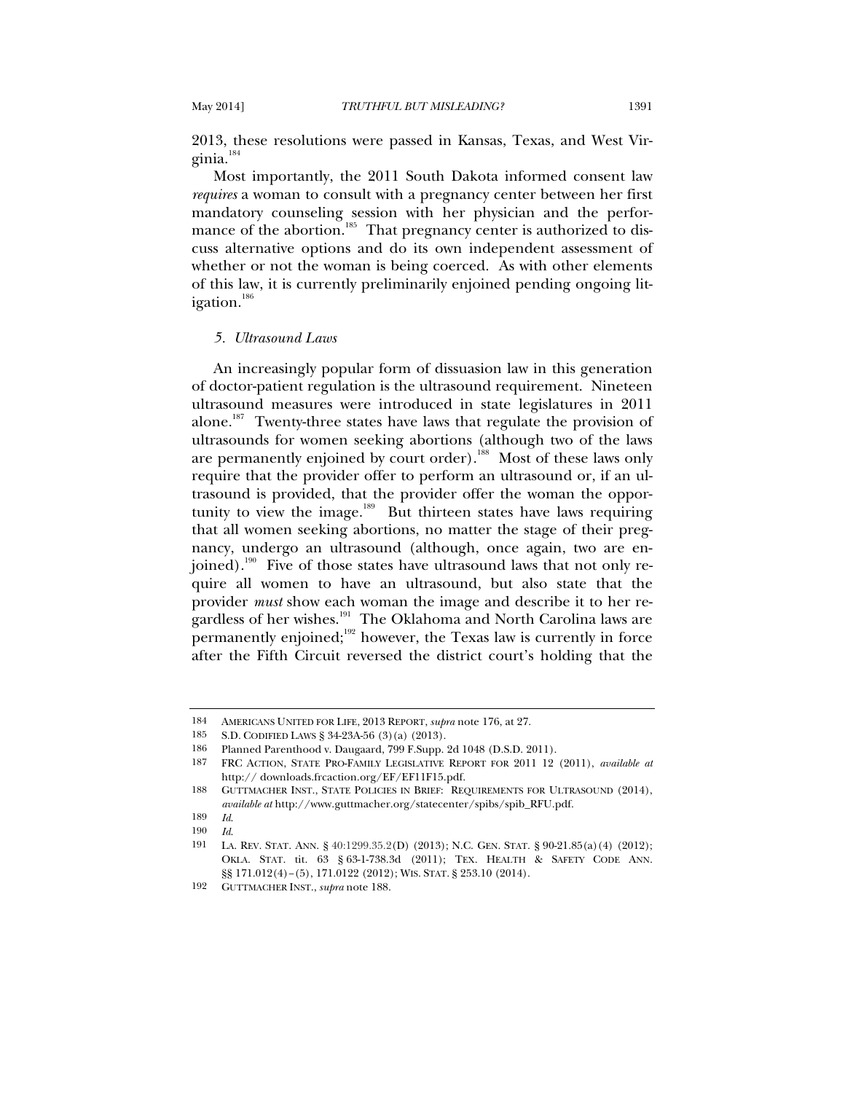2013, these resolutions were passed in Kansas, Texas, and West Virginia.<sup>184</sup>

Most importantly, the 2011 South Dakota informed consent law *requires* a woman to consult with a pregnancy center between her first mandatory counseling session with her physician and the performance of the abortion.<sup>185</sup> That pregnancy center is authorized to discuss alternative options and do its own independent assessment of whether or not the woman is being coerced. As with other elements of this law, it is currently preliminarily enjoined pending ongoing litigation.<sup>186</sup>

#### *5. Ultrasound Laws*

An increasingly popular form of dissuasion law in this generation of doctor-patient regulation is the ultrasound requirement. Nineteen ultrasound measures were introduced in state legislatures in 2011 alone.<sup>187</sup> Twenty-three states have laws that regulate the provision of ultrasounds for women seeking abortions (although two of the laws are permanently enjoined by court order).<sup>188</sup> Most of these laws only require that the provider offer to perform an ultrasound or, if an ultrasound is provided, that the provider offer the woman the opportunity to view the image. $189$  But thirteen states have laws requiring that all women seeking abortions, no matter the stage of their pregnancy, undergo an ultrasound (although, once again, two are enjoined).<sup>190</sup> Five of those states have ultrasound laws that not only require all women to have an ultrasound, but also state that the provider *must* show each woman the image and describe it to her regardless of her wishes.<sup>191</sup> The Oklahoma and North Carolina laws are permanently enjoined; $192$  however, the Texas law is currently in force after the Fifth Circuit reversed the district court's holding that the

<sup>184</sup> AMERICANS UNITED FOR LIFE, 2013 REPORT, *supra* note 176, at 27.

<sup>185</sup> S.D. CODIFIED LAWS § 34-23A-56 (3)(a) (2013).

<sup>186</sup> Planned Parenthood v. Daugaard, 799 F.Supp. 2d 1048 (D.S.D. 2011).

<sup>187</sup> FRC ACTION, STATE PRO-FAMILY LEGISLATIVE REPORT FOR 2011 12 (2011), *available at* http:// downloads.frcaction.org/EF/EF11F15.pdf.

<sup>188</sup> GUTTMACHER INST., STATE POLICIES IN BRIEF: REQUIREMENTS FOR ULTRASOUND (2014), *available at* http://www.guttmacher.org/statecenter/spibs/spib\_RFU.pdf.

<sup>189</sup> *Id*.

<sup>190</sup> *Id*.

<sup>191</sup> LA. REV. STAT. ANN. § 40:1299.35.2(D) (2013); N.C. GEN. STAT. § 90-21.85(a)(4) (2012); OKLA. STAT. tit. 63 § 63-1-738.3d (2011); TEX. HEALTH & SAFETY CODE ANN. §§ 171.012(4)–(5), 171.0122 (2012); WIS. STAT. § 253.10 (2014).

<sup>192</sup> GUTTMACHER INST., *supra* note 188.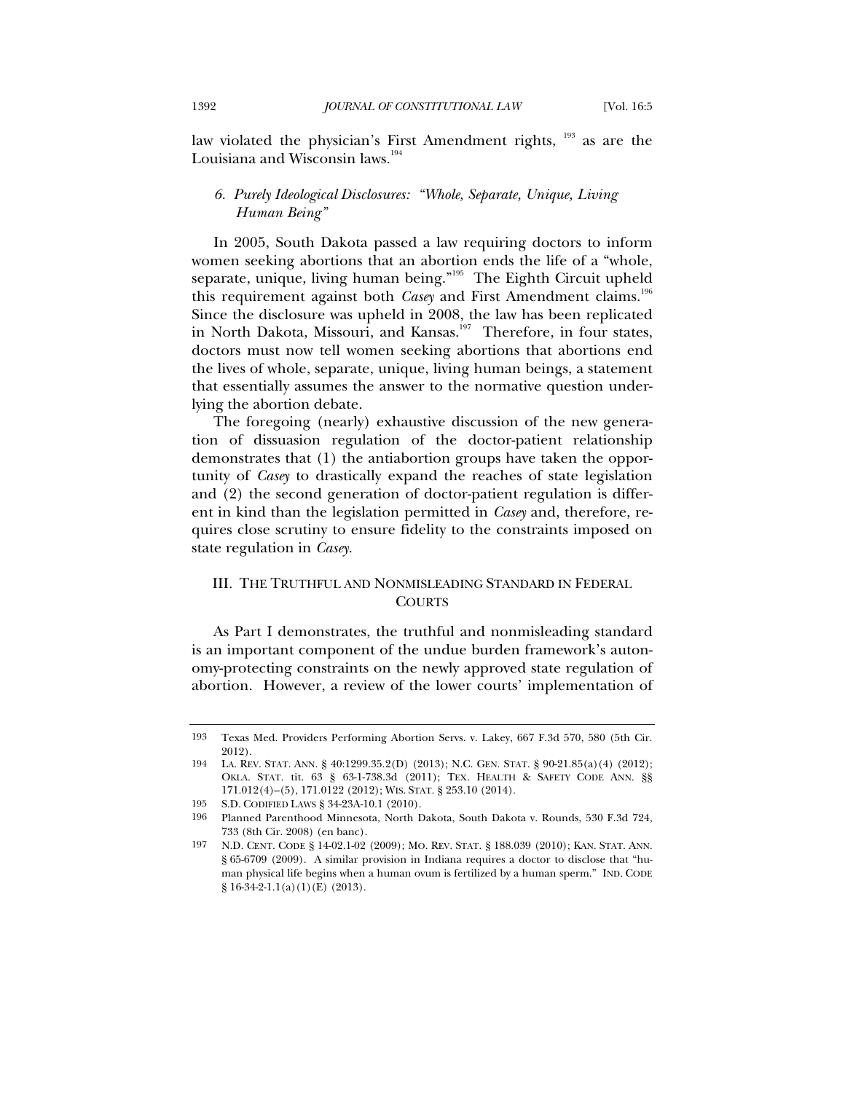law violated the physician's First Amendment rights, <sup>193</sup> as are the Louisiana and Wisconsin laws.<sup>194</sup>

# *6. Purely Ideological Disclosures: "Whole, Separate, Unique, Living Human Being"*

In 2005, South Dakota passed a law requiring doctors to inform women seeking abortions that an abortion ends the life of a "whole, separate, unique, living human being."<sup>195</sup> The Eighth Circuit upheld this requirement against both *Casey* and First Amendment claims.<sup>196</sup> Since the disclosure was upheld in 2008, the law has been replicated in North Dakota, Missouri, and Kansas.<sup>197</sup> Therefore, in four states, doctors must now tell women seeking abortions that abortions end the lives of whole, separate, unique, living human beings, a statement that essentially assumes the answer to the normative question underlying the abortion debate.

The foregoing (nearly) exhaustive discussion of the new generation of dissuasion regulation of the doctor-patient relationship demonstrates that (1) the antiabortion groups have taken the opportunity of *Casey* to drastically expand the reaches of state legislation and (2) the second generation of doctor-patient regulation is different in kind than the legislation permitted in *Casey* and, therefore, requires close scrutiny to ensure fidelity to the constraints imposed on state regulation in *Casey*.

# III. THE TRUTHFUL AND NONMISLEADING STANDARD IN FEDERAL COURTS

As Part I demonstrates, the truthful and nonmisleading standard is an important component of the undue burden framework's autonomy-protecting constraints on the newly approved state regulation of abortion. However, a review of the lower courts' implementation of

<sup>193</sup> Texas Med. Providers Performing Abortion Servs. v. Lakey, 667 F.3d 570, 580 (5th Cir. 2012).

<sup>194</sup> LA. REV. STAT. ANN. § 40:1299.35.2(D) (2013); N.C. GEN. STAT. § 90-21.85(a)(4) (2012); OKLA. STAT. tit. 63 § 63-1-738.3d (2011); TEX. HEALTH & SAFETY CODE ANN. §§ 171.012(4)–(5), 171.0122 (2012); WIS. STAT. § 253.10 (2014).

<sup>195</sup> S.D. CODIFIED LAWS § 34-23A-10.1 (2010).

<sup>196</sup> Planned Parenthood Minnesota, North Dakota, South Dakota v. Rounds, 530 F.3d 724, 733 (8th Cir. 2008) (en banc).

<sup>197</sup> N.D. CENT. CODE § 14-02.1-02 (2009); MO. REV. STAT. § 188.039 (2010); KAN. STAT. ANN. § 65-6709 (2009). A similar provision in Indiana requires a doctor to disclose that "human physical life begins when a human ovum is fertilized by a human sperm." IND. CODE § 16-34-2-1.1(a)(1)(E) (2013).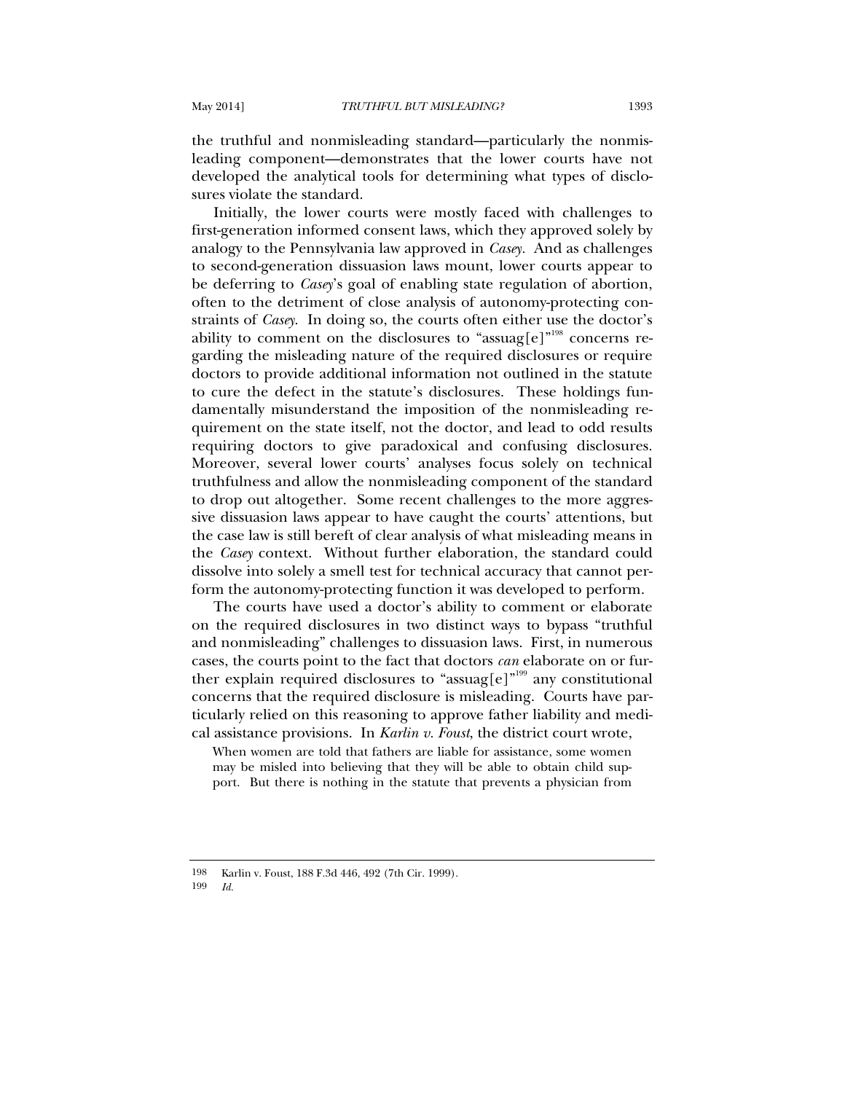the truthful and nonmisleading standard—particularly the nonmisleading component—demonstrates that the lower courts have not developed the analytical tools for determining what types of disclosures violate the standard.

Initially, the lower courts were mostly faced with challenges to first-generation informed consent laws, which they approved solely by analogy to the Pennsylvania law approved in *Casey.* And as challenges to second-generation dissuasion laws mount, lower courts appear to be deferring to *Casey*'s goal of enabling state regulation of abortion, often to the detriment of close analysis of autonomy-protecting constraints of *Casey*.In doing so, the courts often either use the doctor's ability to comment on the disclosures to "assuag[e]" $^{\rm 198}$  concerns regarding the misleading nature of the required disclosures or require doctors to provide additional information not outlined in the statute to cure the defect in the statute's disclosures. These holdings fundamentally misunderstand the imposition of the nonmisleading requirement on the state itself, not the doctor, and lead to odd results requiring doctors to give paradoxical and confusing disclosures. Moreover, several lower courts' analyses focus solely on technical truthfulness and allow the nonmisleading component of the standard to drop out altogether. Some recent challenges to the more aggressive dissuasion laws appear to have caught the courts' attentions, but the case law is still bereft of clear analysis of what misleading means in the *Casey* context. Without further elaboration, the standard could dissolve into solely a smell test for technical accuracy that cannot perform the autonomy-protecting function it was developed to perform.

The courts have used a doctor's ability to comment or elaborate on the required disclosures in two distinct ways to bypass "truthful and nonmisleading" challenges to dissuasion laws. First, in numerous cases, the courts point to the fact that doctors *can* elaborate on or further explain required disclosures to "assuag[e]"<sup>199</sup> any constitutional concerns that the required disclosure is misleading. Courts have particularly relied on this reasoning to approve father liability and medical assistance provisions. In *Karlin v. Foust*, the district court wrote,

When women are told that fathers are liable for assistance, some women may be misled into believing that they will be able to obtain child support. But there is nothing in the statute that prevents a physician from

199 *Id.*

<sup>198</sup> Karlin v. Foust, 188 F.3d 446, 492 (7th Cir. 1999).<br>199 Id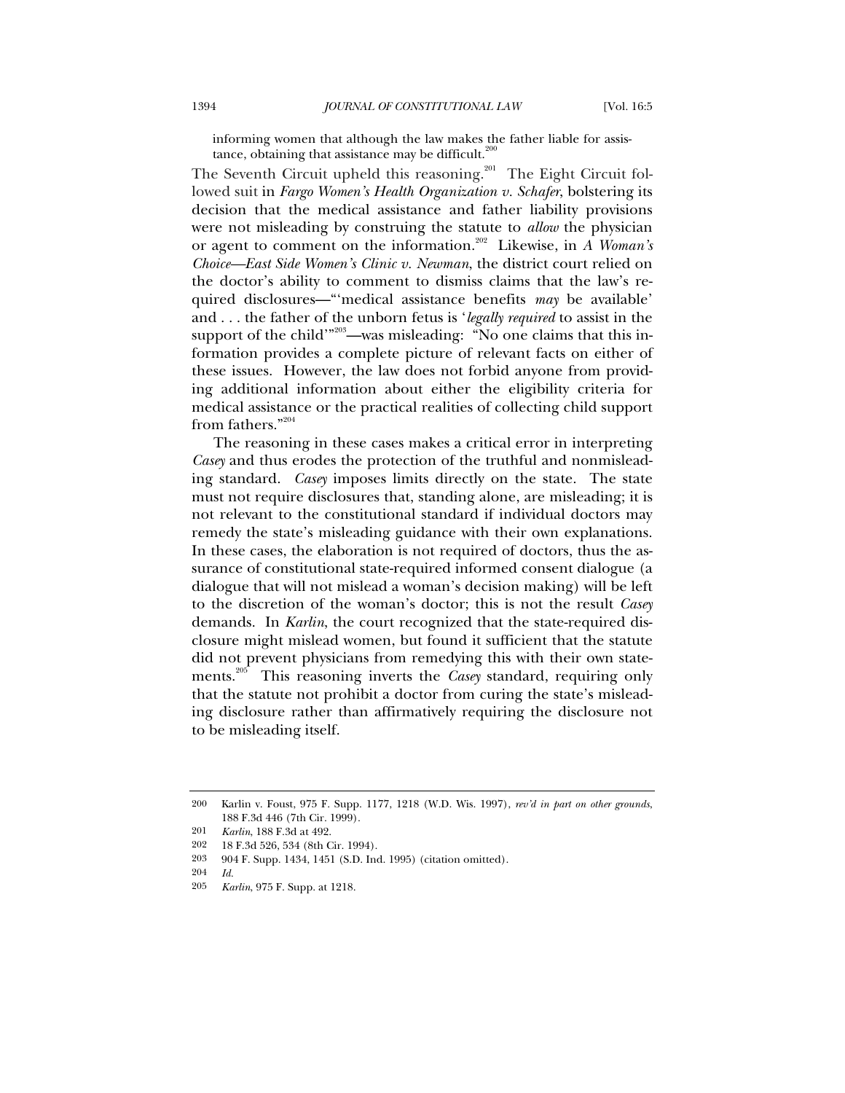informing women that although the law makes the father liable for assistance, obtaining that assistance may be difficult.<sup>20</sup>

The Seventh Circuit upheld this reasoning.<sup>201</sup> The Eight Circuit followed suit in *Fargo Women's Health Organization v. Schafer*, bolstering its decision that the medical assistance and father liability provisions were not misleading by construing the statute to *allow* the physician or agent to comment on the information.<sup>202</sup> Likewise, in *A Woman's Choice—East Side Women's Clinic v. Newman*, the district court relied on the doctor's ability to comment to dismiss claims that the law's required disclosures—"'medical assistance benefits *may* be available' and . . . the father of the unborn fetus is '*legally required* to assist in the support of the child'"<sup>203</sup>—was misleading: "No one claims that this information provides a complete picture of relevant facts on either of these issues. However, the law does not forbid anyone from providing additional information about either the eligibility criteria for medical assistance or the practical realities of collecting child support from fathers."204

The reasoning in these cases makes a critical error in interpreting *Casey* and thus erodes the protection of the truthful and nonmisleading standard. *Casey* imposes limits directly on the state. The state must not require disclosures that, standing alone, are misleading; it is not relevant to the constitutional standard if individual doctors may remedy the state's misleading guidance with their own explanations. In these cases, the elaboration is not required of doctors, thus the assurance of constitutional state-required informed consent dialogue (a dialogue that will not mislead a woman's decision making) will be left to the discretion of the woman's doctor; this is not the result *Casey* demands. In *Karlin*, the court recognized that the state-required disclosure might mislead women, but found it sufficient that the statute did not prevent physicians from remedying this with their own statements.205 This reasoning inverts the *Casey* standard, requiring only that the statute not prohibit a doctor from curing the state's misleading disclosure rather than affirmatively requiring the disclosure not to be misleading itself.

<sup>200</sup> Karlin v. Foust, 975 F. Supp. 1177, 1218 (W.D. Wis. 1997), *rev'd in part on other grounds*, 188 F.3d 446 (7th Cir. 1999).

<sup>201</sup> *Karlin*, 188 F.3d at 492.

<sup>202 18</sup> F.3d 526, 534 (8th Cir. 1994).

<sup>203 904</sup> F. Supp. 1434, 1451 (S.D. Ind. 1995) (citation omitted).

 $\frac{204}{205}$  *Id.* 

<sup>205</sup> *Karlin*, 975 F. Supp. at 1218.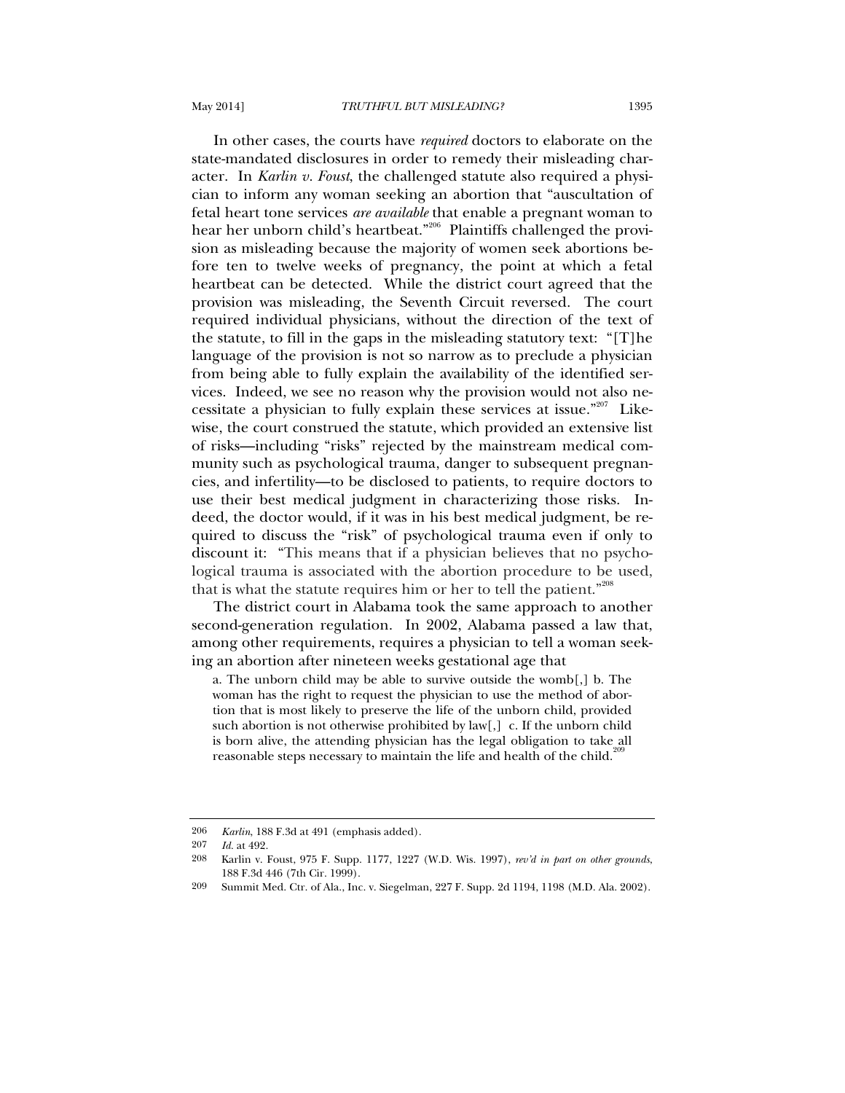In other cases, the courts have *required* doctors to elaborate on the state-mandated disclosures in order to remedy their misleading character. In *Karlin v. Foust*, the challenged statute also required a physician to inform any woman seeking an abortion that "auscultation of fetal heart tone services *are available* that enable a pregnant woman to hear her unborn child's heartbeat."206 Plaintiffs challenged the provision as misleading because the majority of women seek abortions before ten to twelve weeks of pregnancy, the point at which a fetal heartbeat can be detected. While the district court agreed that the provision was misleading, the Seventh Circuit reversed. The court required individual physicians, without the direction of the text of the statute, to fill in the gaps in the misleading statutory text: "[T]he language of the provision is not so narrow as to preclude a physician from being able to fully explain the availability of the identified services. Indeed, we see no reason why the provision would not also necessitate a physician to fully explain these services at issue."<sup>207</sup> Likewise, the court construed the statute, which provided an extensive list of risks—including "risks" rejected by the mainstream medical community such as psychological trauma, danger to subsequent pregnancies, and infertility—to be disclosed to patients, to require doctors to use their best medical judgment in characterizing those risks. Indeed, the doctor would, if it was in his best medical judgment, be required to discuss the "risk" of psychological trauma even if only to discount it: "This means that if a physician believes that no psychological trauma is associated with the abortion procedure to be used, that is what the statute requires him or her to tell the patient." $208$ 

The district court in Alabama took the same approach to another second-generation regulation. In 2002, Alabama passed a law that, among other requirements, requires a physician to tell a woman seeking an abortion after nineteen weeks gestational age that

a. The unborn child may be able to survive outside the womb[,] b. The woman has the right to request the physician to use the method of abortion that is most likely to preserve the life of the unborn child, provided such abortion is not otherwise prohibited by law[,] c. If the unborn child is born alive, the attending physician has the legal obligation to take all reasonable steps necessary to maintain the life and health of the child.<sup>2</sup>

<sup>206</sup> *Karlin*, 188 F.3d at 491 (emphasis added).<br>207 *Id at* 499

*Id.* at 492.

<sup>208</sup> Karlin v. Foust, 975 F. Supp. 1177, 1227 (W.D. Wis. 1997), *rev'd in part on other grounds*, 188 F.3d 446 (7th Cir. 1999).

<sup>209</sup> Summit Med. Ctr. of Ala., Inc. v. Siegelman, 227 F. Supp. 2d 1194, 1198 (M.D. Ala. 2002).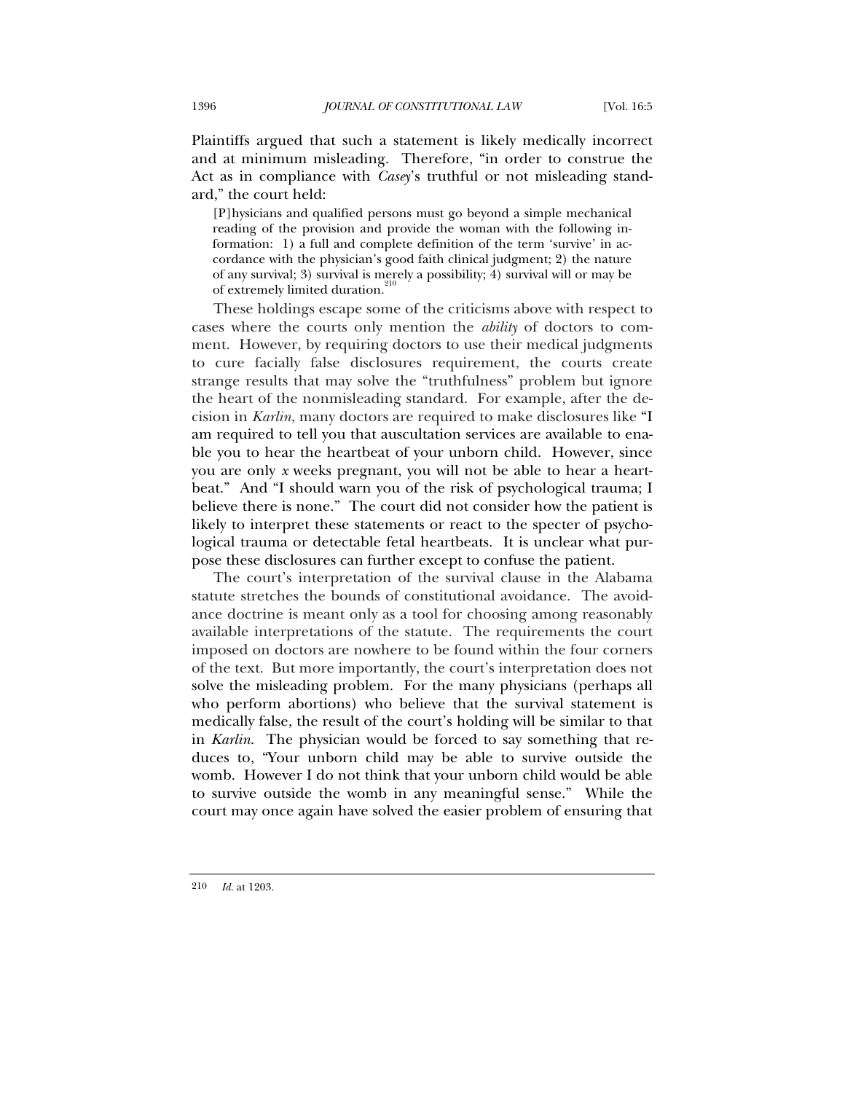Plaintiffs argued that such a statement is likely medically incorrect and at minimum misleading. Therefore, "in order to construe the Act as in compliance with *Casey*'s truthful or not misleading standard," the court held:

[P]hysicians and qualified persons must go beyond a simple mechanical reading of the provision and provide the woman with the following information: 1) a full and complete definition of the term 'survive' in accordance with the physician's good faith clinical judgment; 2) the nature of any survival; 3) survival is merely a possibility; 4) survival will or may be of extremely limited duration.<sup>2</sup>

These holdings escape some of the criticisms above with respect to cases where the courts only mention the *ability* of doctors to comment. However, by requiring doctors to use their medical judgments to cure facially false disclosures requirement, the courts create strange results that may solve the "truthfulness" problem but ignore the heart of the nonmisleading standard. For example, after the decision in *Karlin*, many doctors are required to make disclosures like "I am required to tell you that auscultation services are available to enable you to hear the heartbeat of your unborn child. However, since you are only *x* weeks pregnant, you will not be able to hear a heartbeat." And "I should warn you of the risk of psychological trauma; I believe there is none." The court did not consider how the patient is likely to interpret these statements or react to the specter of psychological trauma or detectable fetal heartbeats. It is unclear what purpose these disclosures can further except to confuse the patient.

The court's interpretation of the survival clause in the Alabama statute stretches the bounds of constitutional avoidance. The avoidance doctrine is meant only as a tool for choosing among reasonably available interpretations of the statute. The requirements the court imposed on doctors are nowhere to be found within the four corners of the text. But more importantly, the court's interpretation does not solve the misleading problem. For the many physicians (perhaps all who perform abortions) who believe that the survival statement is medically false, the result of the court's holding will be similar to that in *Karlin*. The physician would be forced to say something that reduces to, "Your unborn child may be able to survive outside the womb. However I do not think that your unborn child would be able to survive outside the womb in any meaningful sense." While the court may once again have solved the easier problem of ensuring that

210 *Id.* at 1203.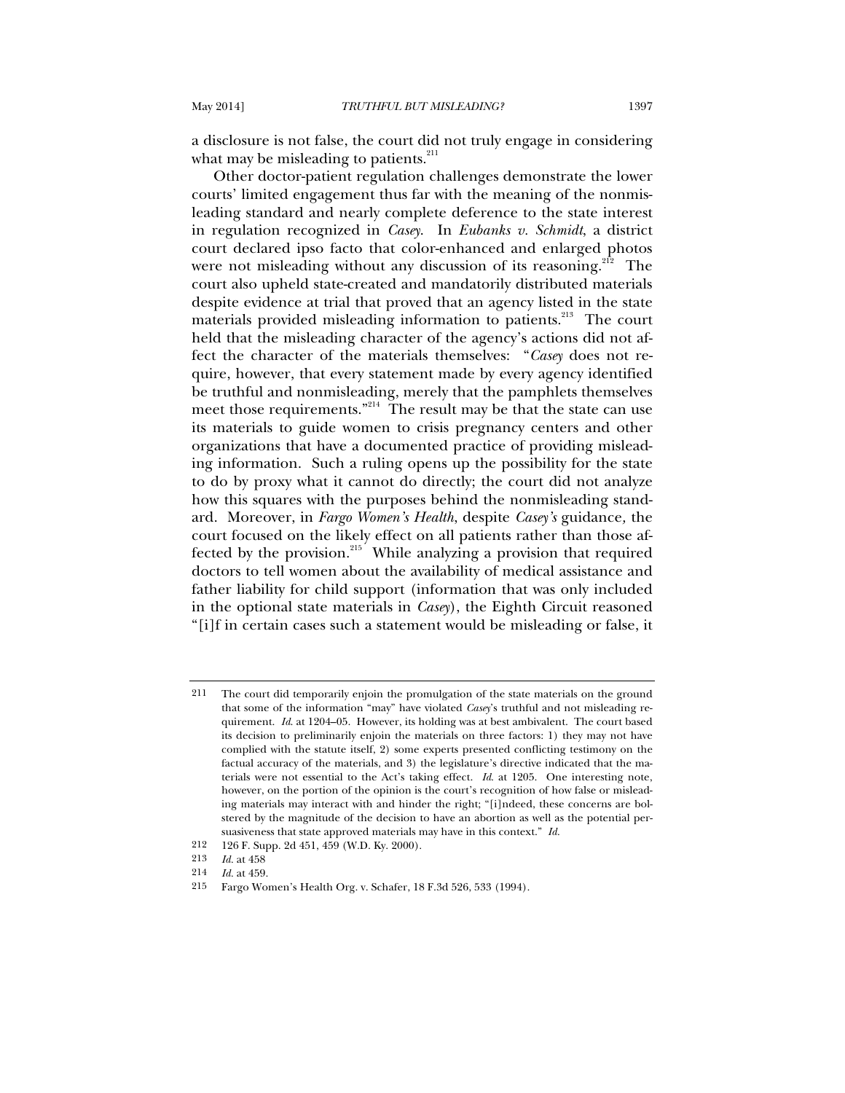a disclosure is not false, the court did not truly engage in considering what may be misleading to patients. $^{211}$ 

Other doctor-patient regulation challenges demonstrate the lower courts' limited engagement thus far with the meaning of the nonmisleading standard and nearly complete deference to the state interest in regulation recognized in *Casey*. In *Eubanks v. Schmidt*, a district court declared ipso facto that color-enhanced and enlarged photos were not misleading without any discussion of its reasoning.<sup>212</sup> The court also upheld state-created and mandatorily distributed materials despite evidence at trial that proved that an agency listed in the state materials provided misleading information to patients.<sup>213</sup> The court held that the misleading character of the agency's actions did not affect the character of the materials themselves: "*Casey* does not require, however, that every statement made by every agency identified be truthful and nonmisleading, merely that the pamphlets themselves meet those requirements."<sup>214</sup> The result may be that the state can use its materials to guide women to crisis pregnancy centers and other organizations that have a documented practice of providing misleading information. Such a ruling opens up the possibility for the state to do by proxy what it cannot do directly; the court did not analyze how this squares with the purposes behind the nonmisleading standard. Moreover, in *Fargo Women's Health*, despite *Casey's* guidance*,* the court focused on the likely effect on all patients rather than those affected by the provision. $215$  While analyzing a provision that required doctors to tell women about the availability of medical assistance and father liability for child support (information that was only included in the optional state materials in *Casey*), the Eighth Circuit reasoned "[i]f in certain cases such a statement would be misleading or false, it

<sup>211</sup> The court did temporarily enjoin the promulgation of the state materials on the ground that some of the information "may" have violated *Casey*'s truthful and not misleading requirement. *Id*. at 1204–05. However, its holding was at best ambivalent. The court based its decision to preliminarily enjoin the materials on three factors: 1) they may not have complied with the statute itself, 2) some experts presented conflicting testimony on the factual accuracy of the materials, and 3) the legislature's directive indicated that the materials were not essential to the Act's taking effect. *Id*. at 1205. One interesting note, however, on the portion of the opinion is the court's recognition of how false or misleading materials may interact with and hinder the right; "[i]ndeed, these concerns are bolstered by the magnitude of the decision to have an abortion as well as the potential persuasiveness that state approved materials may have in this context." *Id.*

<sup>212 126</sup> F. Supp. 2d 451, 459 (W.D. Ky. 2000).

<sup>213</sup> *Id.* at 458

<sup>214</sup> *Id.* at 459.

<sup>215</sup> Fargo Women's Health Org. v. Schafer, 18 F.3d 526, 533 (1994).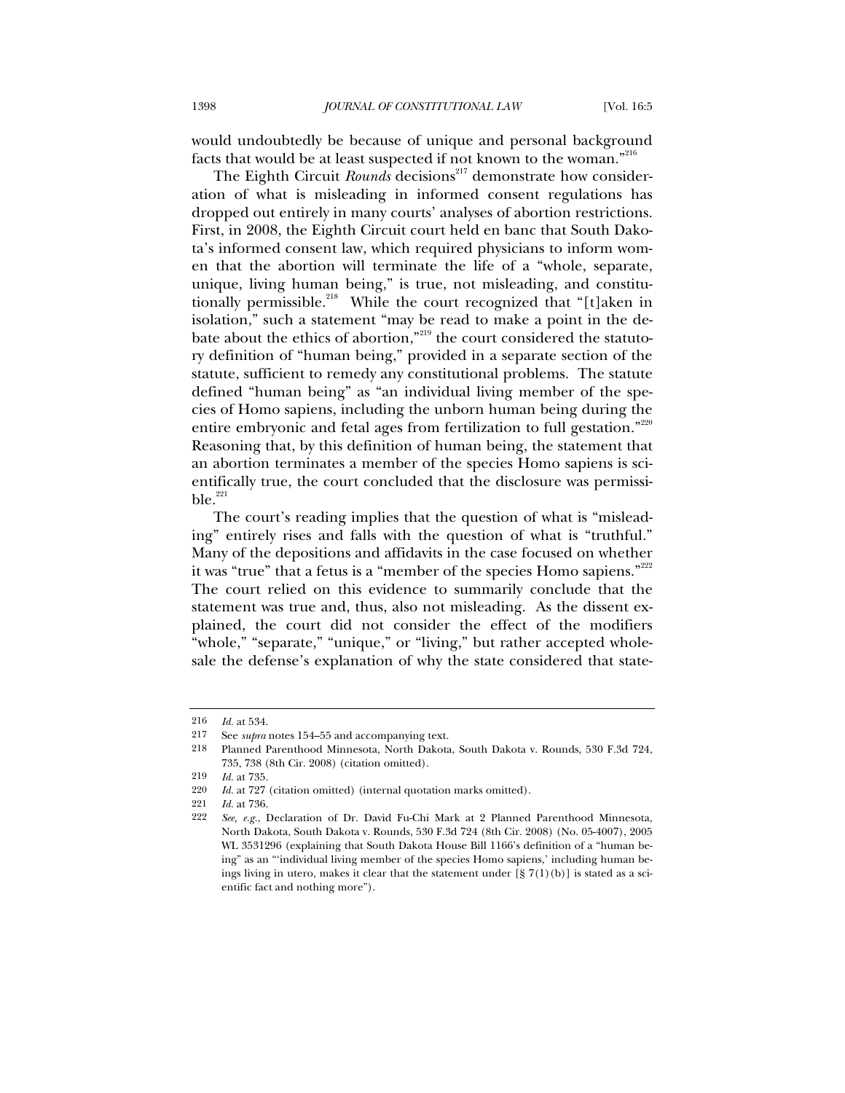would undoubtedly be because of unique and personal background facts that would be at least suspected if not known to the woman."<sup>216</sup>

The Eighth Circuit *Rounds* decisions<sup>217</sup> demonstrate how consideration of what is misleading in informed consent regulations has dropped out entirely in many courts' analyses of abortion restrictions. First, in 2008, the Eighth Circuit court held en banc that South Dakota's informed consent law, which required physicians to inform women that the abortion will terminate the life of a "whole, separate, unique, living human being," is true, not misleading, and constitutionally permissible.<sup>218</sup> While the court recognized that "[t]aken in isolation," such a statement "may be read to make a point in the debate about the ethics of abortion, $"$ <sup>219</sup> the court considered the statutory definition of "human being," provided in a separate section of the statute, sufficient to remedy any constitutional problems. The statute defined "human being" as "an individual living member of the species of Homo sapiens, including the unborn human being during the entire embryonic and fetal ages from fertilization to full gestation."220 Reasoning that, by this definition of human being, the statement that an abortion terminates a member of the species Homo sapiens is scientifically true, the court concluded that the disclosure was permissi $ble.$ <sup>221</sup>

The court's reading implies that the question of what is "misleading" entirely rises and falls with the question of what is "truthful." Many of the depositions and affidavits in the case focused on whether it was "true" that a fetus is a "member of the species Homo sapiens."<sup>222</sup> The court relied on this evidence to summarily conclude that the statement was true and, thus, also not misleading. As the dissent explained, the court did not consider the effect of the modifiers "whole," "separate," "unique," or "living," but rather accepted wholesale the defense's explanation of why the state considered that state-

<sup>216</sup> *Id.* at 534.

<sup>217</sup> See *supra* notes 154–55 and accompanying text.<br>218 Planned Parenthood Minnesota North Dakota

<sup>218</sup> Planned Parenthood Minnesota, North Dakota, South Dakota v. Rounds, 530 F.3d 724, 735, 738 (8th Cir. 2008) (citation omitted).

<sup>219</sup> *Id.* at 735.

<sup>220</sup> *Id.* at 727 (citation omitted) (internal quotation marks omitted).

<sup>221</sup> *Id.* at 736.

<sup>222</sup> *See, e.g.*, Declaration of Dr. David Fu-Chi Mark at 2 Planned Parenthood Minnesota, North Dakota, South Dakota v. Rounds, 530 F.3d 724 (8th Cir. 2008) (No. 05-4007), 2005 WL 3531296 (explaining that South Dakota House Bill 1166's definition of a "human being" as an "'individual living member of the species Homo sapiens,' including human beings living in utero, makes it clear that the statement under  $[\frac{8}{1}7(1)(b)]$  is stated as a scientific fact and nothing more").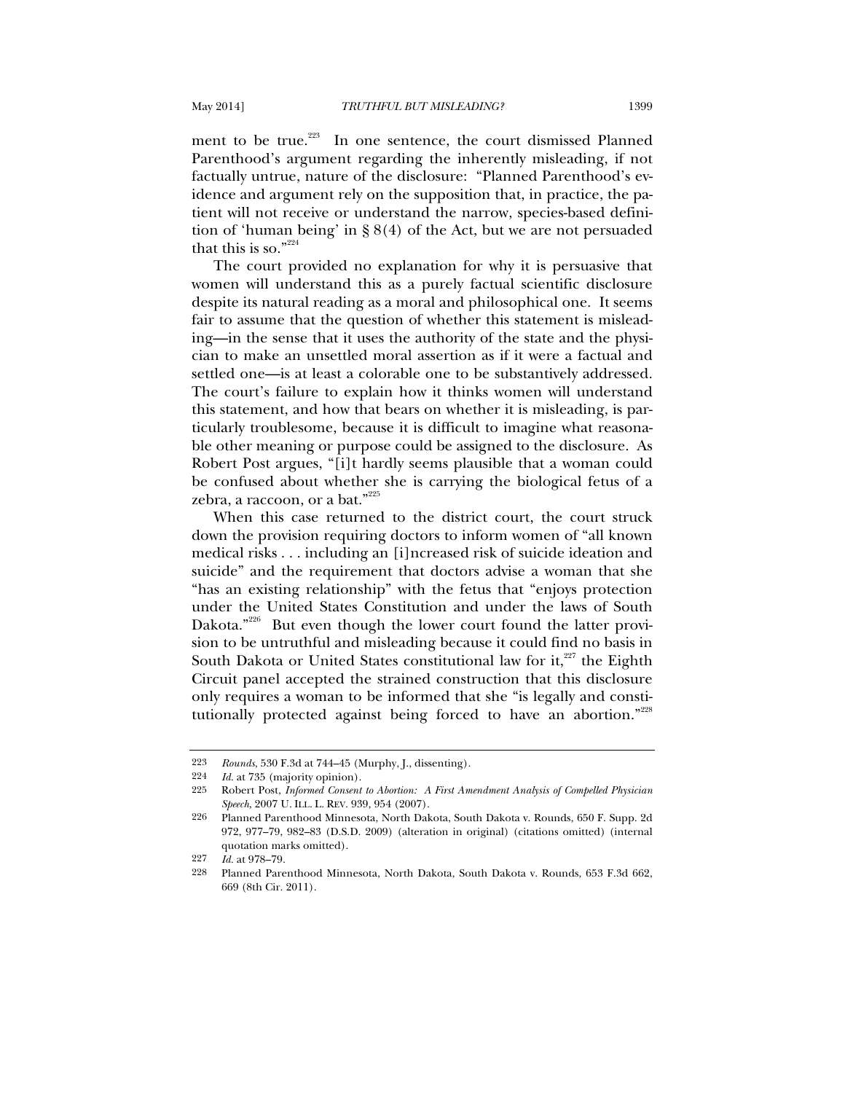ment to be true.<sup>223</sup> In one sentence, the court dismissed Planned Parenthood's argument regarding the inherently misleading, if not factually untrue, nature of the disclosure: "Planned Parenthood's evidence and argument rely on the supposition that, in practice, the patient will not receive or understand the narrow, species-based definition of 'human being' in § 8(4) of the Act, but we are not persuaded that this is so." $224$ 

The court provided no explanation for why it is persuasive that women will understand this as a purely factual scientific disclosure despite its natural reading as a moral and philosophical one. It seems fair to assume that the question of whether this statement is misleading—in the sense that it uses the authority of the state and the physician to make an unsettled moral assertion as if it were a factual and settled one—is at least a colorable one to be substantively addressed. The court's failure to explain how it thinks women will understand this statement, and how that bears on whether it is misleading, is particularly troublesome, because it is difficult to imagine what reasonable other meaning or purpose could be assigned to the disclosure. As Robert Post argues, "[i]t hardly seems plausible that a woman could be confused about whether she is carrying the biological fetus of a zebra, a raccoon, or a bat." $225$ 

When this case returned to the district court, the court struck down the provision requiring doctors to inform women of "all known medical risks . . . including an [i]ncreased risk of suicide ideation and suicide" and the requirement that doctors advise a woman that she "has an existing relationship" with the fetus that "enjoys protection under the United States Constitution and under the laws of South Dakota."<sup>226</sup> But even though the lower court found the latter provision to be untruthful and misleading because it could find no basis in South Dakota or United States constitutional law for it, $227$  the Eighth Circuit panel accepted the strained construction that this disclosure only requires a woman to be informed that she "is legally and constitutionally protected against being forced to have an abortion."228

<sup>223</sup> *Rounds*, 530 F.3d at 744–45 (Murphy, J., dissenting).

<sup>224</sup> *Id.* at 735 (majority opinion).

<sup>225</sup> Robert Post, *Informed Consent to Abortion: A First Amendment Analysis of Compelled Physician Speech*, 2007 U. ILL. L. REV. 939, 954 (2007).

<sup>226</sup> Planned Parenthood Minnesota, North Dakota, South Dakota v. Rounds, 650 F. Supp. 2d 972, 977–79, 982–83 (D.S.D. 2009) (alteration in original) (citations omitted) (internal quotation marks omitted).

<sup>227</sup> *Id.* at 978–79.

<sup>228</sup> Planned Parenthood Minnesota, North Dakota, South Dakota v. Rounds, 653 F.3d 662, 669 (8th Cir. 2011).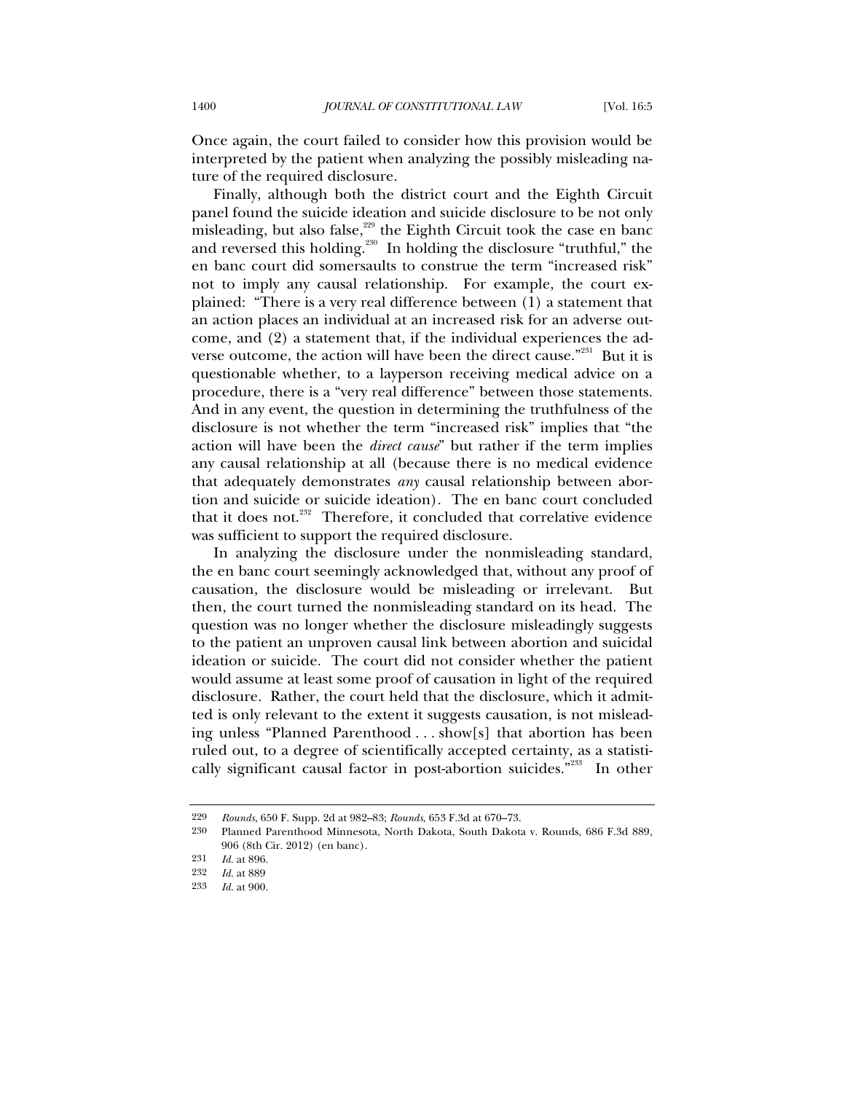Once again, the court failed to consider how this provision would be interpreted by the patient when analyzing the possibly misleading nature of the required disclosure.

Finally, although both the district court and the Eighth Circuit panel found the suicide ideation and suicide disclosure to be not only misleading, but also false, $229$  the Eighth Circuit took the case en banc and reversed this holding.<sup>230</sup> In holding the disclosure "truthful," the en banc court did somersaults to construe the term "increased risk" not to imply any causal relationship. For example, the court explained: "There is a very real difference between (1) a statement that an action places an individual at an increased risk for an adverse outcome, and (2) a statement that, if the individual experiences the adverse outcome, the action will have been the direct cause."<sup>231</sup> But it is questionable whether, to a layperson receiving medical advice on a procedure, there is a "very real difference" between those statements. And in any event, the question in determining the truthfulness of the disclosure is not whether the term "increased risk" implies that "the action will have been the *direct cause*" but rather if the term implies any causal relationship at all (because there is no medical evidence that adequately demonstrates *any* causal relationship between abortion and suicide or suicide ideation). The en banc court concluded that it does not.<sup>232</sup> Therefore, it concluded that correlative evidence was sufficient to support the required disclosure.

In analyzing the disclosure under the nonmisleading standard, the en banc court seemingly acknowledged that, without any proof of causation, the disclosure would be misleading or irrelevant. But then, the court turned the nonmisleading standard on its head. The question was no longer whether the disclosure misleadingly suggests to the patient an unproven causal link between abortion and suicidal ideation or suicide. The court did not consider whether the patient would assume at least some proof of causation in light of the required disclosure. Rather, the court held that the disclosure, which it admitted is only relevant to the extent it suggests causation, is not misleading unless "Planned Parenthood . . . show[s] that abortion has been ruled out, to a degree of scientifically accepted certainty, as a statistically significant causal factor in post-abortion suicides."233 In other

<sup>229</sup> *Rounds*, 650 F. Supp. 2d at 982–83; *Rounds*, 653 F.3d at 670–73.

<sup>230</sup> Planned Parenthood Minnesota, North Dakota, South Dakota v. Rounds, 686 F.3d 889, 906 (8th Cir. 2012) (en banc).

<sup>231</sup> *Id.* at 896.<br>232 *Id.* at 889

<sup>232</sup> *Id.* at 889

*Id.* at 900.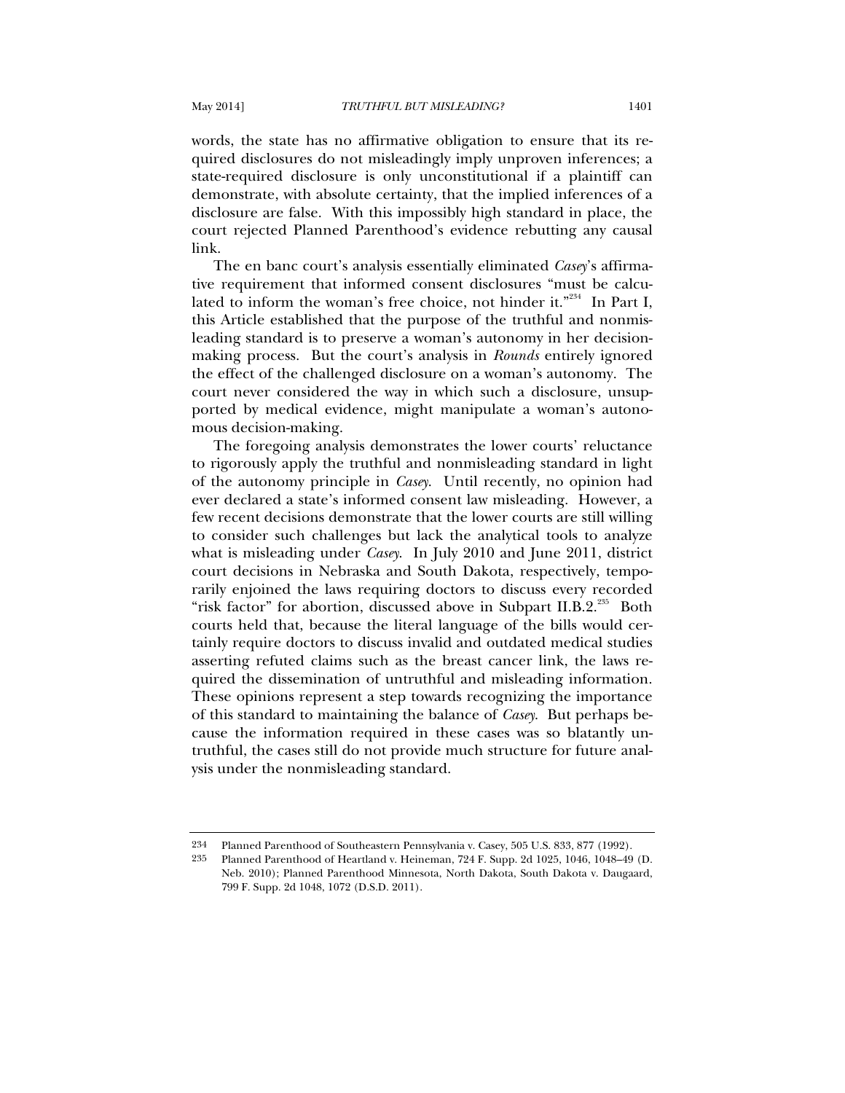words, the state has no affirmative obligation to ensure that its required disclosures do not misleadingly imply unproven inferences; a state-required disclosure is only unconstitutional if a plaintiff can demonstrate, with absolute certainty, that the implied inferences of a disclosure are false. With this impossibly high standard in place, the court rejected Planned Parenthood's evidence rebutting any causal link.

The en banc court's analysis essentially eliminated *Casey*'s affirmative requirement that informed consent disclosures "must be calculated to inform the woman's free choice, not hinder it."<sup>234</sup> In Part I, this Article established that the purpose of the truthful and nonmisleading standard is to preserve a woman's autonomy in her decisionmaking process. But the court's analysis in *Rounds* entirely ignored the effect of the challenged disclosure on a woman's autonomy. The court never considered the way in which such a disclosure, unsupported by medical evidence, might manipulate a woman's autonomous decision-making.

The foregoing analysis demonstrates the lower courts' reluctance to rigorously apply the truthful and nonmisleading standard in light of the autonomy principle in *Casey*. Until recently, no opinion had ever declared a state's informed consent law misleading. However, a few recent decisions demonstrate that the lower courts are still willing to consider such challenges but lack the analytical tools to analyze what is misleading under *Casey*. In July 2010 and June 2011, district court decisions in Nebraska and South Dakota, respectively, temporarily enjoined the laws requiring doctors to discuss every recorded "risk factor" for abortion, discussed above in Subpart II.B.2.<sup>235</sup> Both courts held that, because the literal language of the bills would certainly require doctors to discuss invalid and outdated medical studies asserting refuted claims such as the breast cancer link, the laws required the dissemination of untruthful and misleading information. These opinions represent a step towards recognizing the importance of this standard to maintaining the balance of *Casey*. But perhaps because the information required in these cases was so blatantly untruthful, the cases still do not provide much structure for future analysis under the nonmisleading standard.

<sup>234</sup> Planned Parenthood of Southeastern Pennsylvania v. Casey, 505 U.S. 833, 877 (1992).

<sup>235</sup> Planned Parenthood of Heartland v. Heineman, 724 F. Supp. 2d 1025, 1046, 1048–49 (D. Neb. 2010); Planned Parenthood Minnesota, North Dakota, South Dakota v. Daugaard, 799 F. Supp. 2d 1048, 1072 (D.S.D. 2011).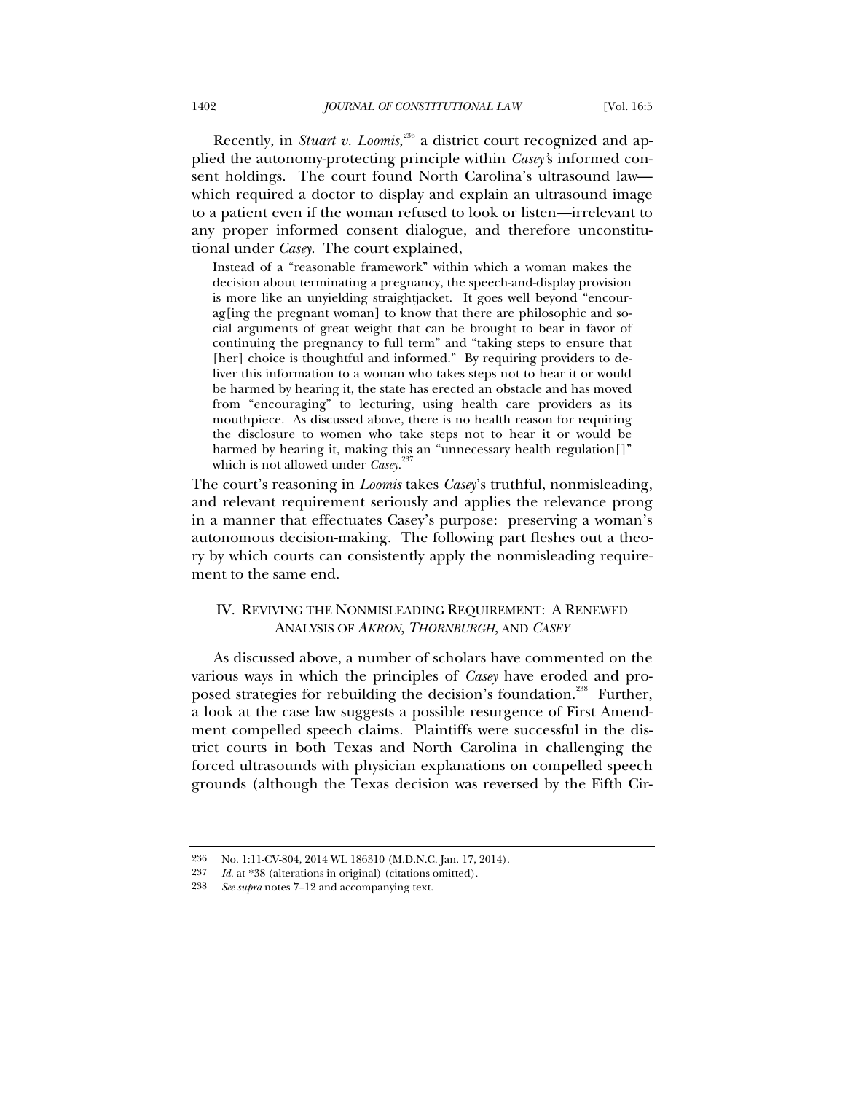Recently, in *Stuart v. Loomis*,<sup>236</sup> a district court recognized and applied the autonomy-protecting principle within *Casey'*s informed consent holdings. The court found North Carolina's ultrasound law which required a doctor to display and explain an ultrasound image to a patient even if the woman refused to look or listen—irrelevant to any proper informed consent dialogue, and therefore unconstitutional under *Casey*. The court explained,

Instead of a "reasonable framework" within which a woman makes the decision about terminating a pregnancy, the speech-and-display provision is more like an unyielding straightjacket. It goes well beyond "encourag[ing the pregnant woman] to know that there are philosophic and social arguments of great weight that can be brought to bear in favor of continuing the pregnancy to full term" and "taking steps to ensure that [her] choice is thoughtful and informed." By requiring providers to deliver this information to a woman who takes steps not to hear it or would be harmed by hearing it, the state has erected an obstacle and has moved from "encouraging" to lecturing, using health care providers as its mouthpiece. As discussed above, there is no health reason for requiring the disclosure to women who take steps not to hear it or would be harmed by hearing it, making this an "unnecessary health regulation<sup>[]"</sup> which is not allowed under *Casey*. 237

The court's reasoning in *Loomis* takes *Casey*'s truthful, nonmisleading, and relevant requirement seriously and applies the relevance prong in a manner that effectuates Casey's purpose: preserving a woman's autonomous decision-making. The following part fleshes out a theory by which courts can consistently apply the nonmisleading requirement to the same end.

# IV. REVIVING THE NONMISLEADING REQUIREMENT: A RENEWED ANALYSIS OF *AKRON*, *THORNBURGH*, AND *CASEY*

As discussed above, a number of scholars have commented on the various ways in which the principles of *Casey* have eroded and proposed strategies for rebuilding the decision's foundation.<sup>238</sup> Further, a look at the case law suggests a possible resurgence of First Amendment compelled speech claims. Plaintiffs were successful in the district courts in both Texas and North Carolina in challenging the forced ultrasounds with physician explanations on compelled speech grounds (although the Texas decision was reversed by the Fifth Cir-

<sup>236</sup> No. 1:11-CV-804, 2014 WL 186310 (M.D.N.C. Jan. 17, 2014).

<sup>237</sup> *Id.* at \*38 (alterations in original) (citations omitted).

<sup>238</sup> *See supra* notes 7–12 and accompanying text.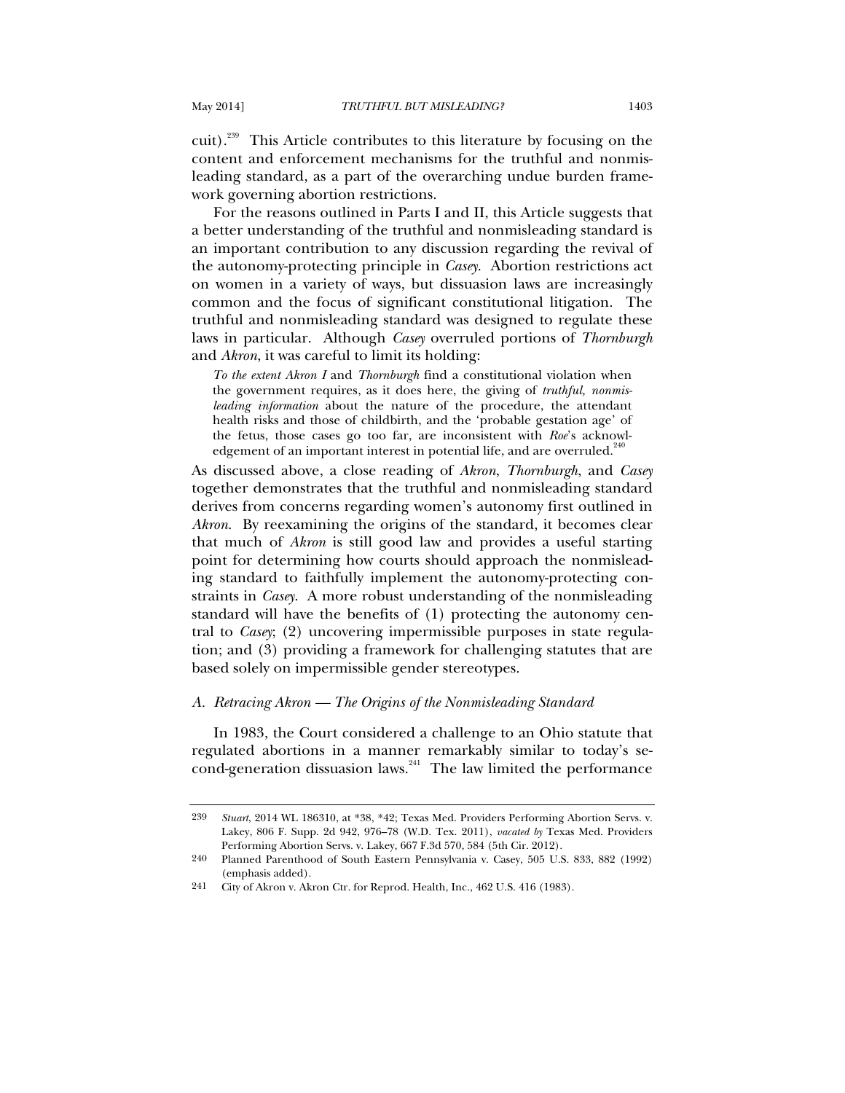cuit).<sup>239</sup> This Article contributes to this literature by focusing on the content and enforcement mechanisms for the truthful and nonmisleading standard, as a part of the overarching undue burden framework governing abortion restrictions.

For the reasons outlined in Parts I and II, this Article suggests that a better understanding of the truthful and nonmisleading standard is an important contribution to any discussion regarding the revival of the autonomy-protecting principle in *Casey*. Abortion restrictions act on women in a variety of ways, but dissuasion laws are increasingly common and the focus of significant constitutional litigation. The truthful and nonmisleading standard was designed to regulate these laws in particular. Although *Casey* overruled portions of *Thornburgh* and *Akron*, it was careful to limit its holding:

*To the extent Akron I* and *Thornburgh* find a constitutional violation when the government requires, as it does here, the giving of *truthful, nonmisleading information* about the nature of the procedure, the attendant health risks and those of childbirth, and the 'probable gestation age' of the fetus, those cases go too far, are inconsistent with *Roe*'s acknowledgement of an important interest in potential life, and are overruled.<sup>24</sup>

As discussed above, a close reading of *Akron*, *Thornburgh*, and *Casey* together demonstrates that the truthful and nonmisleading standard derives from concerns regarding women's autonomy first outlined in *Akron*. By reexamining the origins of the standard, it becomes clear that much of *Akron* is still good law and provides a useful starting point for determining how courts should approach the nonmisleading standard to faithfully implement the autonomy-protecting constraints in *Casey*. A more robust understanding of the nonmisleading standard will have the benefits of (1) protecting the autonomy central to *Casey*; (2) uncovering impermissible purposes in state regulation; and (3) providing a framework for challenging statutes that are based solely on impermissible gender stereotypes.

# *A. Retracing Akron — The Origins of the Nonmisleading Standard*

In 1983, the Court considered a challenge to an Ohio statute that regulated abortions in a manner remarkably similar to today's second-generation dissuasion laws.<sup>241</sup> The law limited the performance

<sup>239</sup> *Stuart*, 2014 WL 186310, at \*38, \*42; Texas Med. Providers Performing Abortion Servs. v. Lakey, 806 F. Supp. 2d 942, 976–78 (W.D. Tex. 2011), *vacated by* Texas Med. Providers Performing Abortion Servs. v. Lakey, 667 F.3d 570, 584 (5th Cir. 2012).

<sup>240</sup> Planned Parenthood of South Eastern Pennsylvania v. Casey, 505 U.S. 833, 882 (1992) (emphasis added).

<sup>241</sup> City of Akron v. Akron Ctr. for Reprod. Health, Inc., 462 U.S. 416 (1983).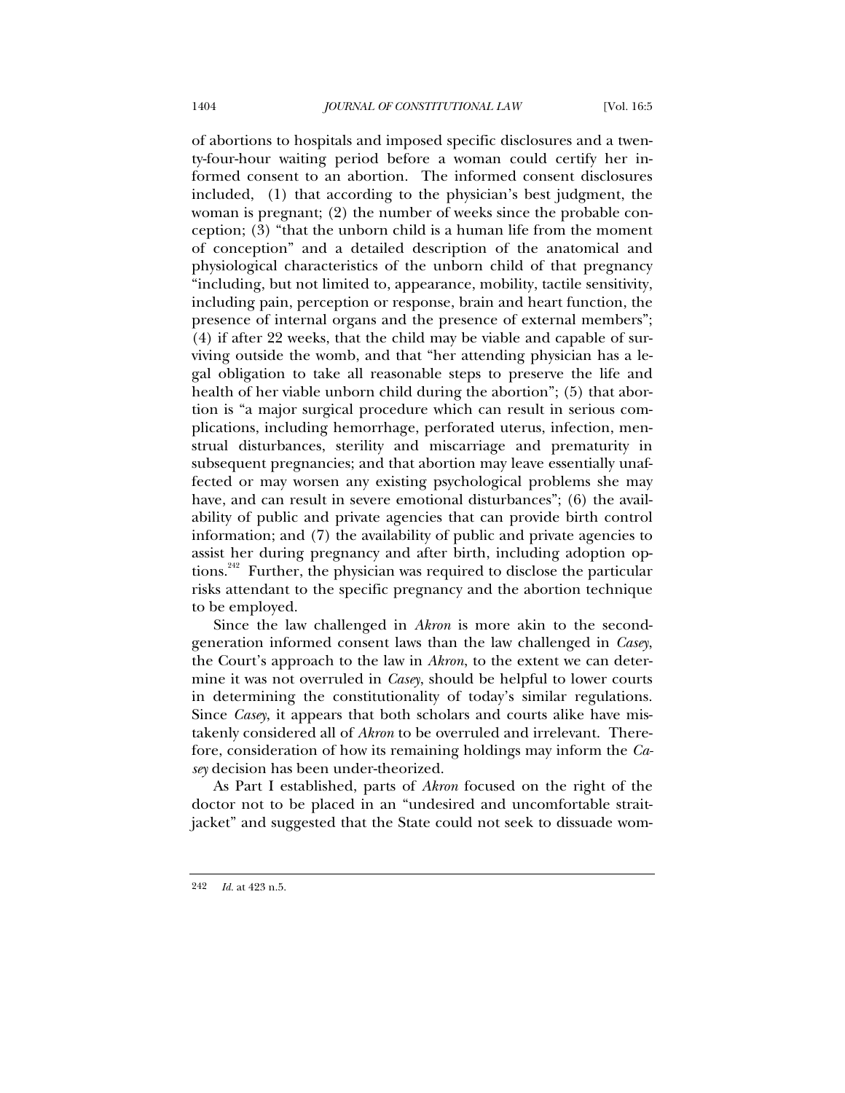of abortions to hospitals and imposed specific disclosures and a twenty-four-hour waiting period before a woman could certify her informed consent to an abortion. The informed consent disclosures included, (1) that according to the physician's best judgment, the woman is pregnant; (2) the number of weeks since the probable conception; (3) "that the unborn child is a human life from the moment of conception" and a detailed description of the anatomical and physiological characteristics of the unborn child of that pregnancy "including, but not limited to, appearance, mobility, tactile sensitivity, including pain, perception or response, brain and heart function, the presence of internal organs and the presence of external members"; (4) if after 22 weeks, that the child may be viable and capable of surviving outside the womb, and that "her attending physician has a legal obligation to take all reasonable steps to preserve the life and health of her viable unborn child during the abortion"; (5) that abortion is "a major surgical procedure which can result in serious complications, including hemorrhage, perforated uterus, infection, menstrual disturbances, sterility and miscarriage and prematurity in subsequent pregnancies; and that abortion may leave essentially unaffected or may worsen any existing psychological problems she may have, and can result in severe emotional disturbances"; (6) the availability of public and private agencies that can provide birth control information; and (7) the availability of public and private agencies to assist her during pregnancy and after birth, including adoption options.<sup>242</sup> Further, the physician was required to disclose the particular risks attendant to the specific pregnancy and the abortion technique to be employed.

Since the law challenged in *Akron* is more akin to the secondgeneration informed consent laws than the law challenged in *Casey*, the Court's approach to the law in *Akron*, to the extent we can determine it was not overruled in *Casey*, should be helpful to lower courts in determining the constitutionality of today's similar regulations. Since *Casey*, it appears that both scholars and courts alike have mistakenly considered all of *Akron* to be overruled and irrelevant. Therefore, consideration of how its remaining holdings may inform the *Casey* decision has been under-theorized.

As Part I established, parts of *Akron* focused on the right of the doctor not to be placed in an "undesired and uncomfortable straitjacket" and suggested that the State could not seek to dissuade wom-

<sup>242</sup> *Id.* at 423 n.5.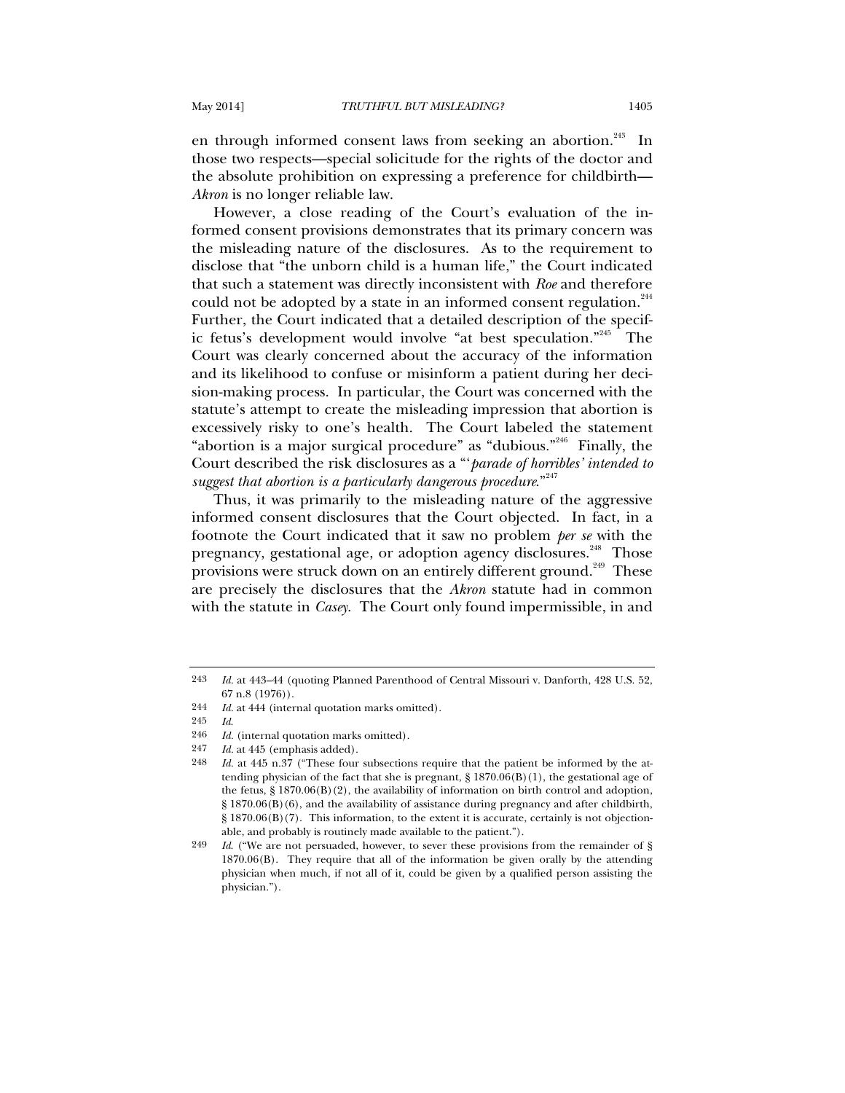en through informed consent laws from seeking an abortion.<sup>243</sup> In those two respects—special solicitude for the rights of the doctor and the absolute prohibition on expressing a preference for childbirth— *Akron* is no longer reliable law.

However, a close reading of the Court's evaluation of the informed consent provisions demonstrates that its primary concern was the misleading nature of the disclosures. As to the requirement to disclose that "the unborn child is a human life," the Court indicated that such a statement was directly inconsistent with *Roe* and therefore could not be adopted by a state in an informed consent regulation.<sup>244</sup> Further, the Court indicated that a detailed description of the specific fetus's development would involve "at best speculation."245 The Court was clearly concerned about the accuracy of the information and its likelihood to confuse or misinform a patient during her decision-making process. In particular, the Court was concerned with the statute's attempt to create the misleading impression that abortion is excessively risky to one's health. The Court labeled the statement "abortion is a major surgical procedure" as "dubious."246 Finally, the Court described the risk disclosures as a "'*parade of horribles' intended to*  suggest that abortion is a particularly dangerous procedure."<sup>247</sup>

Thus, it was primarily to the misleading nature of the aggressive informed consent disclosures that the Court objected. In fact, in a footnote the Court indicated that it saw no problem *per se* with the pregnancy, gestational age, or adoption agency disclosures.<sup>248</sup> Those provisions were struck down on an entirely different ground.<sup>249</sup> These are precisely the disclosures that the *Akron* statute had in common with the statute in *Casey*. The Court only found impermissible, in and

<sup>243</sup> *Id.* at 443–44 (quoting Planned Parenthood of Central Missouri v. Danforth, 428 U.S. 52, 67 n.8 (1976)).

<sup>244</sup> *Id.* at 444 (internal quotation marks omitted).

<sup>245</sup> *Id*.

<sup>246</sup> *Id.* (internal quotation marks omitted).<br>247 *Id.* at 445 (emphasis added)

<sup>247</sup> *Id.* at 445 (emphasis added).<br>248 *Id.* at 445 n 37 ("These four

Id. at 445 n.37 ("These four subsections require that the patient be informed by the attending physician of the fact that she is pregnant,  $\S 1870.06(B)(1)$ , the gestational age of the fetus, § 1870.06(B)(2), the availability of information on birth control and adoption, § 1870.06(B)(6), and the availability of assistance during pregnancy and after childbirth,  $\S 1870.06(B)(7)$ . This information, to the extent it is accurate, certainly is not objectionable, and probably is routinely made available to the patient.").

<sup>249</sup> *Id*. ("We are not persuaded, however, to sever these provisions from the remainder of § 1870.06(B). They require that all of the information be given orally by the attending physician when much, if not all of it, could be given by a qualified person assisting the physician.").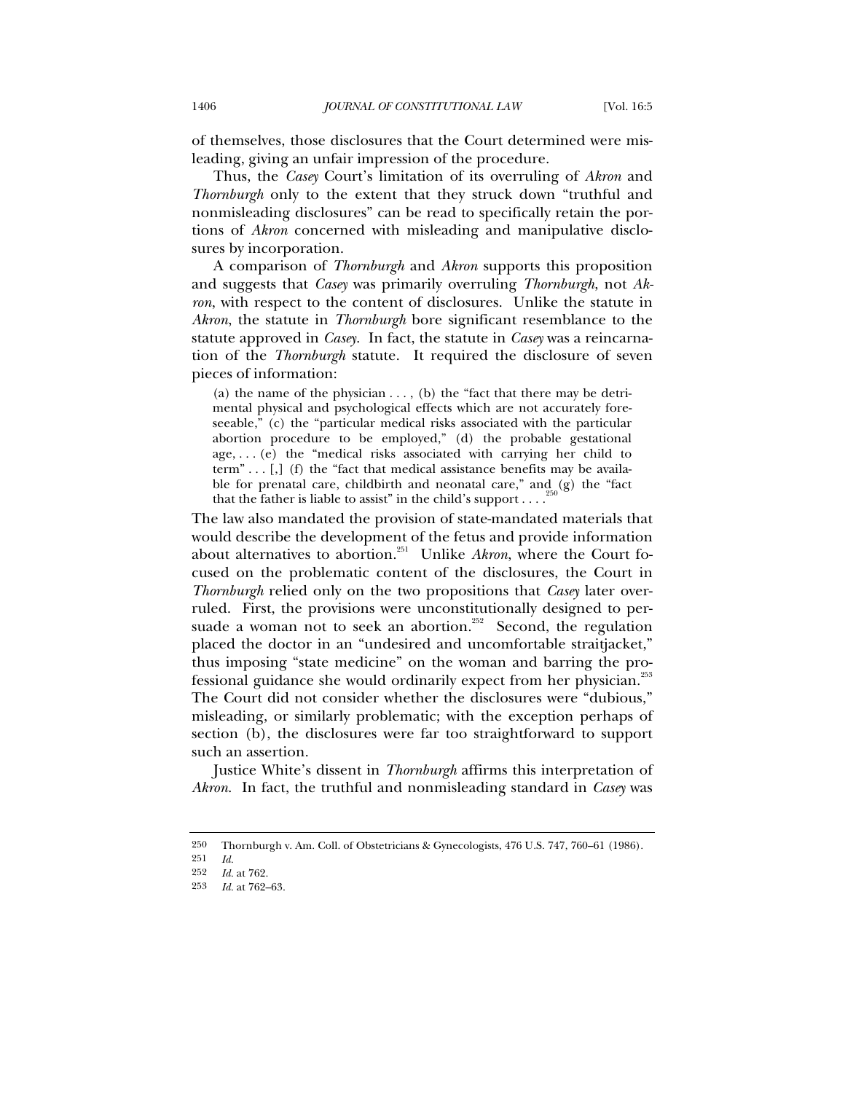of themselves, those disclosures that the Court determined were misleading, giving an unfair impression of the procedure.

Thus, the *Casey* Court's limitation of its overruling of *Akron* and *Thornburgh* only to the extent that they struck down "truthful and nonmisleading disclosures" can be read to specifically retain the portions of *Akron* concerned with misleading and manipulative disclosures by incorporation.

A comparison of *Thornburgh* and *Akron* supports this proposition and suggests that *Casey* was primarily overruling *Thornburgh*, not *Akron*, with respect to the content of disclosures. Unlike the statute in *Akron*, the statute in *Thornburgh* bore significant resemblance to the statute approved in *Casey*. In fact, the statute in *Casey* was a reincarnation of the *Thornburgh* statute. It required the disclosure of seven pieces of information:

(a) the name of the physician . . . , (b) the "fact that there may be detrimental physical and psychological effects which are not accurately foreseeable," (c) the "particular medical risks associated with the particular abortion procedure to be employed," (d) the probable gestational age, . . . (e) the "medical risks associated with carrying her child to term"...  $\left[ , \right]$  (f) the "fact that medical assistance benefits may be available for prenatal care, childbirth and neonatal care," and (g) the "fact that the father is liable to assist" in the child's support  $\dots$ 

The law also mandated the provision of state-mandated materials that would describe the development of the fetus and provide information about alternatives to abortion.<sup>251</sup> Unlike *Akron*, where the Court focused on the problematic content of the disclosures, the Court in *Thornburgh* relied only on the two propositions that *Casey* later overruled. First, the provisions were unconstitutionally designed to persuade a woman not to seek an abortion.<sup>252</sup> Second, the regulation placed the doctor in an "undesired and uncomfortable straitjacket," thus imposing "state medicine" on the woman and barring the professional guidance she would ordinarily expect from her physician.<sup>253</sup> The Court did not consider whether the disclosures were "dubious," misleading, or similarly problematic; with the exception perhaps of section (b), the disclosures were far too straightforward to support such an assertion.

Justice White's dissent in *Thornburgh* affirms this interpretation of *Akron*. In fact, the truthful and nonmisleading standard in *Casey* was

<sup>250</sup> Thornburgh v. Am. Coll. of Obstetricians & Gynecologists, 476 U.S. 747, 760–61 (1986).

<sup>251</sup> *Id.*

<sup>252</sup> *Id.* at 762.

<sup>253</sup> *Id.* at 762–63.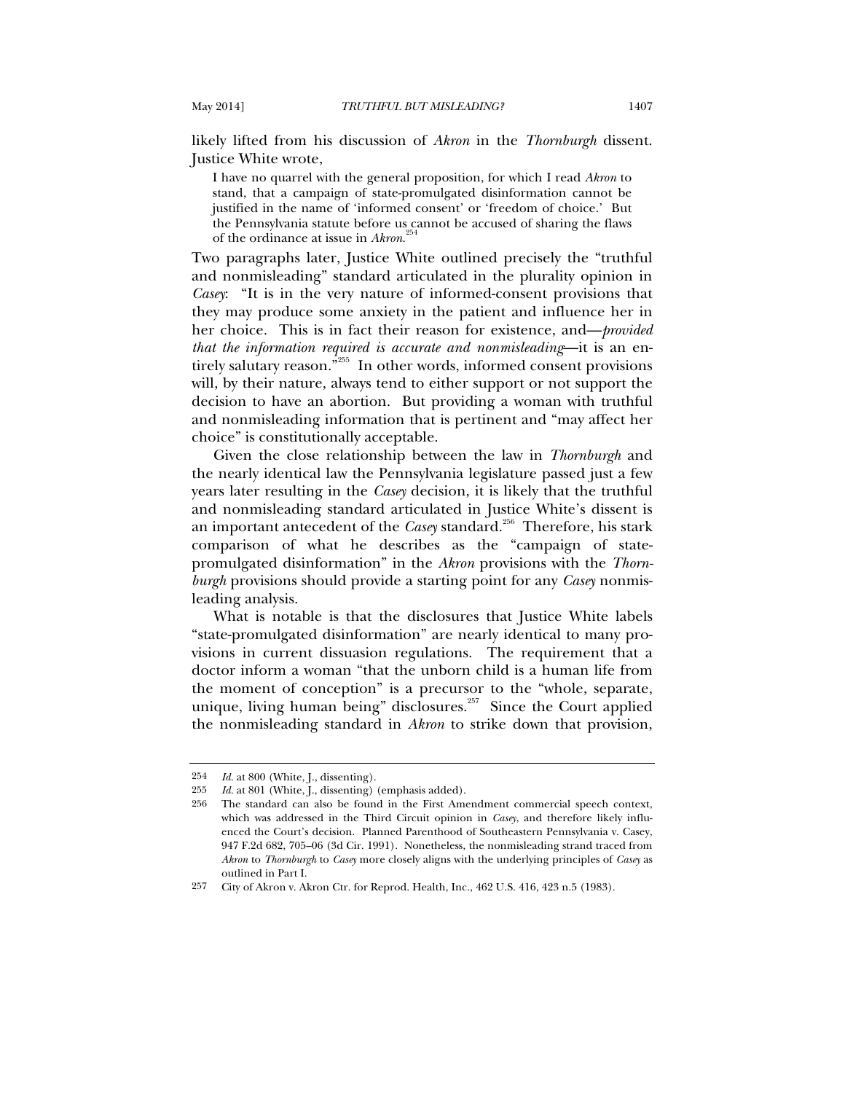likely lifted from his discussion of *Akron* in the *Thornburgh* dissent. Justice White wrote,

I have no quarrel with the general proposition, for which I read *Akron* to stand, that a campaign of state-promulgated disinformation cannot be justified in the name of 'informed consent' or 'freedom of choice.' But the Pennsylvania statute before us cannot be accused of sharing the flaws of the ordinance at issue in *Akron*. 254

Two paragraphs later, Justice White outlined precisely the "truthful and nonmisleading" standard articulated in the plurality opinion in *Casey*: "It is in the very nature of informed-consent provisions that they may produce some anxiety in the patient and influence her in her choice. This is in fact their reason for existence, and—*provided that the information required is accurate and nonmisleading*—it is an entirely salutary reason.<sup>"255</sup> In other words, informed consent provisions will, by their nature, always tend to either support or not support the decision to have an abortion. But providing a woman with truthful and nonmisleading information that is pertinent and "may affect her choice" is constitutionally acceptable.

Given the close relationship between the law in *Thornburgh* and the nearly identical law the Pennsylvania legislature passed just a few years later resulting in the *Casey* decision, it is likely that the truthful and nonmisleading standard articulated in Justice White's dissent is an important antecedent of the *Case*y standard.<sup>256</sup> Therefore, his stark comparison of what he describes as the "campaign of statepromulgated disinformation" in the *Akron* provisions with the *Thornburgh* provisions should provide a starting point for any *Casey* nonmisleading analysis.

What is notable is that the disclosures that Justice White labels "state-promulgated disinformation" are nearly identical to many provisions in current dissuasion regulations. The requirement that a doctor inform a woman "that the unborn child is a human life from the moment of conception" is a precursor to the "whole, separate, unique, living human being" disclosures.<sup>257</sup> Since the Court applied the nonmisleading standard in *Akron* to strike down that provision,

<sup>254</sup> *Id.* at 800 (White, J., dissenting).

<sup>255</sup> *Id.* at 801 (White, J., dissenting) (emphasis added).<br>256 The standard can also be found in the First Ame

The standard can also be found in the First Amendment commercial speech context, which was addressed in the Third Circuit opinion in *Casey*, and therefore likely influenced the Court's decision. Planned Parenthood of Southeastern Pennsylvania v. Casey, 947 F.2d 682, 705–06 (3d Cir. 1991). Nonetheless, the nonmisleading strand traced from *Akron* to *Thornburgh* to *Casey* more closely aligns with the underlying principles of *Casey* as outlined in Part I.

<sup>257</sup> City of Akron v. Akron Ctr. for Reprod. Health, Inc., 462 U.S. 416, 423 n.5 (1983).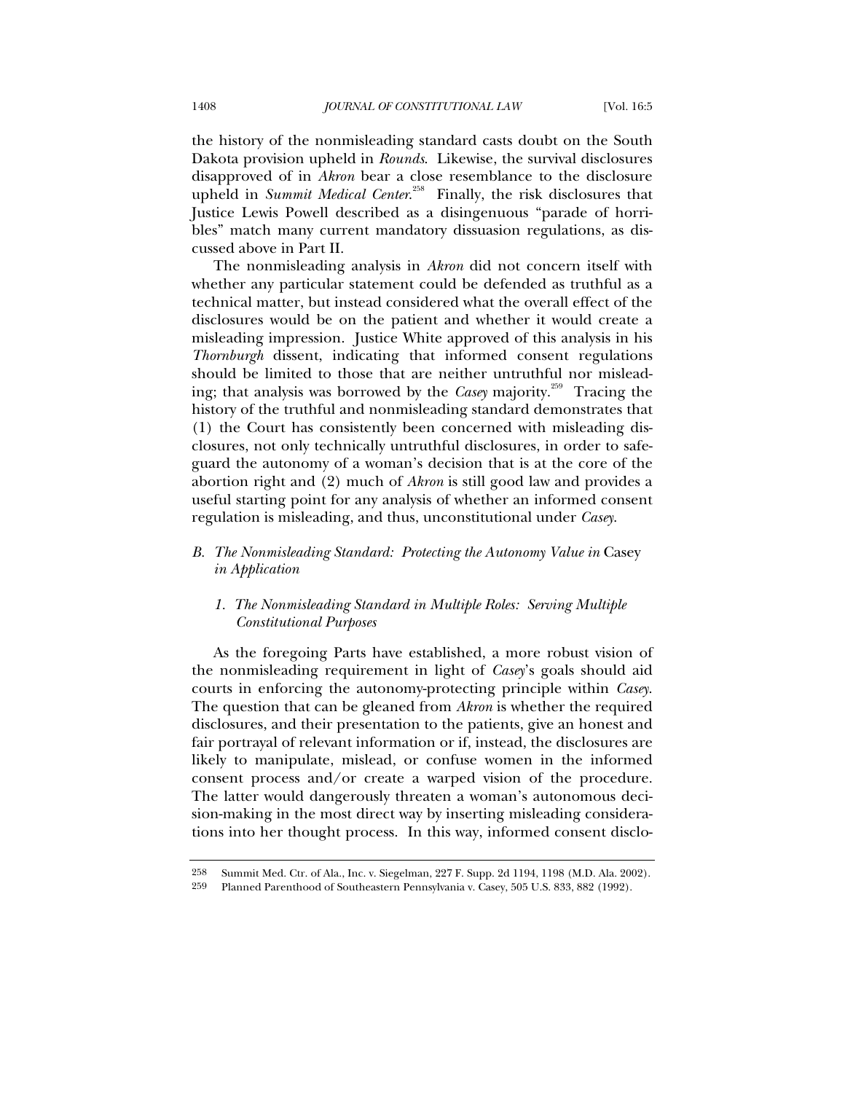the history of the nonmisleading standard casts doubt on the South Dakota provision upheld in *Rounds*. Likewise, the survival disclosures disapproved of in *Akron* bear a close resemblance to the disclosure upheld in *Summit Medical Center.*<sup>258</sup> Finally, the risk disclosures that Justice Lewis Powell described as a disingenuous "parade of horribles" match many current mandatory dissuasion regulations, as discussed above in Part II.

The nonmisleading analysis in *Akron* did not concern itself with whether any particular statement could be defended as truthful as a technical matter, but instead considered what the overall effect of the disclosures would be on the patient and whether it would create a misleading impression. Justice White approved of this analysis in his *Thornburgh* dissent, indicating that informed consent regulations should be limited to those that are neither untruthful nor misleading; that analysis was borrowed by the *Case* majority.<sup>259</sup> Tracing the history of the truthful and nonmisleading standard demonstrates that (1) the Court has consistently been concerned with misleading disclosures, not only technically untruthful disclosures, in order to safeguard the autonomy of a woman's decision that is at the core of the abortion right and (2) much of *Akron* is still good law and provides a useful starting point for any analysis of whether an informed consent regulation is misleading, and thus, unconstitutional under *Casey*.

# **B.** The Nonmisleading Standard: Protecting the Autonomy Value in Casey *in Application*

# *1. The Nonmisleading Standard in Multiple Roles: Serving Multiple Constitutional Purposes*

As the foregoing Parts have established, a more robust vision of the nonmisleading requirement in light of *Casey*'s goals should aid courts in enforcing the autonomy-protecting principle within *Casey*. The question that can be gleaned from *Akron* is whether the required disclosures, and their presentation to the patients, give an honest and fair portrayal of relevant information or if, instead, the disclosures are likely to manipulate, mislead, or confuse women in the informed consent process and/or create a warped vision of the procedure. The latter would dangerously threaten a woman's autonomous decision-making in the most direct way by inserting misleading considerations into her thought process. In this way, informed consent disclo-

<sup>258</sup> Summit Med. Ctr. of Ala., Inc. v. Siegelman, 227 F. Supp. 2d 1194, 1198 (M.D. Ala. 2002).

<sup>259</sup> Planned Parenthood of Southeastern Pennsylvania v. Casey, 505 U.S. 833, 882 (1992).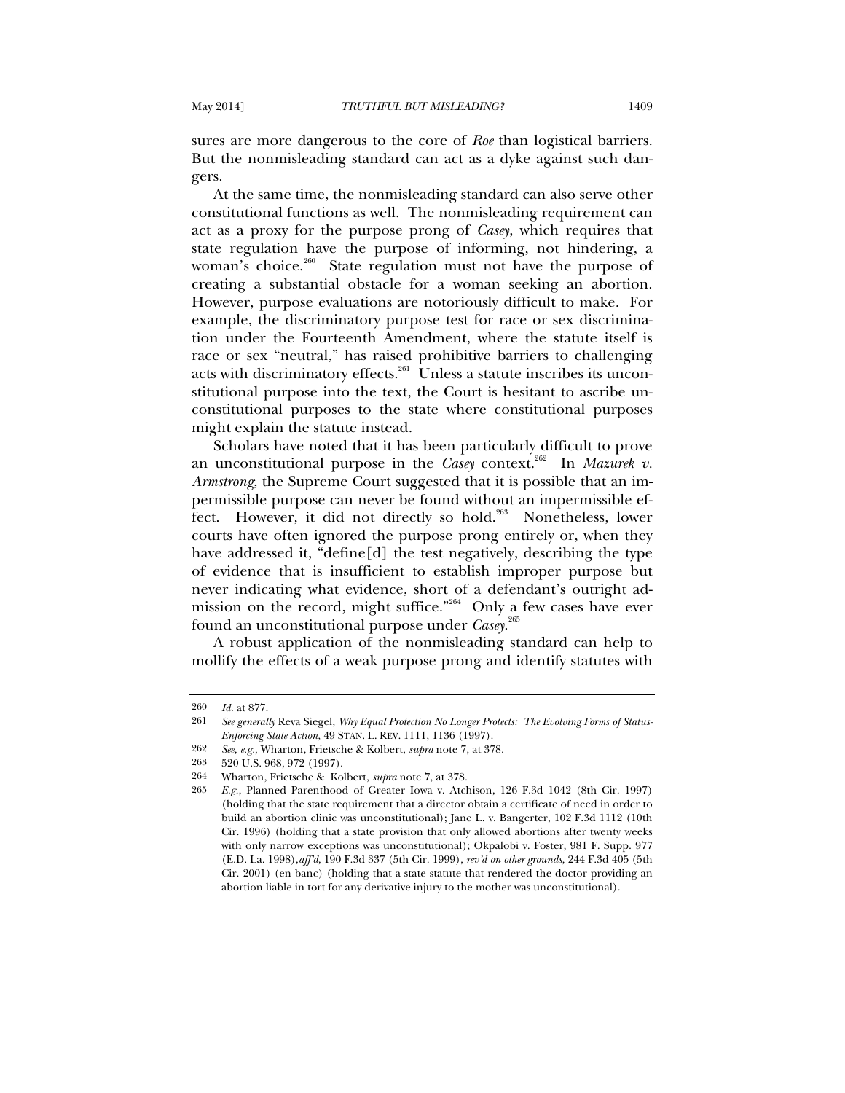sures are more dangerous to the core of *Roe* than logistical barriers. But the nonmisleading standard can act as a dyke against such dangers.

At the same time, the nonmisleading standard can also serve other constitutional functions as well. The nonmisleading requirement can act as a proxy for the purpose prong of *Casey*, which requires that state regulation have the purpose of informing, not hindering, a woman's choice.<sup>260</sup> State regulation must not have the purpose of creating a substantial obstacle for a woman seeking an abortion. However, purpose evaluations are notoriously difficult to make. For example, the discriminatory purpose test for race or sex discrimination under the Fourteenth Amendment, where the statute itself is race or sex "neutral," has raised prohibitive barriers to challenging acts with discriminatory effects.<sup>261</sup> Unless a statute inscribes its unconstitutional purpose into the text, the Court is hesitant to ascribe unconstitutional purposes to the state where constitutional purposes might explain the statute instead.

Scholars have noted that it has been particularly difficult to prove an unconstitutional purpose in the *Casey* context.<sup>262</sup> In *Mazurek v*. *Armstrong*, the Supreme Court suggested that it is possible that an impermissible purpose can never be found without an impermissible effect. However, it did not directly so hold.<sup>263</sup> Nonetheless, lower courts have often ignored the purpose prong entirely or, when they have addressed it, "define[d] the test negatively, describing the type of evidence that is insufficient to establish improper purpose but never indicating what evidence, short of a defendant's outright admission on the record, might suffice. $n^{264}$  Only a few cases have ever found an unconstitutional purpose under *Casey*. 265

A robust application of the nonmisleading standard can help to mollify the effects of a weak purpose prong and identify statutes with

263 520 U.S. 968, 972 (1997).

<sup>260</sup> *Id.* at 877.

<sup>261</sup> *See generally* Reva Siegel, *Why Equal Protection No Longer Protects: The Evolving Forms of Status-Enforcing State Action*, 49 STAN. L. REV. 1111, 1136 (1997).

<sup>262</sup> *See, e.g.*, Wharton, Frietsche & Kolbert, *supra* note 7, at 378.

<sup>264</sup> Wharton, Frietsche & Kolbert, *supra* note 7, at 378.

<sup>265</sup> *E.g.*, Planned Parenthood of Greater Iowa v. Atchison, 126 F.3d 1042 (8th Cir. 1997) (holding that the state requirement that a director obtain a certificate of need in order to build an abortion clinic was unconstitutional); Jane L. v. Bangerter, 102 F.3d 1112 (10th Cir. 1996) (holding that a state provision that only allowed abortions after twenty weeks with only narrow exceptions was unconstitutional); Okpalobi v. Foster, 981 F. Supp. 977 (E.D. La. 1998),*aff'd*, 190 F.3d 337 (5th Cir. 1999), *rev'd on other grounds*, 244 F.3d 405 (5th Cir. 2001) (en banc) (holding that a state statute that rendered the doctor providing an abortion liable in tort for any derivative injury to the mother was unconstitutional).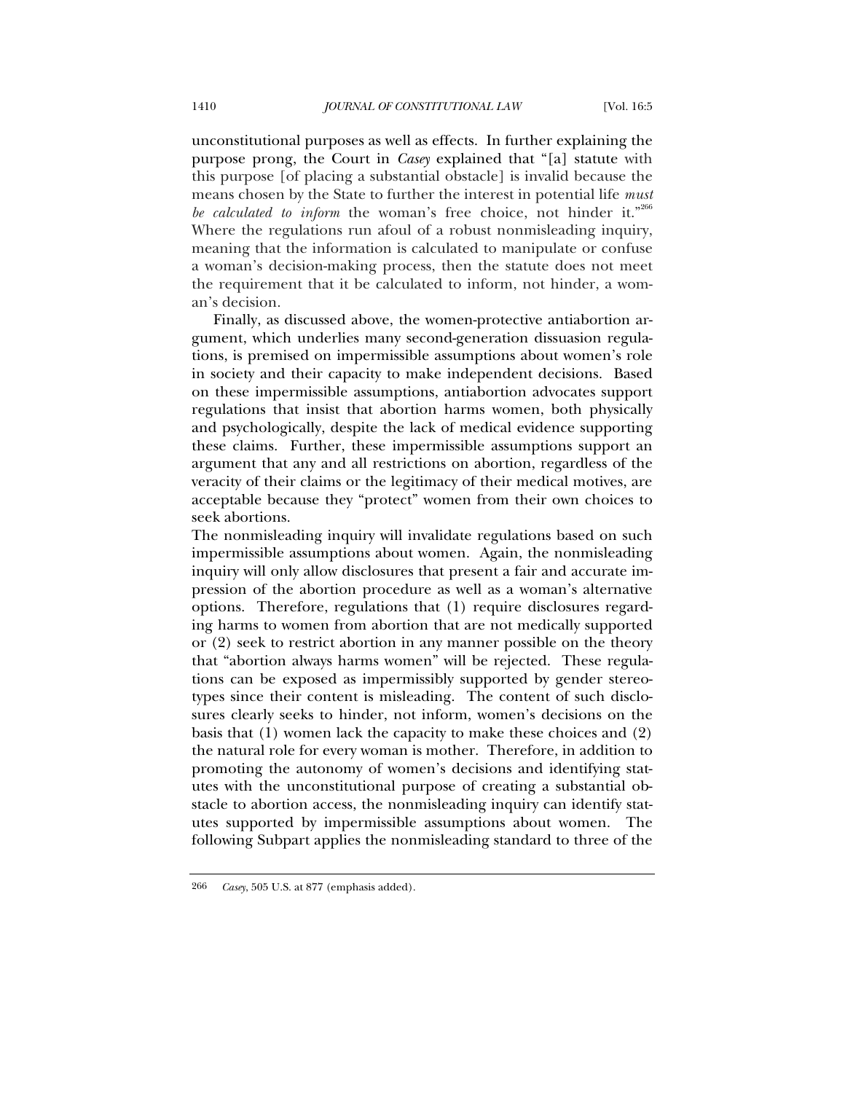unconstitutional purposes as well as effects. In further explaining the purpose prong, the Court in *Casey* explained that "[a] statute with this purpose [of placing a substantial obstacle] is invalid because the means chosen by the State to further the interest in potential life *must be calculated to inform* the woman's free choice, not hinder it."<sup>266</sup> Where the regulations run afoul of a robust nonmisleading inquiry, meaning that the information is calculated to manipulate or confuse a woman's decision-making process, then the statute does not meet the requirement that it be calculated to inform, not hinder, a woman's decision.

Finally, as discussed above, the women-protective antiabortion argument, which underlies many second-generation dissuasion regulations, is premised on impermissible assumptions about women's role in society and their capacity to make independent decisions. Based on these impermissible assumptions, antiabortion advocates support regulations that insist that abortion harms women, both physically and psychologically, despite the lack of medical evidence supporting these claims. Further, these impermissible assumptions support an argument that any and all restrictions on abortion, regardless of the veracity of their claims or the legitimacy of their medical motives, are acceptable because they "protect" women from their own choices to seek abortions.

The nonmisleading inquiry will invalidate regulations based on such impermissible assumptions about women. Again, the nonmisleading inquiry will only allow disclosures that present a fair and accurate impression of the abortion procedure as well as a woman's alternative options. Therefore, regulations that (1) require disclosures regarding harms to women from abortion that are not medically supported or (2) seek to restrict abortion in any manner possible on the theory that "abortion always harms women" will be rejected. These regulations can be exposed as impermissibly supported by gender stereotypes since their content is misleading. The content of such disclosures clearly seeks to hinder, not inform, women's decisions on the basis that (1) women lack the capacity to make these choices and (2) the natural role for every woman is mother. Therefore, in addition to promoting the autonomy of women's decisions and identifying statutes with the unconstitutional purpose of creating a substantial obstacle to abortion access, the nonmisleading inquiry can identify statutes supported by impermissible assumptions about women. The following Subpart applies the nonmisleading standard to three of the

<sup>266</sup> *Casey*, 505 U.S. at 877 (emphasis added).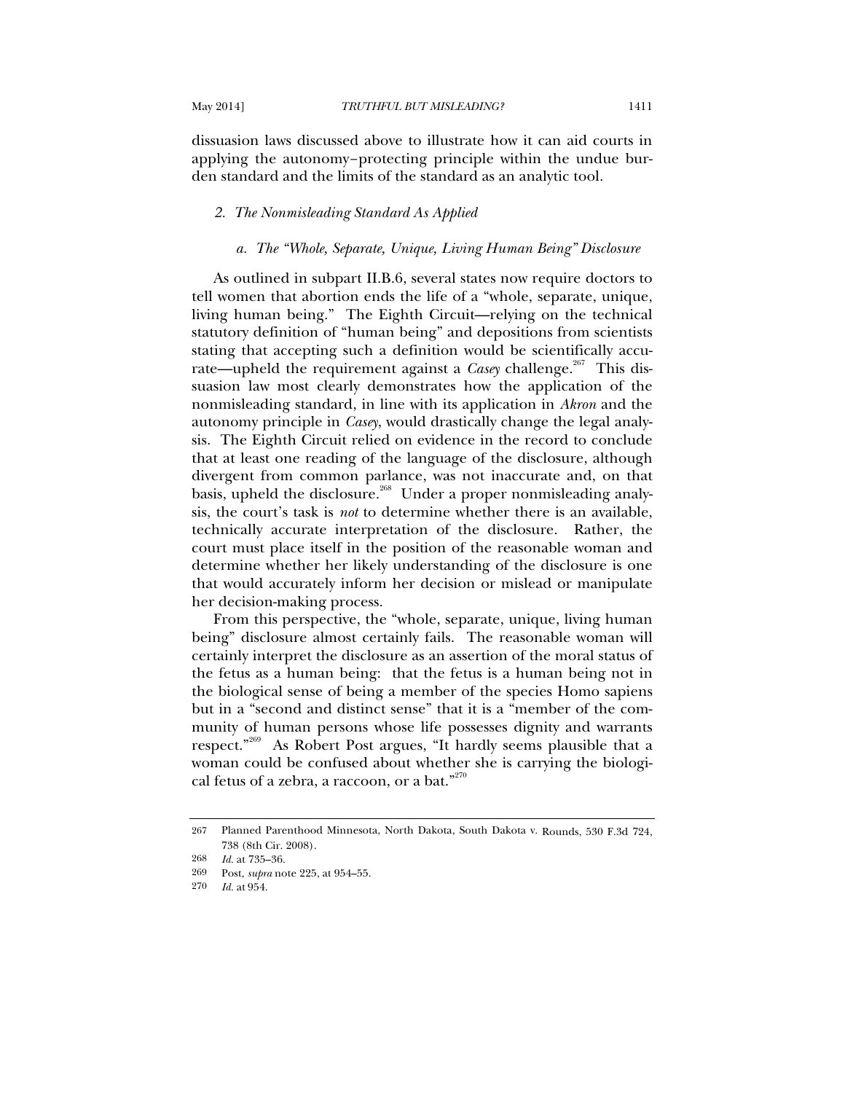dissuasion laws discussed above to illustrate how it can aid courts in applying the autonomy–protecting principle within the undue burden standard and the limits of the standard as an analytic tool.

# *2. The Nonmisleading Standard As Applied*

## *a. The "Whole, Separate, Unique, Living Human Being" Disclosure*

As outlined in subpart II.B.6, several states now require doctors to tell women that abortion ends the life of a "whole, separate, unique, living human being." The Eighth Circuit—relying on the technical statutory definition of "human being" and depositions from scientists stating that accepting such a definition would be scientifically accurate—upheld the requirement against a *Case*y challenge.<sup>267</sup> This dissuasion law most clearly demonstrates how the application of the nonmisleading standard, in line with its application in *Akron* and the autonomy principle in *Casey*, would drastically change the legal analysis. The Eighth Circuit relied on evidence in the record to conclude that at least one reading of the language of the disclosure, although divergent from common parlance, was not inaccurate and, on that basis, upheld the disclosure.<sup>268</sup> Under a proper nonmisleading analysis, the court's task is *not* to determine whether there is an available, technically accurate interpretation of the disclosure. Rather, the court must place itself in the position of the reasonable woman and determine whether her likely understanding of the disclosure is one that would accurately inform her decision or mislead or manipulate her decision-making process.

From this perspective, the "whole, separate, unique, living human being" disclosure almost certainly fails. The reasonable woman will certainly interpret the disclosure as an assertion of the moral status of the fetus as a human being: that the fetus is a human being not in the biological sense of being a member of the species Homo sapiens but in a "second and distinct sense" that it is a "member of the community of human persons whose life possesses dignity and warrants respect."269 As Robert Post argues, "It hardly seems plausible that a woman could be confused about whether she is carrying the biological fetus of a zebra, a raccoon, or a bat."<sup>270</sup>

<sup>267</sup> Planned Parenthood Minnesota, North Dakota, South Dakota v. Rounds, 530 F.3d 724, 738 (8th Cir. 2008).

<sup>268</sup> *Id.* at 735–36.

<sup>269</sup> Post, *supra* note 225, at 954–55.

<sup>270</sup> *Id.* at 954.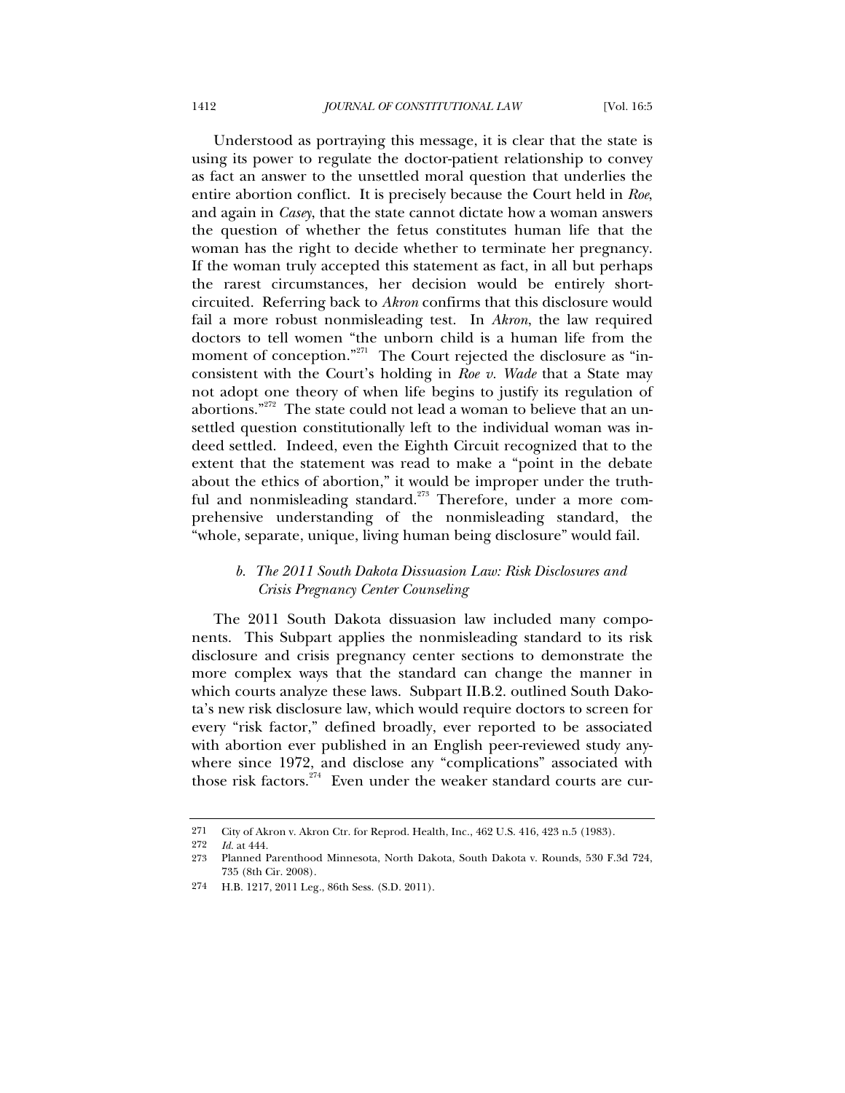Understood as portraying this message, it is clear that the state is using its power to regulate the doctor-patient relationship to convey as fact an answer to the unsettled moral question that underlies the entire abortion conflict. It is precisely because the Court held in *Roe*, and again in *Casey*, that the state cannot dictate how a woman answers the question of whether the fetus constitutes human life that the woman has the right to decide whether to terminate her pregnancy. If the woman truly accepted this statement as fact, in all but perhaps the rarest circumstances, her decision would be entirely shortcircuited. Referring back to *Akron* confirms that this disclosure would fail a more robust nonmisleading test. In *Akron*, the law required doctors to tell women "the unborn child is a human life from the moment of conception."<sup>271</sup> The Court rejected the disclosure as "inconsistent with the Court's holding in *Roe v. Wade* that a State may not adopt one theory of when life begins to justify its regulation of abortions."<sup>272</sup> The state could not lead a woman to believe that an unsettled question constitutionally left to the individual woman was indeed settled. Indeed, even the Eighth Circuit recognized that to the extent that the statement was read to make a "point in the debate about the ethics of abortion," it would be improper under the truthful and nonmisleading standard.<sup>273</sup> Therefore, under a more comprehensive understanding of the nonmisleading standard, the "whole, separate, unique, living human being disclosure" would fail.

# *b. The 2011 South Dakota Dissuasion Law: Risk Disclosures and Crisis Pregnancy Center Counseling*

The 2011 South Dakota dissuasion law included many components. This Subpart applies the nonmisleading standard to its risk disclosure and crisis pregnancy center sections to demonstrate the more complex ways that the standard can change the manner in which courts analyze these laws. Subpart II.B.2. outlined South Dakota's new risk disclosure law, which would require doctors to screen for every "risk factor," defined broadly, ever reported to be associated with abortion ever published in an English peer-reviewed study anywhere since 1972, and disclose any "complications" associated with those risk factors. $274$  Even under the weaker standard courts are cur-

<sup>271</sup> City of Akron v. Akron Ctr. for Reprod. Health, Inc., 462 U.S. 416, 423 n.5 (1983).

<sup>272</sup> *Id.* at 444.

<sup>273</sup> Planned Parenthood Minnesota, North Dakota, South Dakota v. Rounds, 530 F.3d 724, 735 (8th Cir. 2008).

<sup>274</sup> H.B. 1217, 2011 Leg., 86th Sess. (S.D. 2011).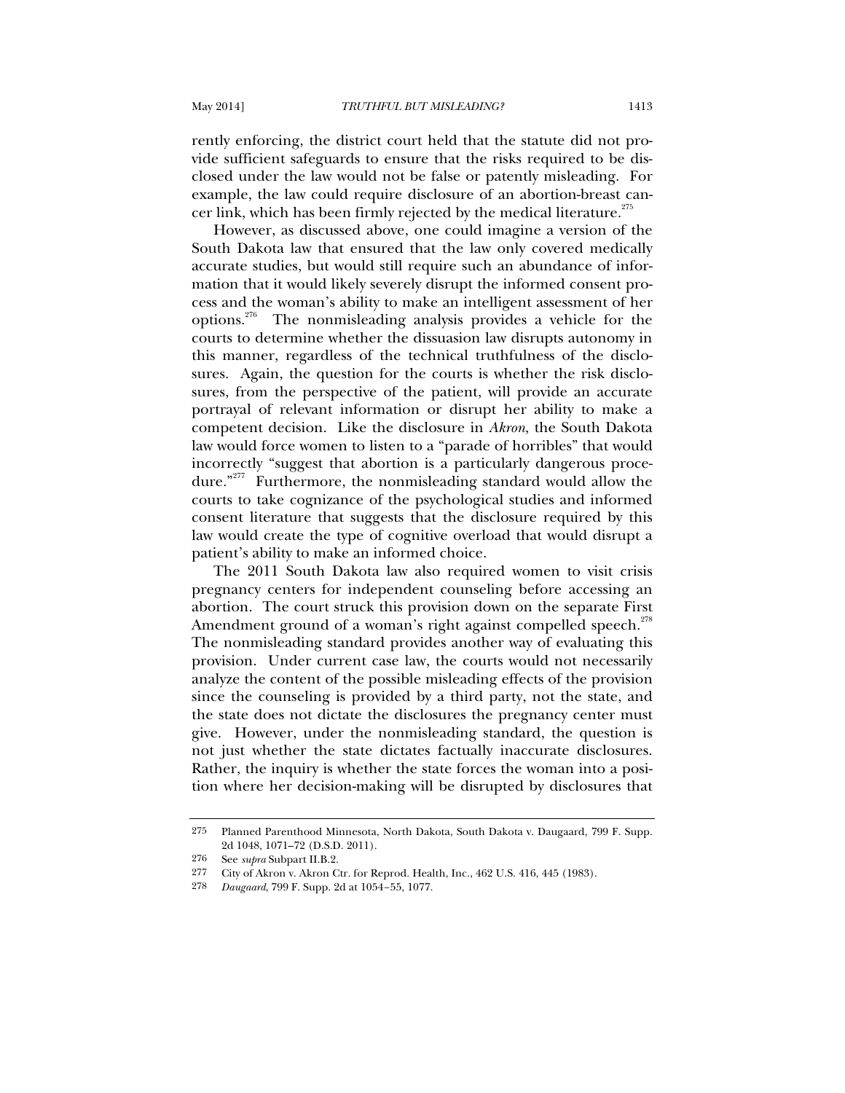rently enforcing, the district court held that the statute did not provide sufficient safeguards to ensure that the risks required to be disclosed under the law would not be false or patently misleading. For example, the law could require disclosure of an abortion-breast cancer link, which has been firmly rejected by the medical literature. $^{275}$ 

However, as discussed above, one could imagine a version of the South Dakota law that ensured that the law only covered medically accurate studies, but would still require such an abundance of information that it would likely severely disrupt the informed consent process and the woman's ability to make an intelligent assessment of her options.276 The nonmisleading analysis provides a vehicle for the courts to determine whether the dissuasion law disrupts autonomy in this manner, regardless of the technical truthfulness of the disclosures. Again, the question for the courts is whether the risk disclosures, from the perspective of the patient, will provide an accurate portrayal of relevant information or disrupt her ability to make a competent decision. Like the disclosure in *Akron*, the South Dakota law would force women to listen to a "parade of horribles" that would incorrectly "suggest that abortion is a particularly dangerous procedure."277 Furthermore, the nonmisleading standard would allow the courts to take cognizance of the psychological studies and informed consent literature that suggests that the disclosure required by this law would create the type of cognitive overload that would disrupt a patient's ability to make an informed choice.

The 2011 South Dakota law also required women to visit crisis pregnancy centers for independent counseling before accessing an abortion. The court struck this provision down on the separate First Amendment ground of a woman's right against compelled speech.<sup>278</sup> The nonmisleading standard provides another way of evaluating this provision. Under current case law, the courts would not necessarily analyze the content of the possible misleading effects of the provision since the counseling is provided by a third party, not the state, and the state does not dictate the disclosures the pregnancy center must give. However, under the nonmisleading standard, the question is not just whether the state dictates factually inaccurate disclosures. Rather, the inquiry is whether the state forces the woman into a position where her decision-making will be disrupted by disclosures that

<sup>275</sup> Planned Parenthood Minnesota, North Dakota, South Dakota v. Daugaard, 799 F. Supp. 2d 1048, 1071–72 (D.S.D. 2011).

<sup>276</sup> See *supra* Subpart II.B.2.

<sup>277</sup> City of Akron v. Akron Ctr. for Reprod. Health, Inc., 462 U.S. 416, 445 (1983).

<sup>278</sup> *Daugaard*, 799 F. Supp. 2d at 1054–55, 1077.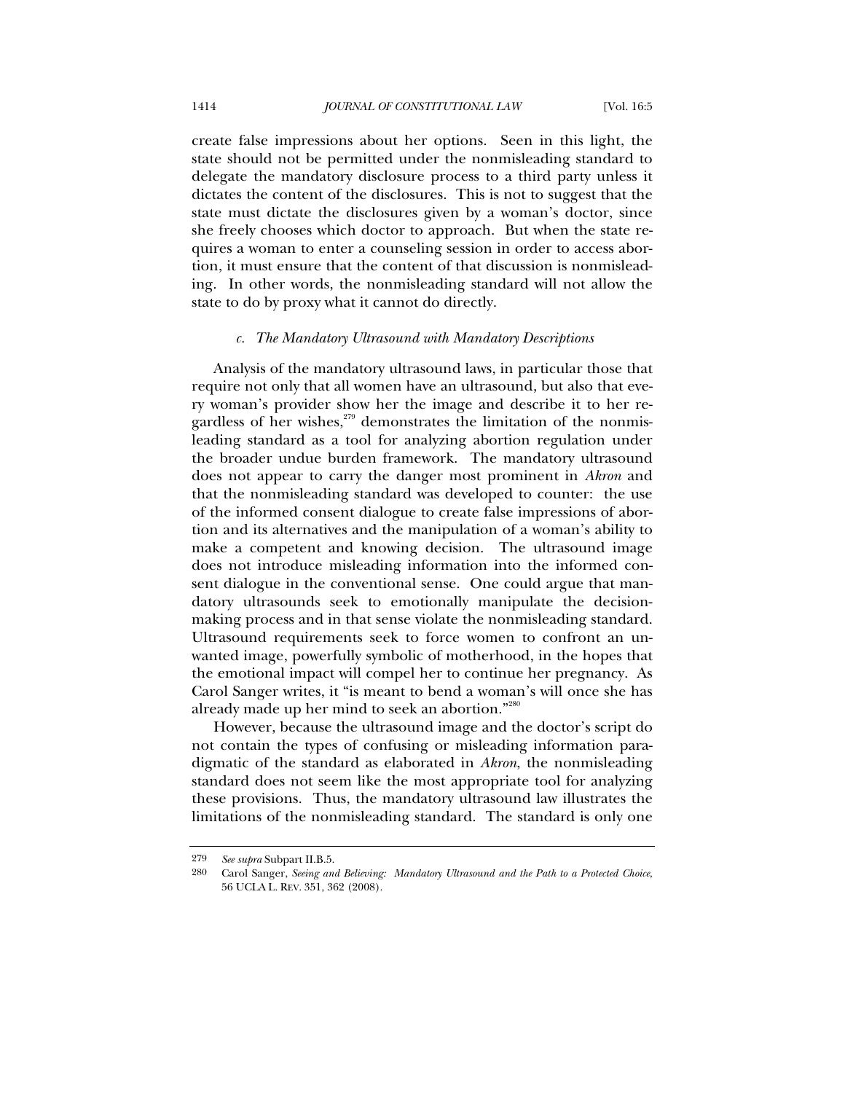create false impressions about her options. Seen in this light, the state should not be permitted under the nonmisleading standard to delegate the mandatory disclosure process to a third party unless it dictates the content of the disclosures. This is not to suggest that the state must dictate the disclosures given by a woman's doctor, since she freely chooses which doctor to approach. But when the state requires a woman to enter a counseling session in order to access abortion, it must ensure that the content of that discussion is nonmisleading. In other words, the nonmisleading standard will not allow the state to do by proxy what it cannot do directly.

#### *c. The Mandatory Ultrasound with Mandatory Descriptions*

Analysis of the mandatory ultrasound laws, in particular those that require not only that all women have an ultrasound, but also that every woman's provider show her the image and describe it to her regardless of her wishes, $279$  demonstrates the limitation of the nonmisleading standard as a tool for analyzing abortion regulation under the broader undue burden framework. The mandatory ultrasound does not appear to carry the danger most prominent in *Akron* and that the nonmisleading standard was developed to counter: the use of the informed consent dialogue to create false impressions of abortion and its alternatives and the manipulation of a woman's ability to make a competent and knowing decision. The ultrasound image does not introduce misleading information into the informed consent dialogue in the conventional sense. One could argue that mandatory ultrasounds seek to emotionally manipulate the decisionmaking process and in that sense violate the nonmisleading standard. Ultrasound requirements seek to force women to confront an unwanted image, powerfully symbolic of motherhood, in the hopes that the emotional impact will compel her to continue her pregnancy. As Carol Sanger writes, it "is meant to bend a woman's will once she has already made up her mind to seek an abortion."<sup>280</sup>

However, because the ultrasound image and the doctor's script do not contain the types of confusing or misleading information paradigmatic of the standard as elaborated in *Akron*, the nonmisleading standard does not seem like the most appropriate tool for analyzing these provisions. Thus, the mandatory ultrasound law illustrates the limitations of the nonmisleading standard. The standard is only one

<sup>279</sup> *See supra* Subpart II.B.5.

<sup>280</sup> Carol Sanger, *Seeing and Believing: Mandatory Ultrasound and the Path to a Protected Choice*, 56 UCLA L. REV. 351, 362 (2008).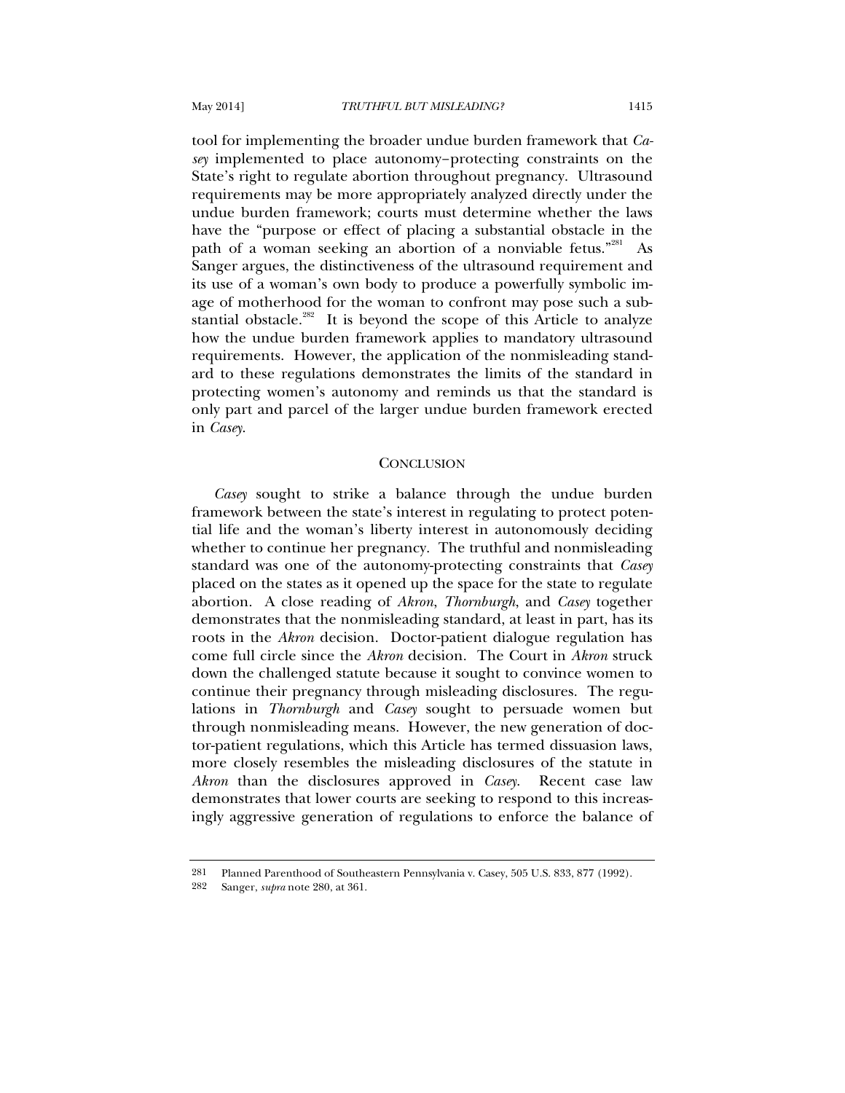tool for implementing the broader undue burden framework that *Casey* implemented to place autonomy–protecting constraints on the State's right to regulate abortion throughout pregnancy. Ultrasound requirements may be more appropriately analyzed directly under the undue burden framework; courts must determine whether the laws have the "purpose or effect of placing a substantial obstacle in the path of a woman seeking an abortion of a nonviable fetus."<sup>281</sup> As Sanger argues, the distinctiveness of the ultrasound requirement and its use of a woman's own body to produce a powerfully symbolic image of motherhood for the woman to confront may pose such a substantial obstacle. $282$  It is beyond the scope of this Article to analyze how the undue burden framework applies to mandatory ultrasound requirements. However, the application of the nonmisleading standard to these regulations demonstrates the limits of the standard in protecting women's autonomy and reminds us that the standard is only part and parcel of the larger undue burden framework erected in *Casey*.

# **CONCLUSION**

*Casey* sought to strike a balance through the undue burden framework between the state's interest in regulating to protect potential life and the woman's liberty interest in autonomously deciding whether to continue her pregnancy. The truthful and nonmisleading standard was one of the autonomy-protecting constraints that *Casey* placed on the states as it opened up the space for the state to regulate abortion. A close reading of *Akron*, *Thornburgh*, and *Casey* together demonstrates that the nonmisleading standard, at least in part, has its roots in the *Akron* decision. Doctor-patient dialogue regulation has come full circle since the *Akron* decision. The Court in *Akron* struck down the challenged statute because it sought to convince women to continue their pregnancy through misleading disclosures. The regulations in *Thornburgh* and *Casey* sought to persuade women but through nonmisleading means. However, the new generation of doctor-patient regulations, which this Article has termed dissuasion laws, more closely resembles the misleading disclosures of the statute in *Akron* than the disclosures approved in *Casey*. Recent case law demonstrates that lower courts are seeking to respond to this increasingly aggressive generation of regulations to enforce the balance of

<sup>281</sup> Planned Parenthood of Southeastern Pennsylvania v. Casey, 505 U.S. 833, 877 (1992).<br>282 Sanger *subra* note 280 at 361

Sanger, *supra* note 280, at 361.